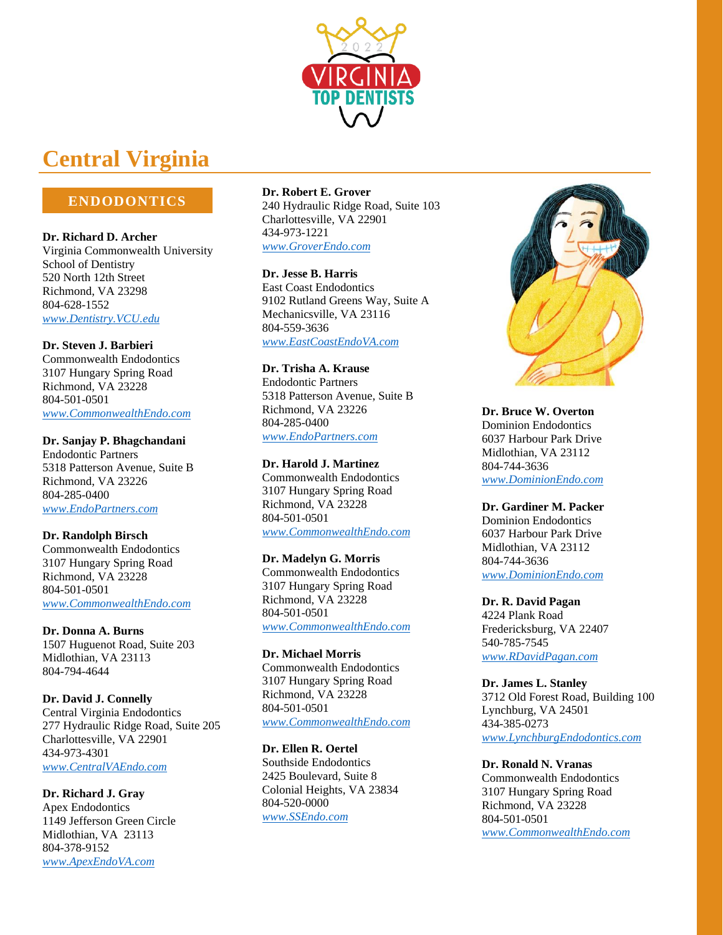

# **Central Virginia**

# **ENDODONTICS**

**Dr. Richard D. Archer** Virginia Commonwealth University School of Dentistry 520 North 12th Street Richmond, VA 23298 804-628-1552 *[www.Dentistry.VCU.edu](http://www.dentistry.vcu.edu/)*

**Dr. Steven J. Barbieri** Commonwealth Endodontics 3107 Hungary Spring Road Richmond, VA 23228 804-501-0501 *[www.CommonwealthEndo.com](http://www.commonwealthendo.com/)*

**Dr. Sanjay P. Bhagchandani** Endodontic Partners

5318 Patterson Avenue, Suite B Richmond, VA 23226 804-285-0400 *[www.EndoPartners.com](http://www.endopartners.com/)*

**Dr. Randolph Birsch** Commonwealth Endodontics

3107 Hungary Spring Road Richmond, VA 23228 804-501-0501 *[www.CommonwealthEndo.com](http://www.commonwealthendo.com/)*

**Dr. Donna A. Burns** 1507 Huguenot Road, Suite 203 Midlothian, VA 23113 804-794-4644

**Dr. David J. Connelly** Central Virginia Endodontics 277 Hydraulic Ridge Road, Suite 205 Charlottesville, VA 22901 434-973-4301 *[www.CentralVAEndo.com](http://www.centralvaendo.com/)*

**Dr. Richard J. Gray** Apex Endodontics 1149 Jefferson Green Circle Midlothian, VA 23113 804-378-9152 *[www.ApexEndoVA.com](http://www.apexendova.com/)*

**Dr. Robert E. Grover** 240 Hydraulic Ridge Road, Suite 103 Charlottesville, VA 22901 434-973-1221 *[www.GroverEndo.com](http://www.groverendo.com/)*

## **Dr. Jesse B. Harris**

East Coast Endodontics 9102 Rutland Greens Way, Suite A Mechanicsville, VA 23116 804-559-3636 *[www.EastCoastEndoVA.com](http://www.eastcoastendova.com/)*

**Dr. Trisha A. Krause** Endodontic Partners

5318 Patterson Avenue, Suite B Richmond, VA 23226 804-285-0400 *[www.EndoPartners.com](http://www.endopartners.com/)*

# **Dr. Harold J. Martinez**

Commonwealth Endodontics 3107 Hungary Spring Road Richmond, VA 23228 804-501-0501 *[www.CommonwealthEndo.com](http://www.commonwealthendo.com/)*

### **Dr. Madelyn G. Morris**

Commonwealth Endodontics 3107 Hungary Spring Road Richmond, VA 23228 804-501-0501 *[www.CommonwealthEndo.com](http://www.commonwealthendo.com/)*

**Dr. Michael Morris** Commonwealth Endodontics 3107 Hungary Spring Road Richmond, VA 23228 804-501-0501 *[www.CommonwealthEndo.com](http://www.commonwealthendo.com/)*

**Dr. Ellen R. Oertel** Southside Endodontics 2425 Boulevard, Suite 8 Colonial Heights, VA 23834 804-520-0000 *[www.SSEndo.com](http://www.ssendo.com/)*



**Dr. Bruce W. Overton** Dominion Endodontics 6037 Harbour Park Drive Midlothian, VA 23112 804-744-3636 *[www.DominionEndo.com](http://www.dominionendo.com/)*

# **Dr. Gardiner M. Packer**

Dominion Endodontics 6037 Harbour Park Drive Midlothian, VA 23112 804-744-3636 *[www.DominionEndo.com](http://www.dominionendo.com/)*

**Dr. R. David Pagan** 4224 Plank Road Fredericksburg, VA 22407 540-785-7545 *[www.RDavidPagan.com](http://www.rdavidpagan.com/)*

**Dr. James L. Stanley** 3712 Old Forest Road, Building 100 Lynchburg, VA 24501 434-385-0273 *[www.LynchburgEndodontics.com](http://www.lynchburgendodontics.com/)*

**Dr. Ronald N. Vranas** Commonwealth Endodontics 3107 Hungary Spring Road Richmond, VA 23228 804-501-0501 *[www.CommonwealthEndo.com](http://www.commonwealthendo.com/)*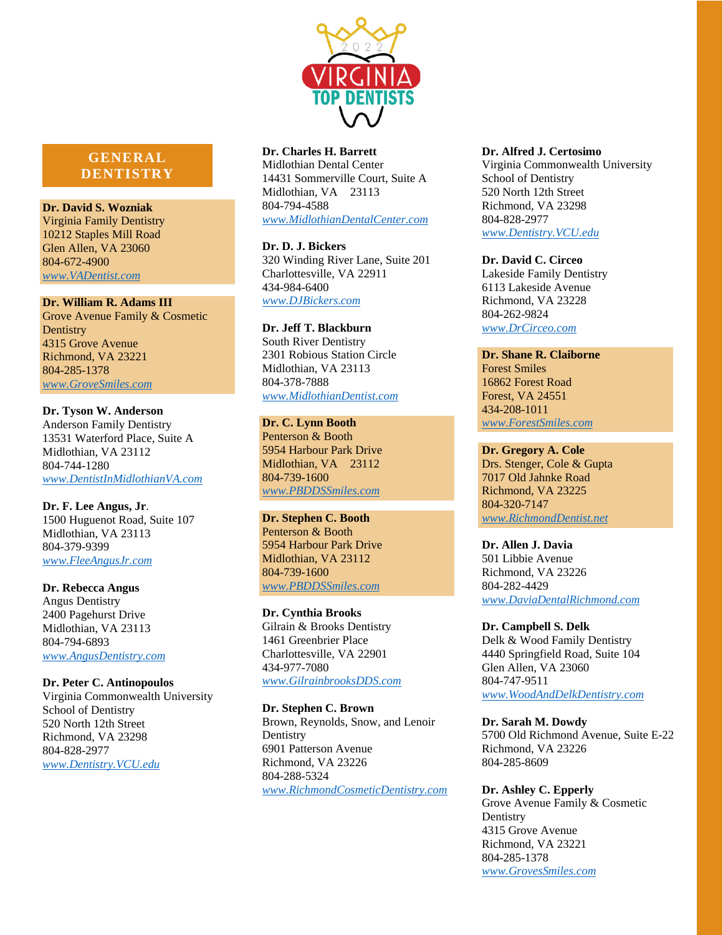

# **GENERAL DENTISTRY**

**Dr. David S. Wozniak** Virginia Family Dentistry 10212 Staples Mill Road Glen Allen, VA 23060 804-672-4900 *[www.VADentist.com](http://www.vadentist.com/)*

#### **Dr. William R. Adams III**

Grove Avenue Family & Cosmetic **Dentistry** 4315 Grove Avenue Richmond, VA 23221 804-285-1378 *[www.GroveSmiles.com](http://www.grovesmiles.com/)*

**Dr. Tyson W. Anderson** Anderson Family Dentistry 13531 Waterford Place, Suite A Midlothian, VA 23112 804-744-1280 *[www.DentistInMidlothianVA.com](http://www.dentistinmidlothianva.com/)*

**Dr. F. Lee Angus, Jr**. 1500 Huguenot Road, Suite 107 Midlothian, VA 23113 804-379-9399 *[www.FleeAngusJr.com](http://www.fleeangusjr.com/)*

**Dr. Rebecca Angus** Angus Dentistry 2400 Pagehurst Drive Midlothian, VA 23113 804-794-6893 *[www.AngusDentistry.com](http://www.angusdentistry.com/)*

### **Dr. Peter C. Antinopoulos**

Virginia Commonwealth University School of Dentistry 520 North 12th Street Richmond, VA 23298 804-828-2977 *[www.Dentistry.VCU.edu](http://www.dentistry.vcu.edu/)*

### **Dr. Charles H. Barrett**

Midlothian Dental Center 14431 Sommerville Court, Suite A Midlothian, VA 23113 804-794-4588 *[www.MidlothianDentalCenter.com](http://www.midlothiandentalcenter.com/)*

**Dr. D. J. Bickers** 320 Winding River Lane, Suite 201 Charlottesville, VA 22911 434-984-6400 *[www.DJBickers.com](http://www.djbickers.com/)*

**Dr. Jeff T. Blackburn** South River Dentistry 2301 Robious Station Circle Midlothian, VA 23113 804-378-7888 *[www.MidlothianDentist.com](http://www.midlothiandentist.com/)*

### **Dr. C. Lynn Booth**

Penterson & Booth 5954 Harbour Park Drive Midlothian, VA 23112 804-739-1600 *[www.PBDDSSmiles.com](http://www.pbddssmiles.com/)*

### **Dr. Stephen C. Booth**

Penterson & Booth 5954 Harbour Park Drive Midlothian, VA 23112 804-739-1600 *[www.PBDDSSmiles.com](http://www.pbddssmiles.com/)*

#### **Dr. Cynthia Brooks**

Gilrain & Brooks Dentistry 1461 Greenbrier Place Charlottesville, VA 22901 434-977-7080 *[www.GilrainbrooksDDS.com](http://www.gilrainbrooksdds.com/)*

### **Dr. Stephen C. Brown**

Brown, Reynolds, Snow, and Lenoir **Dentistry** 6901 Patterson Avenue Richmond, VA 23226 804-288-5324 *[www.RichmondCosmeticDentistry.com](http://www.richmondcosmeticdentistry.com/)*

#### **Dr. Alfred J. Certosimo**

Virginia Commonwealth University School of Dentistry 520 North 12th Street Richmond, VA 23298 804-828-2977 *[www.Dentistry.VCU.edu](http://www.dentistry.vcu.edu/)*

#### **Dr. David C. Circeo**

Lakeside Family Dentistry 6113 Lakeside Avenue Richmond, VA 23228 804-262-9824 *[www.DrCirceo.com](http://www.drcirceo.com/)*

**Dr. Shane R. Claiborne** Forest Smiles 16862 Forest Road Forest, VA 24551 434-208-1011 *[www.ForestSmiles.com](http://www.forestsmiles.com/)*

**Dr. Gregory A. Cole** Drs. Stenger, Cole & Gupta 7017 Old Jahnke Road Richmond, VA 23225 804-320-7147 *[www.RichmondDentist.net](http://www.richmonddentist.net/)*

**Dr. Allen J. Davia** 501 Libbie Avenue Richmond, VA 23226 804-282-4429 *[www.DaviaDentalRichmond.com](http://www.daviadentalrichmond.com/)*

**Dr. Campbell S. Delk** Delk & Wood Family Dentistry 4440 Springfield Road, Suite 104 Glen Allen, VA 23060 804-747-9511 *[www.WoodAndDelkDentistry.com](http://www.woodanddelkdentistry.com/)*

**Dr. Sarah M. Dowdy** 5700 Old Richmond Avenue, Suite E-22 Richmond, VA 23226 804-285-8609

#### **Dr. Ashley C. Epperly**

Grove Avenue Family & Cosmetic **Dentistry** 4315 Grove Avenue Richmond, VA 23221 804-285-1378 *[www.GrovesSmiles.com](http://www.grovessmiles.com/)*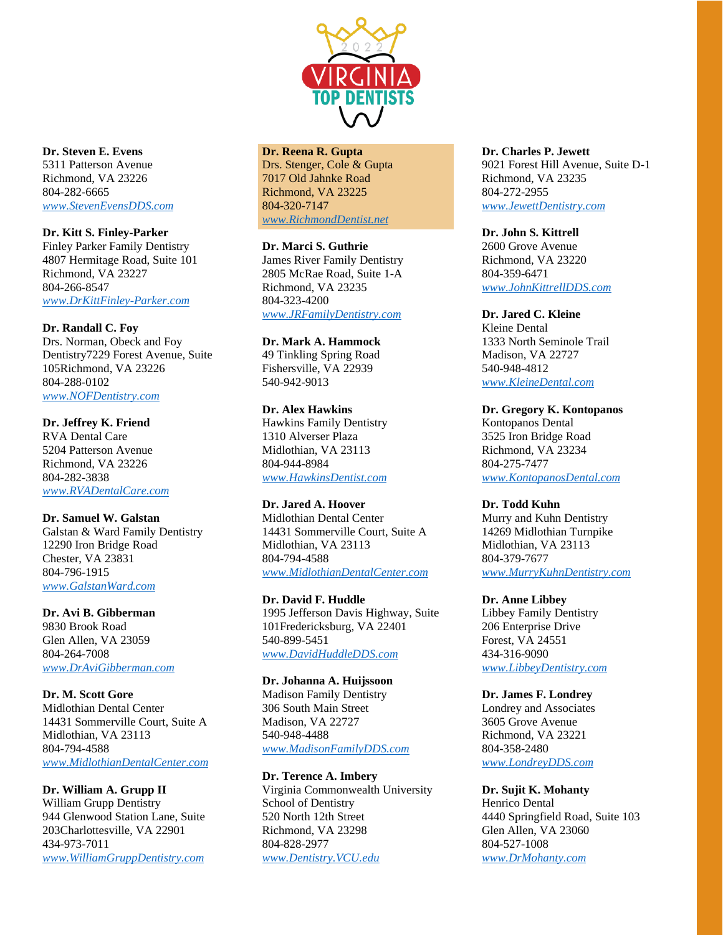

**Dr. Steven E. Evens** 5311 Patterson Avenue Richmond, VA 23226 804-282-6665 *[www.StevenEvensDDS.com](http://www.stevenevensdds.com/)*

**Dr. Kitt S. Finley-Parker** Finley Parker Family Dentistry 4807 Hermitage Road, Suite 101 Richmond, VA 23227 804-266-8547 *[www.DrKittFinley-Parker.com](http://www.drkittfinley-parker.com/)*

**Dr. Randall C. Foy** Drs. Norman, Obeck and Foy Dentistry7229 Forest Avenue, Suite 105Richmond, VA 23226 804-288-0102 *[www.NOFDentistry.com](http://www.nofdentistry.com/)*

**Dr. Jeffrey K. Friend** RVA Dental Care 5204 Patterson Avenue Richmond, VA 23226 804-282-3838 *[www.RVADentalCare.com](http://www.rvadentalcare.com/)*

**Dr. Samuel W. Galstan** Galstan & Ward Family Dentistry 12290 Iron Bridge Road Chester, VA 23831 804-796-1915 *[www.GalstanWard.com](http://www.galstanward.com/)*

**Dr. Avi B. Gibberman** 9830 Brook Road Glen Allen, VA 23059 804-264-7008 *[www.DrAviGibberman.com](http://www.dravigibberman.com/)*

**Dr. M. Scott Gore** Midlothian Dental Center 14431 Sommerville Court, Suite A Midlothian, VA 23113 804-794-4588 *[www.MidlothianDentalCenter.com](http://www.midlothiandentalcenter.com/)*

**Dr. William A. Grupp II** William Grupp Dentistry 944 Glenwood Station Lane, Suite 203Charlottesville, VA 22901 434-973-7011 *[www.WilliamGruppDentistry.com](http://www.williamgruppdentistry.com/)*

### **Dr. Reena R. Gupta**

Drs. Stenger, Cole & Gupta 7017 Old Jahnke Road Richmond, VA 23225 804-320-7147 *[www.RichmondDentist.net](http://www.richmonddentist.net/)*

**Dr. Marci S. Guthrie**

James River Family Dentistry 2805 McRae Road, Suite 1-A Richmond, VA 23235 804-323-4200 *[www.JRFamilyDentistry.com](http://www.jrfamilydentistry.com/)*

**Dr. Mark A. Hammock** 49 Tinkling Spring Road Fishersville, VA 22939 540-942-9013

**Dr. Alex Hawkins** Hawkins Family Dentistry 1310 Alverser Plaza Midlothian, VA 23113 804-944-8984 *[www.HawkinsDentist.com](http://www.hawkinsdentist.com/)*

**Dr. Jared A. Hoover** Midlothian Dental Center 14431 Sommerville Court, Suite A Midlothian, VA 23113 804-794-4588 *[www.MidlothianDentalCenter.com](http://www.midlothiandentalcenter.com/)*

**Dr. David F. Huddle** 1995 Jefferson Davis Highway, Suite 101Fredericksburg, VA 22401 540-899-5451 *[www.DavidHuddleDDS.com](http://www.davidhuddledds.com/)*

**Dr. Johanna A. Huijssoon** Madison Family Dentistry 306 South Main Street Madison, VA 22727 540-948-4488 *[www.MadisonFamilyDDS.com](http://www.madisonfamilydds.com/)*

**Dr. Terence A. Imbery** Virginia Commonwealth University School of Dentistry 520 North 12th Street Richmond, VA 23298 804-828-2977 *[www.Dentistry.VCU.edu](http://www.dentistry.vcu.edu/)*

**Dr. Charles P. Jewett** 9021 Forest Hill Avenue, Suite D-1 Richmond, VA 23235 804-272-2955 *[www.JewettDentistry.com](http://www.jewettdentistry.com/)*

**Dr. John S. Kittrell** 2600 Grove Avenue Richmond, VA 23220 804-359-6471 *[www.JohnKittrellDDS.com](http://www.johnkittrelldds.com/)*

**Dr. Jared C. Kleine** Kleine Dental 1333 North Seminole Trail Madison, VA 22727 540-948-4812 *[www.KleineDental.com](http://www.kleinedental.com/)*

**Dr. Gregory K. Kontopanos** Kontopanos Dental 3525 Iron Bridge Road Richmond, VA 23234 804-275-7477 *[www.KontopanosDental.com](http://www.kontopanosdental.com/)*

**Dr. Todd Kuhn** Murry and Kuhn Dentistry 14269 Midlothian Turnpike Midlothian, VA 23113 804-379-7677 *[www.MurryKuhnDentistry.com](http://www.murrykuhndentistry.com/)*

**Dr. Anne Libbey** Libbey Family Dentistry 206 Enterprise Drive Forest, VA 24551 434-316-9090 *[www.LibbeyDentistry.com](http://www.libbeydentistry.com/)*

**Dr. James F. Londrey** Londrey and Associates 3605 Grove Avenue Richmond, VA 23221 804-358-2480 *[www.LondreyDDS.com](http://www.londreydds.com/)*

**Dr. Sujit K. Mohanty** Henrico Dental 4440 Springfield Road, Suite 103 Glen Allen, VA 23060 804-527-1008 *[www.DrMohanty.com](http://www.drmohanty.com/)*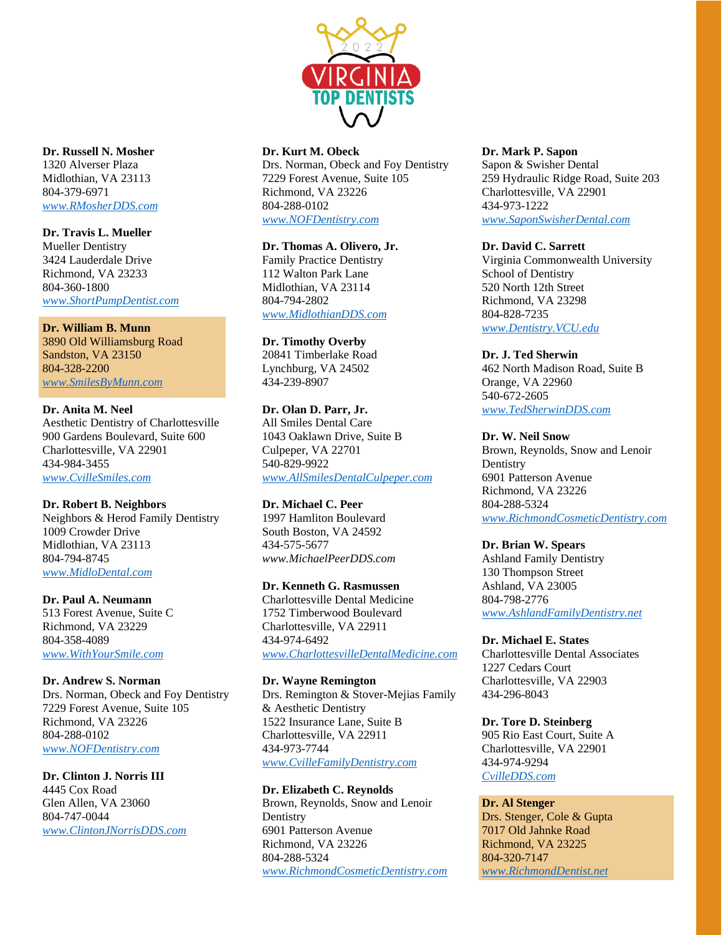

**Dr. Russell N. Mosher** 1320 Alverser Plaza Midlothian, VA 23113 804-379-6971 *[www.RMosherDDS.com](http://www.rmosherdds.com/)*

**Dr. Travis L. Mueller** Mueller Dentistry 3424 Lauderdale Drive Richmond, VA 23233 804-360-1800 *[www.ShortPumpDentist.com](http://www.shortpumpdentist.com/)*

### **Dr. William B. Munn** 3890 Old Williamsburg Road Sandston, VA 23150 804-328-2200 *[www.SmilesByMunn.com](http://www.smilesbymunn.com/)*

# **Dr. Anita M. Neel**

Aesthetic Dentistry of Charlottesville 900 Gardens Boulevard, Suite 600 Charlottesville, VA 22901 434-984-3455 *[www.CvilleSmiles.com](http://www.cvillesmiles.com/)*

# **Dr. Robert B. Neighbors**

Neighbors & Herod Family Dentistry 1009 Crowder Drive Midlothian, VA 23113 804-794-8745 *[www.MidloDental.com](http://www.midlodental.com/)*

**Dr. Paul A. Neumann**

513 Forest Avenue, Suite C Richmond, VA 23229 804-358-4089 *[www.WithYourSmile.com](http://www.withyoursmile.com/)*

# **Dr. Andrew S. Norman**

Drs. Norman, Obeck and Foy Dentistry 7229 Forest Avenue, Suite 105 Richmond, VA 23226 804-288-0102 *[www.NOFDentistry.com](http://www.nofdentistry.com/)*

# **Dr. Clinton J. Norris III**

4445 Cox Road Glen Allen, VA 23060 804-747-0044 *[www.ClintonJNorrisDDS.com](http://www.clintonjnorrisdds.com/)*

## **Dr. Kurt M. Obeck**

Drs. Norman, Obeck and Foy Dentistry 7229 Forest Avenue, Suite 105 Richmond, VA 23226 804-288-0102 *[www.NOFDentistry.com](http://www.nofdentistry.com/)*

## **Dr. Thomas A. Olivero, Jr.**

Family Practice Dentistry 112 Walton Park Lane Midlothian, VA 23114 804-794-2802 *[www.MidlothianDDS.com](http://www.midlothiandds.com/)*

# **Dr. Timothy Overby**

20841 Timberlake Road Lynchburg, VA 24502 434-239-8907

# **Dr. Olan D. Parr, Jr.**

All Smiles Dental Care 1043 Oaklawn Drive, Suite B Culpeper, VA 22701 540-829-9922 *[www.AllSmilesDentalCulpeper.com](http://www.allsmilesdentalculpeper.com/)*

**Dr. Michael C. Peer** 1997 Hamliton Boulevard South Boston, VA 24592 434-575-5677 *www.MichaelPeerDDS.com*

# **Dr. Kenneth G. Rasmussen**

Charlottesville Dental Medicine 1752 Timberwood Boulevard Charlottesville, VA 22911 434-974-6492 *[www.CharlottesvilleDentalMedicine.com](http://www.charlottesvilledentalmedicine.com/)*

**Dr. Wayne Remington** Drs. Remington & Stover-Mejias Family & Aesthetic Dentistry 1522 Insurance Lane, Suite B Charlottesville, VA 22911 434-973-7744 *[www.CvilleFamilyDentistry.com](http://www.cvillefamilydentistry.com/)*

# **Dr. Elizabeth C. Reynolds**

Brown, Reynolds, Snow and Lenoir **Dentistry** 6901 Patterson Avenue Richmond, VA 23226 804-288-5324 *[www.RichmondCosmeticDentistry.com](http://www.richmondcosmeticdentistry.com/)*

# **Dr. Mark P. Sapon**

Sapon & Swisher Dental 259 Hydraulic Ridge Road, Suite 203 Charlottesville, VA 22901 434-973-1222 *[www.SaponSwisherDental.com](http://www.saponswisherdental.com/)*

# **Dr. David C. Sarrett**

Virginia Commonwealth University School of Dentistry 520 North 12th Street Richmond, VA 23298 804-828-7235 *[www.Dentistry.VCU.edu](http://www.dentistry.vcu.edu/)*

# **Dr. J. Ted Sherwin**

462 North Madison Road, Suite B Orange, VA 22960 540-672-2605 *[www.TedSherwinDDS.com](http://www.tedsherwindds.com/)*

# **Dr. W. Neil Snow**

Brown, Reynolds, Snow and Lenoir **Dentistry** 6901 Patterson Avenue Richmond, VA 23226 804-288-5324 *[www.RichmondCosmeticDentistry.com](http://www.richmondcosmeticdentistry.com/)*

# **Dr. Brian W. Spears**

Ashland Family Dentistry 130 Thompson Street Ashland, VA 23005 804-798-2776 *[www.AshlandFamilyDentistry.net](http://www.ashlandfamilydentistry.net/)*

# **Dr. Michael E. States**

Charlottesville Dental Associates 1227 Cedars Court Charlottesville, VA 22903 434-296-8043

# **Dr. Tore D. Steinberg**

905 Rio East Court, Suite A Charlottesville, VA 22901 434-974-9294 *[CvilleDDS.com](http://cvilledds.com/)*

# **Dr. Al Stenger**

Drs. Stenger, Cole & Gupta 7017 Old Jahnke Road Richmond, VA 23225 804-320-7147 *[www.RichmondDentist.net](http://www.richmonddentist.net/)*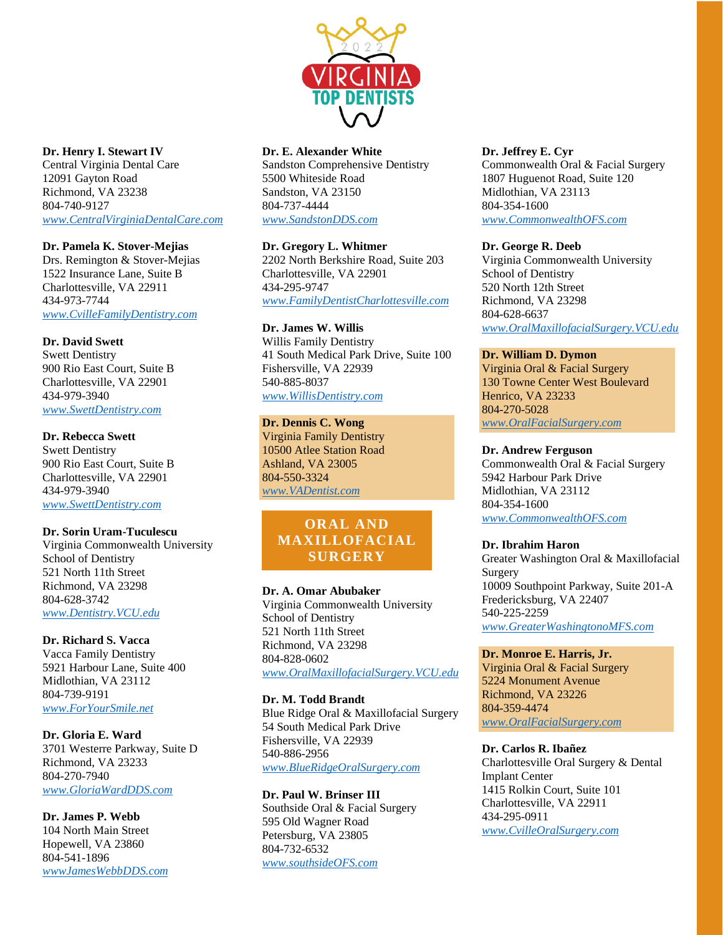

### **Dr. Henry I. Stewart IV**

Central Virginia Dental Care 12091 Gayton Road Richmond, VA 23238 804-740-9127 *[www.CentralVirginiaDentalCare.com](http://www.centralvirginiadentalcare.com/)*

### **Dr. Pamela K. Stover-Mejias**

Drs. Remington & Stover-Mejias 1522 Insurance Lane, Suite B Charlottesville, VA 22911 434-973-7744 *[www.CvilleFamilyDentistry.com](http://www.cvillefamilydentistry.com/)*

### **Dr. David Swett**

Swett Dentistry 900 Rio East Court, Suite B Charlottesville, VA 22901 434-979-3940 *[www.SwettDentistry.com](http://www.swettdentistry.com/)*

### **Dr. Rebecca Swett**

Swett Dentistry 900 Rio East Court, Suite B Charlottesville, VA 22901 434-979-3940 *[www.SwettDentistry.com](http://www.swettdentistry.com/)*

#### **Dr. Sorin Uram-Tuculescu**

Virginia Commonwealth University School of Dentistry 521 North 11th Street Richmond, VA 23298 804-628-3742 *[www.Dentistry.VCU.edu](http://www.dentistry.vcu.edu/)*

# **Dr. Richard S. Vacca**

Vacca Family Dentistry 5921 Harbour Lane, Suite 400 Midlothian, VA 23112 804-739-9191 *[www.ForYourSmile.net](http://www.foryoursmile.net/)*

#### **Dr. Gloria E. Ward**

3701 Westerre Parkway, Suite D Richmond, VA 23233 804-270-7940 *[www.GloriaWardDDS.com](http://www.gloriawarddds.com/)*

### **Dr. James P. Webb** 104 North Main Street Hopewell, VA 23860 804-541-1896 *[wwwJamesWebbDDS.com](http://wwwjameswebbdds.com/)*

### **Dr. E. Alexander White**

Sandston Comprehensive Dentistry 5500 Whiteside Road Sandston, VA 23150 804-737-4444 *[www.SandstonDDS.com](http://www.sandstondds.com/)*

### **Dr. Gregory L. Whitmer**

2202 North Berkshire Road, Suite 203 Charlottesville, VA 22901 434-295-9747 *[www.FamilyDentistCharlottesville.com](http://www.familydentistcharlottesville.com/)*

# **Dr. James W. Willis**

Willis Family Dentistry 41 South Medical Park Drive, Suite 100 Fishersville, VA 22939 540-885-8037 *[www.WillisDentistry.com](http://www.willisdentistry.com/)*

### **Dr. Dennis C. Wong**

Virginia Family Dentistry 10500 Atlee Station Road Ashland, VA 23005 804-550-3324 *[www.VADentist.com](http://www.vadentist.com/)*

# **ORAL AND MAXILLOFACIAL SURGERY**

### **Dr. A. Omar Abubaker**

Virginia Commonwealth University School of Dentistry 521 North 11th Street Richmond, VA 23298 804-828-0602 *[www.OralMaxillofacialSurgery.VCU.edu](http://www.oralmaxillofacialsurgery.vcu.edu/)*

### **Dr. M. Todd Brandt** Blue Ridge Oral & Maxillofacial Surgery 54 South Medical Park Drive Fishersville, VA 22939 540-886-2956 *[www.BlueRidgeOralSurgery.com](http://www.blueridgeoralsurgery.com/)*

**Dr. Paul W. Brinser III** Southside Oral & Facial Surgery 595 Old Wagner Road Petersburg, VA 23805 804-732-6532 *[www.southsideOFS.com](http://www.southsideofs.com/)*

### **Dr. Jeffrey E. Cyr**

Commonwealth Oral & Facial Surgery 1807 Huguenot Road, Suite 120 Midlothian, VA 23113 804-354-1600 *[www.CommonwealthOFS.com](http://www.commonwealthofs.com/)*

### **Dr. George R. Deeb**

Virginia Commonwealth University School of Dentistry 520 North 12th Street Richmond, VA 23298 804-628-6637 *[www.OralMaxillofacialSurgery.VCU.edu](http://www.oralmaxillofacialsurgery.vcu.edu/)*

### **Dr. William D. Dymon**

Virginia Oral & Facial Surgery 130 Towne Center West Boulevard Henrico, VA 23233 804-270-5028 *[www.OralFacialSurgery.com](http://www.oralfacialsurgery.com/)*

### **Dr. Andrew Ferguson**

Commonwealth Oral & Facial Surgery 5942 Harbour Park Drive Midlothian, VA 23112 804-354-1600 *[www.CommonwealthOFS.com](http://www.commonwealthofs.com/)*

### **Dr. Ibrahim Haron**

Greater Washington Oral & Maxillofacial Surgery 10009 Southpoint Parkway, Suite 201-A Fredericksburg, VA 22407 540-225-2259 *[www.GreaterWashingtonoMFS.com](http://www.greaterwashingtonomfs.com/)*

#### **Dr. Monroe E. Harris, Jr.**

Virginia Oral & Facial Surgery 5224 Monument Avenue Richmond, VA 23226 804-359-4474 *[www.OralFacialSurgery.com](http://www.oralfacialsurgery.com/)*

### **Dr. Carlos R. Ibañez**

Charlottesville Oral Surgery & Dental Implant Center 1415 Rolkin Court, Suite 101 Charlottesville, VA 22911 434-295-0911 *[www.CvilleOralSurgery.com](http://www.cvilleoralsurgery.com/)*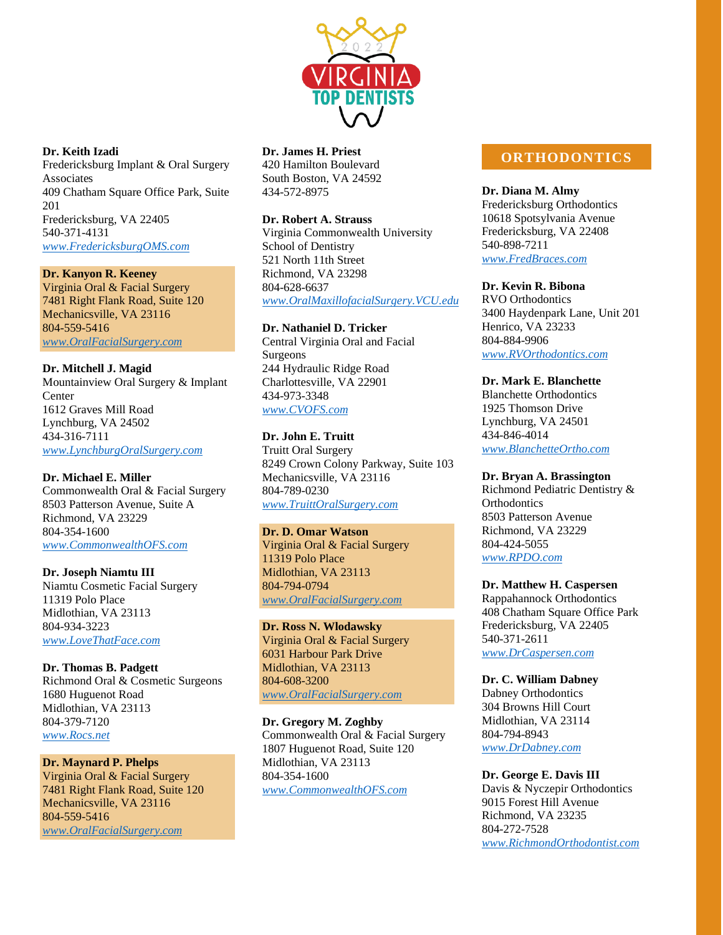

#### **Dr. Keith Izadi**

Fredericksburg Implant & Oral Surgery Associates 409 Chatham Square Office Park, Suite 201 Fredericksburg, VA 22405 540-371-4131 *[www.FredericksburgOMS.com](http://www.fredericksburgoms.com/)*

# **Dr. Kanyon R. Keeney**

Virginia Oral & Facial Surgery 7481 Right Flank Road, Suite 120 Mechanicsville, VA 23116 804-559-5416 *[www.OralFacialSurgery.com](http://www.oralfacialsurgery.com/)*

### **Dr. Mitchell J. Magid**

Mountainview Oral Surgery & Implant **Center** 1612 Graves Mill Road Lynchburg, VA 24502 434-316-7111 *[www.LynchburgOralSurgery.com](http://www.lynchburgoralsurgery.com/)*

### **Dr. Michael E. Miller**

Commonwealth Oral & Facial Surgery 8503 Patterson Avenue, Suite A Richmond, VA 23229 804-354-1600 *[www.CommonwealthOFS.com](http://www.commonwealthofs.com/)*

#### **Dr. Joseph Niamtu III**

Niamtu Cosmetic Facial Surgery 11319 Polo Place Midlothian, VA 23113 804-934-3223 *[www.LoveThatFace.com](http://www.lovethatface.com/)*

#### **Dr. Thomas B. Padgett**

Richmond Oral & Cosmetic Surgeons 1680 Huguenot Road Midlothian, VA 23113 804-379-7120 *[www.Rocs.net](http://www.rocs.net/)*

### **Dr. Maynard P. Phelps**

Virginia Oral & Facial Surgery 7481 Right Flank Road, Suite 120 Mechanicsville, VA 23116 804-559-5416 *[www.OralFacialSurgery.com](http://www.oralfacialsurgery.com/)*

### **Dr. James H. Priest**

420 Hamilton Boulevard South Boston, VA 24592 434-572-8975

### **Dr. Robert A. Strauss**

Virginia Commonwealth University School of Dentistry 521 North 11th Street Richmond, VA 23298 804-628-6637 *[www.OralMaxillofacialSurgery.VCU.edu](http://www.oralmaxillofacialsurgery.vcu.edu/)*

# **Dr. Nathaniel D. Tricker**

Central Virginia Oral and Facial Surgeons 244 Hydraulic Ridge Road Charlottesville, VA 22901 434-973-3348 *[www.CVOFS.com](http://www.cvofs.com/)*

### **Dr. John E. Truitt**

Truitt Oral Surgery 8249 Crown Colony Parkway, Suite 103 Mechanicsville, VA 23116 804-789-0230 *[www.TruittOralSurgery.com](http://www.truittoralsurgery.com/)*

### **Dr. D. Omar Watson**

Virginia Oral & Facial Surgery 11319 Polo Place Midlothian, VA 23113 804-794-0794 *[www.OralFacialSurgery.com](http://www.oralfacialsurgery.com/)*

### **Dr. Ross N. Wlodawsky**

Virginia Oral & Facial Surgery 6031 Harbour Park Drive Midlothian, VA 23113 804-608-3200 *[www.OralFacialSurgery.com](http://www.oralfacialsurgery.com/)*

### **Dr. Gregory M. Zoghby** Commonwealth Oral & Facial Surgery 1807 Huguenot Road, Suite 120 Midlothian, VA 23113 804-354-1600 *[www.CommonwealthOFS.com](http://www.commonwealthofs.com/)*

# **ORTHODONTICS**

### **Dr. Diana M. Almy**

Fredericksburg Orthodontics 10618 Spotsylvania Avenue Fredericksburg, VA 22408 540-898-7211 *[www.FredBraces.com](http://www.fredbraces.com/)*

## **Dr. Kevin R. Bibona**

RVO Orthodontics 3400 Haydenpark Lane, Unit 201 Henrico, VA 23233 804-884-9906 *[www.RVOrthodontics.com](http://www.rvorthodontics.com/)*

#### **Dr. Mark E. Blanchette**

Blanchette Orthodontics 1925 Thomson Drive Lynchburg, VA 24501 434-846-4014 *[www.BlanchetteOrtho.com](http://www.blanchetteortho.com/)*

#### **Dr. Bryan A. Brassington**

Richmond Pediatric Dentistry & **Orthodontics** 8503 Patterson Avenue Richmond, VA 23229 804-424-5055 *[www.RPDO.com](http://www.rpdo.com/)*

### **Dr. Matthew H. Caspersen**

Rappahannock Orthodontics 408 Chatham Square Office Park Fredericksburg, VA 22405 540-371-2611 *[www.DrCaspersen.com](http://www.drcaspersen.com/)*

#### **Dr. C. William Dabney**

Dabney Orthodontics 304 Browns Hill Court Midlothian, VA 23114 804-794-8943 *[www.DrDabney.com](http://www.drdabney.com/)*

#### **Dr. George E. Davis III**

Davis & Nyczepir Orthodontics 9015 Forest Hill Avenue Richmond, VA 23235 804-272-7528 *[www.RichmondOrthodontist.com](http://www.richmondorthodontist.com/)*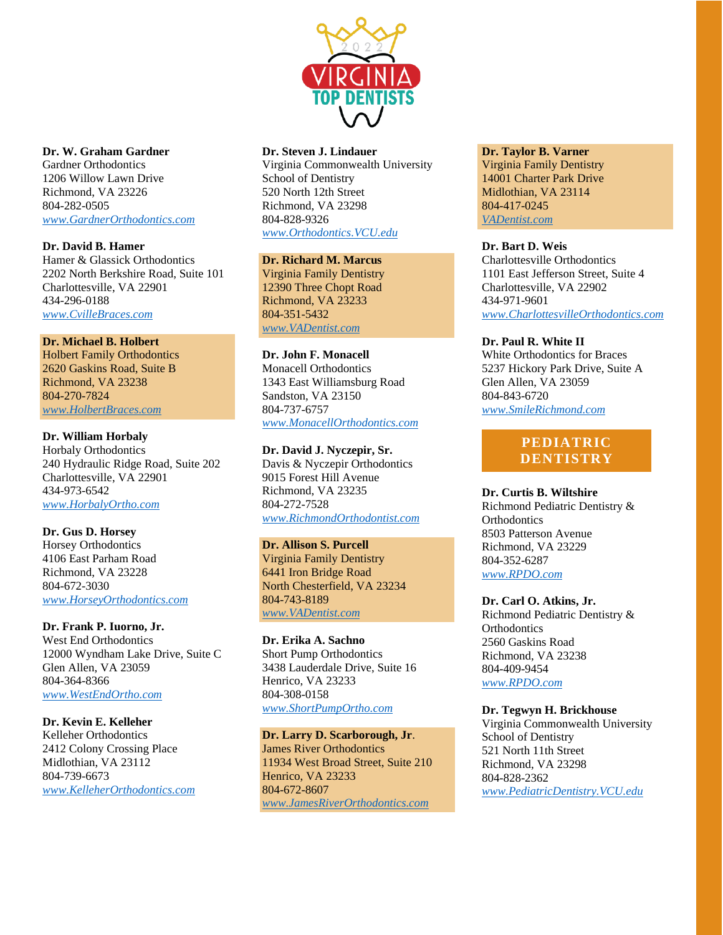

### **Dr. W. Graham Gardner**

Gardner Orthodontics 1206 Willow Lawn Drive Richmond, VA 23226 804-282-0505 *[www.GardnerOrthodontics.com](http://www.gardnerorthodontics.com/)*

### **Dr. David B. Hamer**

Hamer & Glassick Orthodontics 2202 North Berkshire Road, Suite 101 Charlottesville, VA 22901 434-296-0188 *[www.CvilleBraces.com](http://www.cvillebraces.com/)*

### **Dr. Michael B. Holbert**

Holbert Family Orthodontics 2620 Gaskins Road, Suite B Richmond, VA 23238 804-270-7824 *[www.HolbertBraces.com](http://www.holbertbraces.com/)*

### **Dr. William Horbaly**

Horbaly Orthodontics 240 Hydraulic Ridge Road, Suite 202 Charlottesville, VA 22901 434-973-6542 *[www.HorbalyOrtho.com](http://www.horbalyortho.com/)*

### **Dr. Gus D. Horsey**

Horsey Orthodontics 4106 East Parham Road Richmond, VA 23228 804-672-3030 *[www.HorseyOrthodontics.com](http://www.horseyorthodontics.com/)*

### **Dr. Frank P. Iuorno, Jr.**

West End Orthodontics 12000 Wyndham Lake Drive, Suite C Glen Allen, VA 23059 804-364-8366 *[www.WestEndOrtho.com](http://www.westendortho.com/)*

# **Dr. Kevin E. Kelleher**

Kelleher Orthodontics 2412 Colony Crossing Place Midlothian, VA 23112 804-739-6673 *[www.KelleherOrthodontics.com](http://www.kelleherorthodontics.com/)*

### **Dr. Steven J. Lindauer**

Virginia Commonwealth University School of Dentistry 520 North 12th Street Richmond, VA 23298 804-828-9326 *[www.Orthodontics.VCU.edu](http://www.orthodontics.vcu.edu/)*

# **Dr. Richard M. Marcus**

Virginia Family Dentistry 12390 Three Chopt Road Richmond, VA 23233 804-351-5432 *[www.VADentist.com](http://www.vadentist.com/)*

### **Dr. John F. Monacell**

Monacell Orthodontics 1343 East Williamsburg Road Sandston, VA 23150 804-737-6757 *[www.MonacellOrthodontics.com](http://www.monacellorthodontics.com/)*

# **Dr. David J. Nyczepir, Sr.**

Davis & Nyczepir Orthodontics 9015 Forest Hill Avenue Richmond, VA 23235 804-272-7528 *[www.RichmondOrthodontist.com](http://www.richmondorthodontist.com/)*

# **Dr. Allison S. Purcell**

Virginia Family Dentistry 6441 Iron Bridge Road North Chesterfield, VA 23234 804-743-8189 *[www.VADentist.com](http://www.vadentist.com/)*

**Dr. Erika A. Sachno** Short Pump Orthodontics 3438 Lauderdale Drive, Suite 16 Henrico, VA 23233 804-308-0158 *[www.ShortPumpOrtho.com](http://www.shortpumportho.com/)*

## **Dr. Larry D. Scarborough, Jr**.

James River Orthodontics 11934 West Broad Street, Suite 210 Henrico, VA 23233 804-672-8607 *[www.JamesRiverOrthodontics.com](http://www.jamesriverorthodontics.com/)*

### **Dr. Taylor B. Varner**

Virginia Family Dentistry 14001 Charter Park Drive Midlothian, VA 23114 804-417-0245 *[VADentist.com](http://vadentist.com/)*

### **Dr. Bart D. Weis**

Charlottesville Orthodontics 1101 East Jefferson Street, Suite 4 Charlottesville, VA 22902 434-971-9601 *[www.CharlottesvilleOrthodontics.com](http://www.charlottesvilleorthodontics.com/)*

### **Dr. Paul R. White II**

White Orthodontics for Braces 5237 Hickory Park Drive, Suite A Glen Allen, VA 23059 804-843-6720 *[www.SmileRichmond.com](http://www.smilerichmond.com/)*

# **PEDIATRIC DENTISTRY**

# **Dr. Curtis B. Wiltshire**

Richmond Pediatric Dentistry & **Orthodontics** 8503 Patterson Avenue Richmond, VA 23229 804-352-6287 *[www.RPDO.com](http://www.rpdo.com/)*

### **Dr. Carl O. Atkins, Jr.**

Richmond Pediatric Dentistry & **Orthodontics** 2560 Gaskins Road Richmond, VA 23238 804-409-9454 *[www.RPDO.com](http://www.rpdo.com/)*

### **Dr. Tegwyn H. Brickhouse**

Virginia Commonwealth University School of Dentistry 521 North 11th Street Richmond, VA 23298 804-828-2362 *[www.PediatricDentistry.VCU.edu](http://www.pediatricdentistry.vcu.edu/)*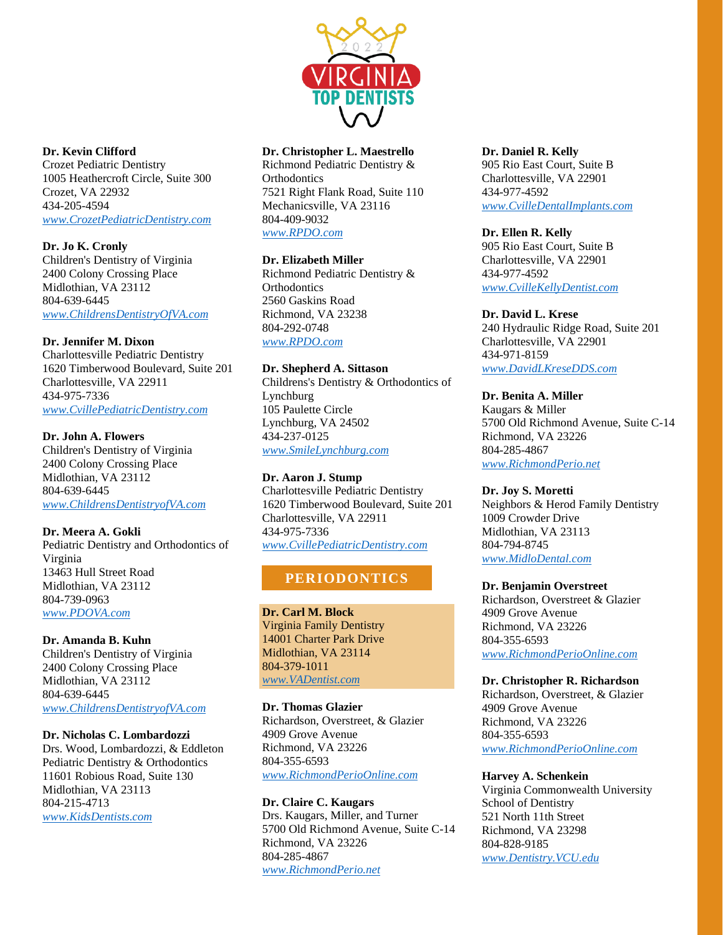

### **Dr. Kevin Clifford**

Crozet Pediatric Dentistry 1005 Heathercroft Circle, Suite 300 Crozet, VA 22932 434-205-4594 *[www.CrozetPediatricDentistry.com](http://www.crozetpediatricdentistry.com/)*

**Dr. Jo K. Cronly**

Children's Dentistry of Virginia 2400 Colony Crossing Place Midlothian, VA 23112 804-639-6445 *[www.ChildrensDentistryOfVA.com](http://www.childrensdentistryofva.com/)*

## **Dr. Jennifer M. Dixon**

Charlottesville Pediatric Dentistry 1620 Timberwood Boulevard, Suite 201 Charlottesville, VA 22911 434-975-7336 *[www.CvillePediatricDentistry.com](http://www.cvillepediatricdentistry.com/)*

## **Dr. John A. Flowers**

Children's Dentistry of Virginia 2400 Colony Crossing Place Midlothian, VA 23112 804-639-6445 *[www.ChildrensDentistryofVA.com](http://www.childrensdentistryofva.com/)*

### **Dr. Meera A. Gokli**

Pediatric Dentistry and Orthodontics of Virginia 13463 Hull Street Road Midlothian, VA 23112 804-739-0963 *[www.PDOVA.com](http://www.pdova.com/)*

### **Dr. Amanda B. Kuhn**

Children's Dentistry of Virginia 2400 Colony Crossing Place Midlothian, VA 23112 804-639-6445 *[www.ChildrensDentistryofVA.com](http://www.childrensdentistryofva.com/)*

### **Dr. Nicholas C. Lombardozzi**

Drs. Wood, Lombardozzi, & Eddleton Pediatric Dentistry & Orthodontics 11601 Robious Road, Suite 130 Midlothian, VA 23113 804-215-4713 *[www.KidsDentists.com](http://www.kidsdentists.com/)*

## **Dr. Christopher L. Maestrello**

Richmond Pediatric Dentistry & **Orthodontics** 7521 Right Flank Road, Suite 110 Mechanicsville, VA 23116 804-409-9032 *[www.RPDO.com](http://www.rpdo.com/)*

### **Dr. Elizabeth Miller**

Richmond Pediatric Dentistry & **Orthodontics** 2560 Gaskins Road Richmond, VA 23238 804-292-0748 *[www.RPDO.com](http://www.rpdo.com/)*

# **Dr. Shepherd A. Sittason**

Childrens's Dentistry & Orthodontics of Lynchburg 105 Paulette Circle Lynchburg, VA 24502 434-237-0125 *[www.SmileLynchburg.com](http://www.smilelynchburg.com/)*

### **Dr. Aaron J. Stump**

Charlottesville Pediatric Dentistry 1620 Timberwood Boulevard, Suite 201 Charlottesville, VA 22911 434-975-7336 *[www.CvillePediatricDentistry.com](http://www.cvillepediatricdentistry.com/)*

# **PERIODONTICS**

**Dr. Carl M. Block** Virginia Family Dentistry 14001 Charter Park Drive Midlothian, VA 23114 804-379-1011 *[www.VADentist.com](http://www.vadentist.com/)*

**Dr. Thomas Glazier** Richardson, Overstreet, & Glazier 4909 Grove Avenue Richmond, VA 23226 804-355-6593 *[www.RichmondPerioOnline.com](http://www.richmondperioonline.com/)*

### **Dr. Claire C. Kaugars** Drs. Kaugars, Miller, and Turner 5700 Old Richmond Avenue, Suite C-14 Richmond, VA 23226 804-285-4867 *[www.RichmondPerio.net](http://www.richmondperio.net/)*

### **Dr. Daniel R. Kelly** 905 Rio East Court, Suite B Charlottesville, VA 22901 434-977-4592 *[www.CvilleDentalImplants.com](http://www.cvilledentalimplants.com/)*

# **Dr. Ellen R. Kelly**

905 Rio East Court, Suite B Charlottesville, VA 22901 434-977-4592 *[www.CvilleKellyDentist.com](http://www.cvillekellydentist.com/)*

## **Dr. David L. Krese**

240 Hydraulic Ridge Road, Suite 201 Charlottesville, VA 22901 434-971-8159 *[www.DavidLKreseDDS.com](http://www.davidlkresedds.com/)*

# **Dr. Benita A. Miller**

Kaugars & Miller 5700 Old Richmond Avenue, Suite C-14 Richmond, VA 23226 804-285-4867 *[www.RichmondPerio.net](http://www.richmondperio.net/)*

### **Dr. Joy S. Moretti**

Neighbors & Herod Family Dentistry 1009 Crowder Drive Midlothian, VA 23113 804-794-8745 *[www.MidloDental.com](http://www.midlodental.com/)*

### **Dr. Benjamin Overstreet**

Richardson, Overstreet & Glazier 4909 Grove Avenue Richmond, VA 23226 804-355-6593 *[www.RichmondPerioOnline.com](http://www.richmondperioonline.com/)*

# **Dr. Christopher R. Richardson**

Richardson, Overstreet, & Glazier 4909 Grove Avenue Richmond, VA 23226 804-355-6593 *[www.RichmondPerioOnline.com](http://www.richmondperioonline.com/)*

### **Harvey A. Schenkein**

Virginia Commonwealth University School of Dentistry 521 North 11th Street Richmond, VA 23298 804-828-9185 *[www.Dentistry.VCU.edu](http://www.dentistry.vcu.edu/)*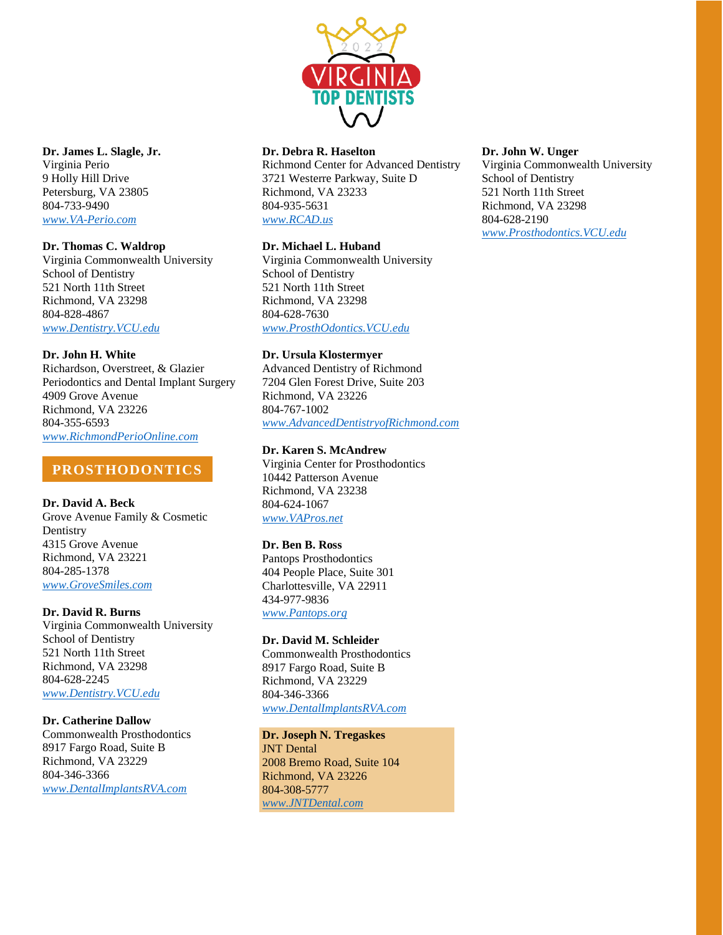

### **Dr. James L. Slagle, Jr.**

Virginia Perio 9 Holly Hill Drive Petersburg, VA 23805 804-733-9490 *[www.VA-Perio.com](http://www.va-perio.com/)*

### **Dr. Thomas C. Waldrop**

Virginia Commonwealth University School of Dentistry 521 North 11th Street Richmond, VA 23298 804-828-4867 *[www.Dentistry.VCU.edu](http://www.dentistry.vcu.edu/)*

### **Dr. John H. White**

Richardson, Overstreet, & Glazier Periodontics and Dental Implant Surgery 4909 Grove Avenue Richmond, VA 23226 804-355-6593 *[www.RichmondPerioOnline.com](http://www.richmondperioonline.com/)*

# **PROSTHODONTICS**

## **Dr. David A. Beck**

Grove Avenue Family & Cosmetic Dentistry 4315 Grove Avenue Richmond, VA 23221 804-285-1378 *[www.GroveSmiles.com](http://www.grovesmiles.com/)*

### **Dr. David R. Burns**

Virginia Commonwealth University School of Dentistry 521 North 11th Street Richmond, VA 23298 804-628-2245 *[www.Dentistry.VCU.edu](http://www.dentistry.vcu.edu/)*

### **Dr. Catherine Dallow**

Commonwealth Prosthodontics 8917 Fargo Road, Suite B Richmond, VA 23229 804-346-3366 *[www.DentalImplantsRVA.com](http://www.dentalimplantsrva.com/)*

### **Dr. Debra R. Haselton**

Richmond Center for Advanced Dentistry 3721 Westerre Parkway, Suite D Richmond, VA 23233 804-935-5631 *[www.RCAD.us](http://www.rcad.us/)*

### **Dr. Michael L. Huband**

Virginia Commonwealth University School of Dentistry 521 North 11th Street Richmond, VA 23298 804-628-7630 *[www.ProsthOdontics.VCU.edu](http://www.prosthodontics.vcu.edu/)*

### **Dr. Ursula Klostermyer**

Advanced Dentistry of Richmond 7204 Glen Forest Drive, Suite 203 Richmond, VA 23226 804-767-1002 *[www.AdvancedDentistryofRichmond.com](http://www.advanceddentistryofrichmond.com/)*

### **Dr. Karen S. McAndrew**

Virginia Center for Prosthodontics 10442 Patterson Avenue Richmond, VA 23238 804-624-1067 *[www.VAPros.net](http://www.vapros.net/)*

### **Dr. Ben B. Ross**

Pantops Prosthodontics 404 People Place, Suite 301 Charlottesville, VA 22911 434-977-9836 *[www.Pantops.org](http://www.pantops.org/)*

### **Dr. David M. Schleider**

Commonwealth Prosthodontics 8917 Fargo Road, Suite B Richmond, VA 23229 804-346-3366 *[www.DentalImplantsRVA.com](http://www.dentalimplantsrva.com/)*

# **Dr. Joseph N. Tregaskes**

JNT Dental 2008 Bremo Road, Suite 104 Richmond, VA 23226 804-308-5777 *[www.JNTDental.com](http://www.jntdental.com/)*

### **Dr. John W. Unger**

Virginia Commonwealth University School of Dentistry 521 North 11th Street Richmond, VA 23298 804-628-2190 *[www.Prosthodontics.VCU.edu](http://www.prosthodontics.vcu.edu/)*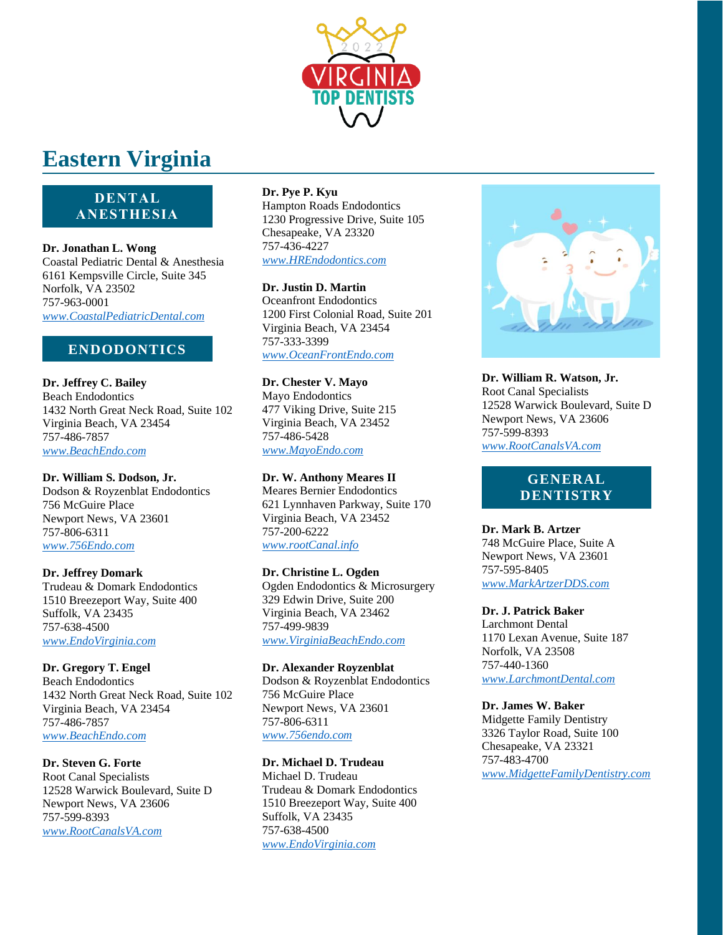

# **Eastern Virginia**

# **DENTAL ANESTHESIA**

**Dr. Jonathan L. Wong** Coastal Pediatric Dental & Anesthesia 6161 Kempsville Circle, Suite 345 Norfolk, VA 23502 757-963-0001 *[www.CoastalPediatricDental.com](http://www.coastalpediatricdental.com/)*

# **ENDODONTICS**

**Dr. Jeffrey C. Bailey** Beach Endodontics 1432 North Great Neck Road, Suite 102 Virginia Beach, VA 23454 757-486-7857 *[www.BeachEndo.com](http://www.beachendo.com/)*

**Dr. William S. Dodson, Jr.** Dodson & Royzenblat Endodontics 756 McGuire Place Newport News, VA 23601 757-806-6311 *[www.756Endo.com](http://www.756endo.com/)*

### **Dr. Jeffrey Domark**

Trudeau & Domark Endodontics 1510 Breezeport Way, Suite 400 Suffolk, VA 23435 757-638-4500 *[www.EndoVirginia.com](http://www.endovirginia.com/)*

# **Dr. Gregory T. Engel**

Beach Endodontics 1432 North Great Neck Road, Suite 102 Virginia Beach, VA 23454 757-486-7857 *[www.BeachEndo.com](http://www.beachendo.com/)*

# **Dr. Steven G. Forte**

Root Canal Specialists 12528 Warwick Boulevard, Suite D Newport News, VA 23606 757-599-8393 *[www.RootCanalsVA.com](http://www.rootcanalsva.com/)*

# **Dr. Pye P. Kyu**

Hampton Roads Endodontics 1230 Progressive Drive, Suite 105 Chesapeake, VA 23320 757-436-4227 *[www.HREndodontics.com](http://www.hrendodontics.com/)*

**Dr. Justin D. Martin** Oceanfront Endodontics 1200 First Colonial Road, Suite 201 Virginia Beach, VA 23454 757-333-3399 *[www.OceanFrontEndo.com](http://www.oceanfrontendo.com/)*

**Dr. Chester V. Mayo** Mayo Endodontics 477 Viking Drive, Suite 215 Virginia Beach, VA 23452 757-486-5428 *[www.MayoEndo.com](http://www.mayoendo.com/)*

**Dr. W. Anthony Meares II** Meares Bernier Endodontics 621 Lynnhaven Parkway, Suite 170 Virginia Beach, VA 23452 757-200-6222 *[www.rootCanal.info](http://www.rootcanal.info/)*

### **Dr. Christine L. Ogden**

Ogden Endodontics & Microsurgery 329 Edwin Drive, Suite 200 Virginia Beach, VA 23462 757-499-9839 *[www.VirginiaBeachEndo.com](http://www.virginiabeachendo.com/)*

**Dr. Alexander Royzenblat**

Dodson & Royzenblat Endodontics 756 McGuire Place Newport News, VA 23601 757-806-6311 *[www.756endo.com](http://www.756endo.com/)*

# **Dr. Michael D. Trudeau**

Michael D. Trudeau Trudeau & Domark Endodontics 1510 Breezeport Way, Suite 400 Suffolk, VA 23435 757-638-4500 *[www.EndoVirginia.com](http://www.endovirginia.com/)*



**Dr. William R. Watson, Jr.** Root Canal Specialists 12528 Warwick Boulevard, Suite D Newport News, VA 23606 757-599-8393 *[www.RootCanalsVA.com](http://www.rootcanalsva.com/)*

# **GENERAL DENTISTRY**

**Dr. Mark B. Artzer** 748 McGuire Place, Suite A Newport News, VA 23601 757-595-8405 *[www.MarkArtzerDDS.com](http://www.markartzerdds.com/)*

# **Dr. J. Patrick Baker**

Larchmont Dental 1170 Lexan Avenue, Suite 187 Norfolk, VA 23508 757-440-1360 *[www.LarchmontDental.com](http://www.larchmontdental.com/)*

# **Dr. James W. Baker**

Midgette Family Dentistry 3326 Taylor Road, Suite 100 Chesapeake, VA 23321 757-483-4700 *[www.MidgetteFamilyDentistry.com](http://www.midgettefamilydentistry.com/)*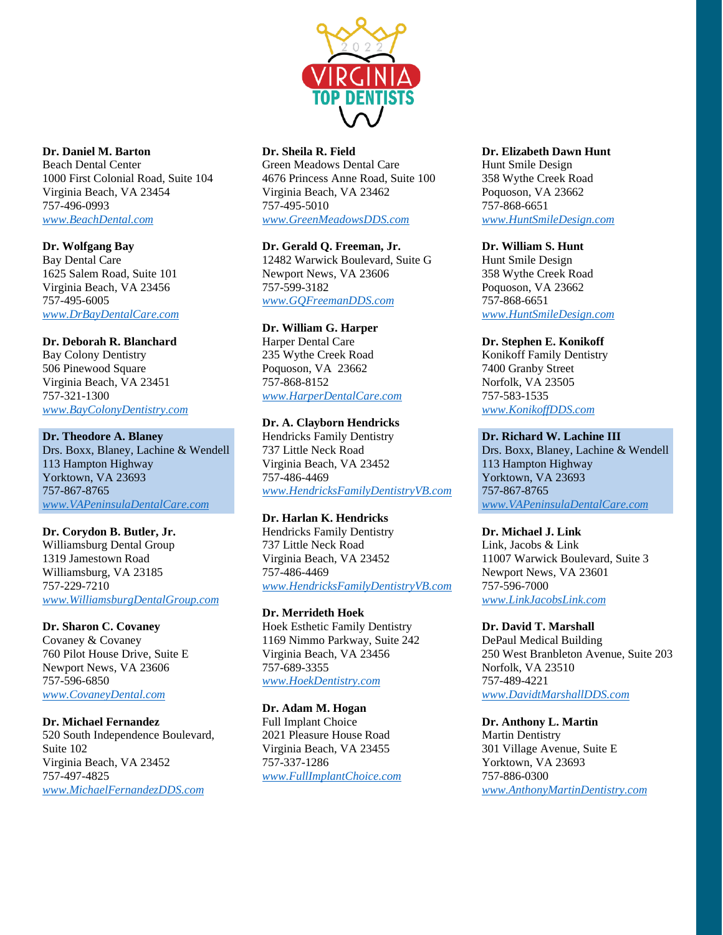

# **Dr. Daniel M. Barton**

Beach Dental Center 1000 First Colonial Road, Suite 104 Virginia Beach, VA 23454 757-496-0993 *[www.BeachDental.com](http://www.beachdental.com/)*

### **Dr. Wolfgang Bay**

Bay Dental Care 1625 Salem Road, Suite 101 Virginia Beach, VA 23456 757-495-6005 *[www.DrBayDentalCare.com](http://www.drbaydentalcare.com/)*

### **Dr. Deborah R. Blanchard**

Bay Colony Dentistry 506 Pinewood Square Virginia Beach, VA 23451 757-321-1300 *[www.BayColonyDentistry.com](http://www.baycolonydentistry.com/)*

### **Dr. Theodore A. Blaney**

Drs. Boxx, Blaney, Lachine & Wendell 113 Hampton Highway Yorktown, VA 23693 757-867-8765 *[www.VAPeninsulaDentalCare.com](http://www.vapeninsuladentalcare.com/)*

### **Dr. Corydon B. Butler, Jr.**

Williamsburg Dental Group 1319 Jamestown Road Williamsburg, VA 23185 757-229-7210 *[www.WilliamsburgDentalGroup.com](http://www.williamsburgdentalgroup.com/)*

### **Dr. Sharon C. Covaney**

Covaney & Covaney 760 Pilot House Drive, Suite E Newport News, VA 23606 757-596-6850 *[www.CovaneyDental.com](http://www.covaneydental.com/)*

#### **Dr. Michael Fernandez**

520 South Independence Boulevard, Suite 102 Virginia Beach, VA 23452 757-497-4825 *[www.MichaelFernandezDDS.com](http://www.michaelfernandezdds.com/)*

### **Dr. Sheila R. Field**

Green Meadows Dental Care 4676 Princess Anne Road, Suite 100 Virginia Beach, VA 23462 757-495-5010 *[www.GreenMeadowsDDS.com](http://www.greenmeadowsdds.com/)*

# **Dr. Gerald Q. Freeman, Jr.**

12482 Warwick Boulevard, Suite G Newport News, VA 23606 757-599-3182 *[www.GQFreemanDDS.com](http://www.gqfreemandds.com/)*

# **Dr. William G. Harper**

Harper Dental Care 235 Wythe Creek Road Poquoson, VA 23662 757-868-8152 *[www.HarperDentalCare.com](http://www.harperdentalcare.com/)*

### **Dr. A. Clayborn Hendricks**

Hendricks Family Dentistry 737 Little Neck Road Virginia Beach, VA 23452 757-486-4469 *[www.HendricksFamilyDentistryVB.com](http://www.hendricksfamilydentistryvb.com/)*

## **Dr. Harlan K. Hendricks**

Hendricks Family Dentistry 737 Little Neck Road Virginia Beach, VA 23452 757-486-4469 *[www.HendricksFamilyDentistryVB.com](http://www.hendricksfamilydentistryvb.com/)*

#### **Dr. Merrideth Hoek**

Hoek Esthetic Family Dentistry 1169 Nimmo Parkway, Suite 242 Virginia Beach, VA 23456 757-689-3355 *[www.HoekDentistry.com](http://www.hoekdentistry.com/)*

#### **Dr. Adam M. Hogan**

Full Implant Choice 2021 Pleasure House Road Virginia Beach, VA 23455 757-337-1286 *[www.FullImplantChoice.com](http://www.fullimplantchoice.com/)*

### **Dr. Elizabeth Dawn Hunt**

Hunt Smile Design 358 Wythe Creek Road Poquoson, VA 23662 757-868-6651 *[www.HuntSmileDesign.com](http://www.huntsmiledesign.com/)*

### **Dr. William S. Hunt**

Hunt Smile Design 358 Wythe Creek Road Poquoson, VA 23662 757-868-6651 *[www.HuntSmileDesign.com](http://www.huntsmiledesign.com/)*

#### **Dr. Stephen E. Konikoff**

Konikoff Family Dentistry 7400 Granby Street Norfolk, VA 23505 757-583-1535 *[www.KonikoffDDS.com](http://www.konikoffdds.com/)*

### **Dr. Richard W. Lachine III**

Drs. Boxx, Blaney, Lachine & Wendell 113 Hampton Highway Yorktown, VA 23693 757-867-8765 *[www.VAPeninsulaDentalCare.com](http://www.vapeninsuladentalcare.com/)*

#### **Dr. Michael J. Link**

Link, Jacobs & Link 11007 Warwick Boulevard, Suite 3 Newport News, VA 23601 757-596-7000 *[www.LinkJacobsLink.com](http://www.linkjacobslink.com/)*

#### **Dr. David T. Marshall**

DePaul Medical Building 250 West Branbleton Avenue, Suite 203 Norfolk, VA 23510 757-489-4221 *[www.DavidtMarshallDDS.com](http://www.davidtmarshalldds.com/)*

### **Dr. Anthony L. Martin**

Martin Dentistry 301 Village Avenue, Suite E Yorktown, VA 23693 757-886-0300 *[www.AnthonyMartinDentistry.com](http://www.anthonymartindentistry.com/)*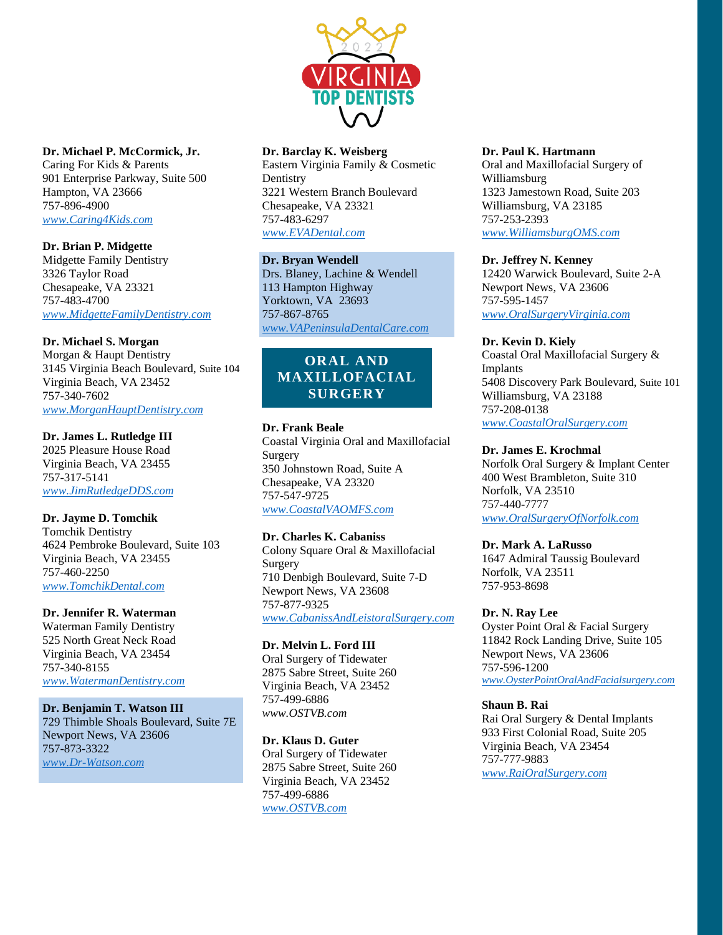

### **Dr. Michael P. McCormick, Jr.**

Caring For Kids & Parents 901 Enterprise Parkway, Suite 500 Hampton, VA 23666 757-896-4900 *[www.Caring4Kids.com](http://www.caring4kids.com/)*

## **Dr. Brian P. Midgette**

Midgette Family Dentistry 3326 Taylor Road Chesapeake, VA 23321 757-483-4700 *[www.MidgetteFamilyDentistry.com](http://www.midgettefamilydentistry.com/)*

### **Dr. Michael S. Morgan**

Morgan & Haupt Dentistry 3145 Virginia Beach Boulevard, Suite 104 Virginia Beach, VA 23452 757-340-7602 *[www.MorganHauptDentistry.com](http://www.morganhauptdentistry.com/)*

### **Dr. James L. Rutledge III**

2025 Pleasure House Road Virginia Beach, VA 23455 757-317-5141 *[www.JimRutledgeDDS.com](http://www.jimrutledgedds.com/)*

### **Dr. Jayme D. Tomchik**

Tomchik Dentistry 4624 Pembroke Boulevard, Suite 103 Virginia Beach, VA 23455 757-460-2250 *[www.TomchikDental.com](http://www.tomchikdental.com/)*

### **Dr. Jennifer R. Waterman**

Waterman Family Dentistry 525 North Great Neck Road Virginia Beach, VA 23454 757-340-8155 *[www.WatermanDentistry.com](http://www.watermandentistry.com/)*

### **Dr. Benjamin T. Watson III**

729 Thimble Shoals Boulevard, Suite 7E Newport News, VA 23606 757-873-3322 *[www.Dr-Watson.com](http://www.dr-watson.com/)*

### **Dr. Barclay K. Weisberg**

Eastern Virginia Family & Cosmetic **Dentistry** 3221 Western Branch Boulevard Chesapeake, VA 23321 757-483-6297 *[www.EVADental.com](http://www.evadental.com/)*

### **Dr. Bryan Wendell**

Drs. Blaney, Lachine & Wendell 113 Hampton Highway Yorktown, VA 23693 757-867-8765 *[www.VAPeninsulaDentalCare.com](http://www.vapeninsuladentalcare.com/)*

# **ORAL AND MAXILLOFACIAL SURGERY**

### **Dr. Frank Beale**

Coastal Virginia Oral and Maxillofacial Surgery 350 Johnstown Road, Suite A Chesapeake, VA 23320 757-547-9725 *[www.CoastalVAOMFS.com](http://www.coastalvaomfs.com/)*

#### **Dr. Charles K. Cabaniss**

Colony Square Oral & Maxillofacial Surgery 710 Denbigh Boulevard, Suite 7-D Newport News, VA 23608 757-877-9325 *[www.CabanissAndLeistoralSurgery.com](http://www.cabanissandleistoralsurgery.com/)*

# **Dr. Melvin L. Ford III**

Oral Surgery of Tidewater 2875 Sabre Street, Suite 260 Virginia Beach, VA 23452 757-499-6886 *www.OSTVB.com*

# **Dr. Klaus D. Guter**

Oral Surgery of Tidewater 2875 Sabre Street, Suite 260 Virginia Beach, VA 23452 757-499-6886 *[www.OSTVB.com](http://www.ostvb.com/)*

#### **Dr. Paul K. Hartmann**

Oral and Maxillofacial Surgery of Williamsburg 1323 Jamestown Road, Suite 203 Williamsburg, VA 23185 757-253-2393 *[www.WilliamsburgOMS.com](http://www.williamsburgoms.com/)*

### **Dr. Jeffrey N. Kenney**

12420 Warwick Boulevard, Suite 2-A Newport News, VA 23606 757-595-1457 *[www.OralSurgeryVirginia.com](http://www.oralsurgeryvirginia.com/)*

#### **Dr. Kevin D. Kiely**

Coastal Oral Maxillofacial Surgery & Implants 5408 Discovery Park Boulevard, Suite 101 Williamsburg, VA 23188 757-208-0138 *[www.CoastalOralSurgery.com](http://www.coastaloralsurgery.com/)*

#### **Dr. James E. Krochmal**

Norfolk Oral Surgery & Implant Center 400 West Brambleton, Suite 310 Norfolk, VA 23510 757-440-7777 *[www.OralSurgeryOfNorfolk.com](http://www.oralsurgeryofnorfolk.com/)*

#### **Dr. Mark A. LaRusso**

1647 Admiral Taussig Boulevard Norfolk, VA 23511 757-953-8698

#### **Dr. N. Ray Lee**

Oyster Point Oral & Facial Surgery 11842 Rock Landing Drive, Suite 105 Newport News, VA 23606 757-596-1200 *[www.OysterPointOralAndFacialsurgery.com](http://www.oysterpointoralandfacialsurgery.com/)*

#### **Shaun B. Rai**

Rai Oral Surgery & Dental Implants 933 First Colonial Road, Suite 205 Virginia Beach, VA 23454 757-777-9883

*[www.RaiOralSurgery.com](http://www.raioralsurgery.com/)*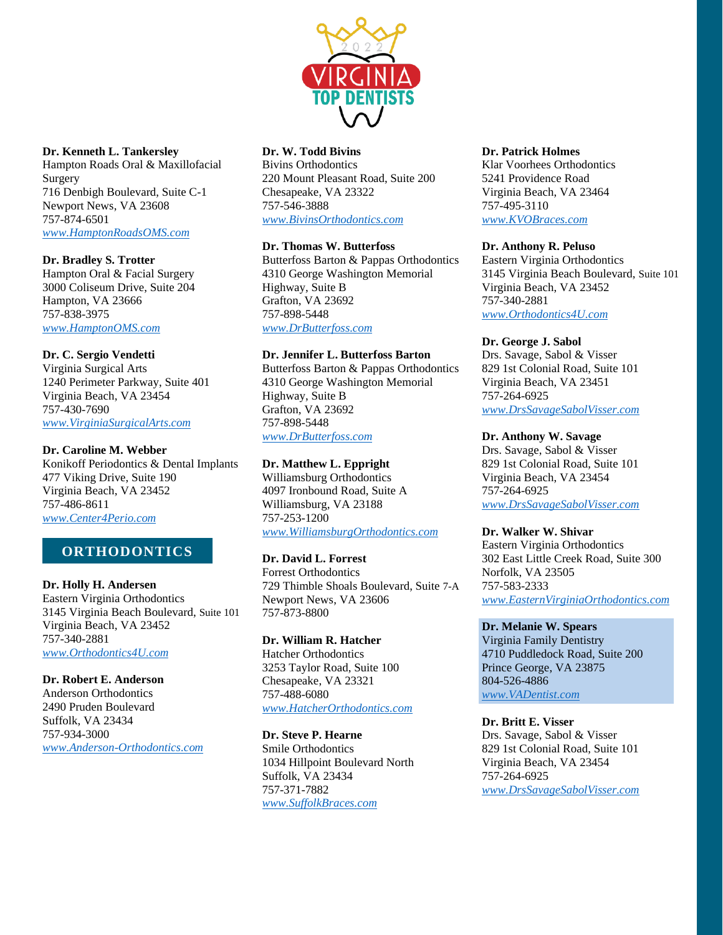

#### **Dr. Kenneth L. Tankersley**

Hampton Roads Oral & Maxillofacial Surgery 716 Denbigh Boulevard, Suite C-1 Newport News, VA 23608 757-874-6501 *[www.HamptonRoadsOMS.com](http://www.hamptonroadsoms.com/)*

#### **Dr. Bradley S. Trotter**

Hampton Oral & Facial Surgery 3000 Coliseum Drive, Suite 204 Hampton, VA 23666 757-838-3975 *[www.HamptonOMS.com](http://www.hamptonoms.com/)*

### **Dr. C. Sergio Vendetti**

Virginia Surgical Arts 1240 Perimeter Parkway, Suite 401 Virginia Beach, VA 23454 757-430-7690 *[www.VirginiaSurgicalArts.com](http://www.virginiasurgicalarts.com/)*

### **Dr. Caroline M. Webber**

Konikoff Periodontics & Dental Implants 477 Viking Drive, Suite 190 Virginia Beach, VA 23452 757-486-8611 *[www.Center4Perio.com](http://www.center4perio.com/)*

# **ORTHODONTICS**

**Dr. Holly H. Andersen** Eastern Virginia Orthodontics 3145 Virginia Beach Boulevard, Suite 101

Virginia Beach, VA 23452 757-340-2881 *[www.Orthodontics4U.com](http://www.orthodontics4u.com/)*

**Dr. Robert E. Anderson** Anderson Orthodontics 2490 Pruden Boulevard Suffolk, VA 23434 757-934-3000 *[www.Anderson-Orthodontics.com](http://www.anderson-orthodontics.com/)*

### **Dr. W. Todd Bivins**

Bivins Orthodontics 220 Mount Pleasant Road, Suite 200 Chesapeake, VA 23322 757-546-3888 *[www.BivinsOrthodontics.com](http://www.bivinsorthodontics.com/)*

### **Dr. Thomas W. Butterfoss**

Butterfoss Barton & Pappas Orthodontics 4310 George Washington Memorial Highway, Suite B Grafton, VA 23692 757-898-5448 *[www.DrButterfoss.com](http://www.drbutterfoss.com/)*

### **Dr. Jennifer L. Butterfoss Barton**

Butterfoss Barton & Pappas Orthodontics 4310 George Washington Memorial Highway, Suite B Grafton, VA 23692 757-898-5448 *[www.DrButterfoss.com](http://www.drbutterfoss.com/)*

### **Dr. Matthew L. Eppright**

Williamsburg Orthodontics 4097 Ironbound Road, Suite A Williamsburg, VA 23188 757-253-1200 *[www.WilliamsburgOrthodontics.com](http://www.williamsburgorthodontics.com/)*

**Dr. David L. Forrest** Forrest Orthodontics 729 Thimble Shoals Boulevard, Suite 7-A Newport News, VA 23606 757-873-8800

**Dr. William R. Hatcher** Hatcher Orthodontics 3253 Taylor Road, Suite 100 Chesapeake, VA 23321 757-488-6080 *[www.HatcherOrthodontics.com](http://www.hatcherorthodontics.com/)*

**Dr. Steve P. Hearne** Smile Orthodontics 1034 Hillpoint Boulevard North Suffolk, VA 23434 757-371-7882 *[www.SuffolkBraces.com](http://www.suffolkbraces.com/)*

### **Dr. Patrick Holmes**

Klar Voorhees Orthodontics 5241 Providence Road Virginia Beach, VA 23464 757-495-3110 *[www.KVOBraces.com](http://www.kvobraces.com/)*

#### **Dr. Anthony R. Peluso**

Eastern Virginia Orthodontics 3145 Virginia Beach Boulevard, Suite 101 Virginia Beach, VA 23452 757-340-2881 *[www.Orthodontics4U.com](http://www.orthodontics4u.com/)*

### **Dr. George J. Sabol**

Drs. Savage, Sabol & Visser 829 1st Colonial Road, Suite 101 Virginia Beach, VA 23451 757-264-6925 *[www.DrsSavageSabolVisser.com](http://www.drssavagesabolvisser.com/)*

### **Dr. Anthony W. Savage**

Drs. Savage, Sabol & Visser 829 1st Colonial Road, Suite 101 Virginia Beach, VA 23454 757-264-6925 *[www.DrsSavageSabolVisser.com](http://www.drssavagesabolvisser.com/)*

#### **Dr. Walker W. Shivar**

Eastern Virginia Orthodontics 302 East Little Creek Road, Suite 300 Norfolk, VA 23505 757-583-2333 *[www.EasternVirginiaOrthodontics.com](http://www.easternvirginiaorthodontics.com/)*

### **Dr. Melanie W. Spears**

Virginia Family Dentistry 4710 Puddledock Road, Suite 200 Prince George, VA 23875 804-526-4886 *[www.VADentist.com](http://www.vadentist.com/)*

### **Dr. Britt E. Visser**

Drs. Savage, Sabol & Visser 829 1st Colonial Road, Suite 101 Virginia Beach, VA 23454 757-264-6925 *[www.DrsSavageSabolVisser.com](http://www.drssavagesabolvisser.com/)*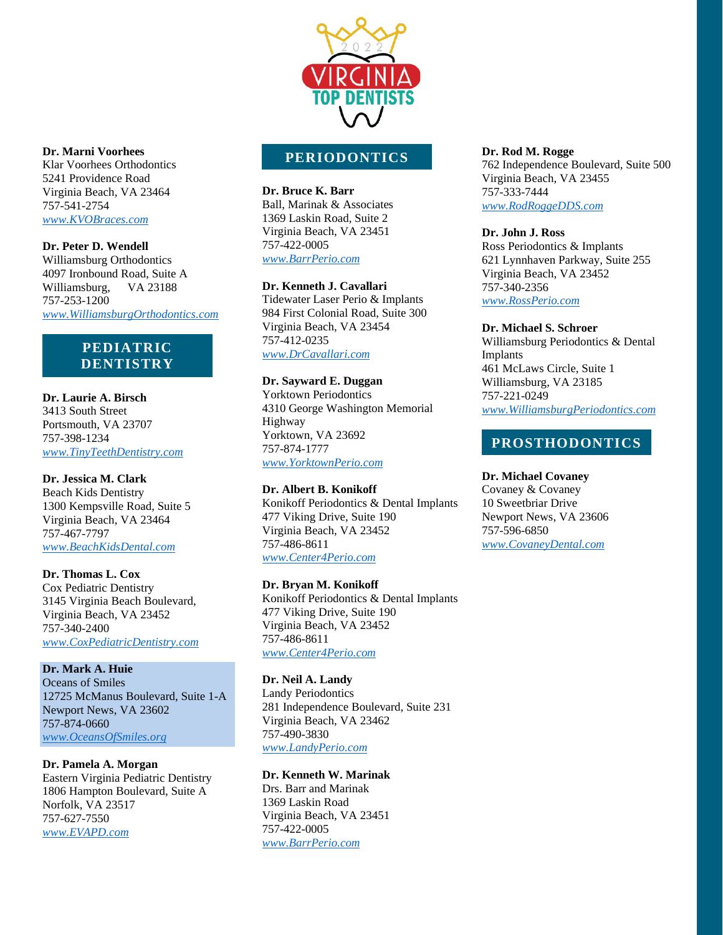

# **PERIODONTICS**

**Dr. Bruce K. Barr** Ball, Marinak & Associates 1369 Laskin Road, Suite 2 Virginia Beach, VA 23451 757-422-0005 *[www.BarrPerio.com](http://www.barrperio.com/)*

## **Dr. Kenneth J. Cavallari**

Tidewater Laser Perio & Implants 984 First Colonial Road, Suite 300 Virginia Beach, VA 23454 757-412-0235 *[www.DrCavallari.com](http://www.drcavallari.com/)*

#### **Dr. Sayward E. Duggan**

Yorktown Periodontics 4310 George Washington Memorial Highway Yorktown, VA 23692 757-874-1777 *[www.YorktownPerio.com](http://www.yorktownperio.com/)*

### **Dr. Albert B. Konikoff**

Konikoff Periodontics & Dental Implants 477 Viking Drive, Suite 190 Virginia Beach, VA 23452 757-486-8611 *[www.Center4Perio.com](http://www.center4perio.com/)*

#### **Dr. Bryan M. Konikoff**

Konikoff Periodontics & Dental Implants 477 Viking Drive, Suite 190 Virginia Beach, VA 23452 757-486-8611 *[www.Center4Perio.com](http://www.center4perio.com/)*

#### **Dr. Neil A. Landy**

Landy Periodontics 281 Independence Boulevard, Suite 231 Virginia Beach, VA 23462 757-490-3830 *[www.LandyPerio.com](http://www.landyperio.com/)*

#### **Dr. Kenneth W. Marinak**

Drs. Barr and Marinak 1369 Laskin Road Virginia Beach, VA 23451 757-422-0005 *[www.BarrPerio.com](http://www.barrperio.com/)*

#### **Dr. Rod M. Rogge**

762 Independence Boulevard, Suite 500 Virginia Beach, VA 23455 757-333-7444 *[www.RodRoggeDDS.com](http://www.rodroggedds.com/)*

### **Dr. John J. Ross**

Ross Periodontics & Implants 621 Lynnhaven Parkway, Suite 255 Virginia Beach, VA 23452 757-340-2356 *[www.RossPerio.com](http://www.rossperio.com/)*

#### **Dr. Michael S. Schroer**

Williamsburg Periodontics & Dental Implants 461 McLaws Circle, Suite 1 Williamsburg, VA 23185 757-221-0249 *[www.WilliamsburgPeriodontics.com](http://www.williamsburgperiodontics.com/)*

# **PROSTHODONTICS**

#### **Dr. Michael Covaney**

Covaney & Covaney 10 Sweetbriar Drive Newport News, VA 23606 757-596-6850 *[www.CovaneyDental.com](http://www.covaneydental.com/)*

#### **Dr. Marni Voorhees**

Klar Voorhees Orthodontics 5241 Providence Road Virginia Beach, VA 23464 757-541-2754 *[www.KVOBraces.com](http://www.kvobraces.com/)*

**Dr. Peter D. Wendell** Williamsburg Orthodontics 4097 Ironbound Road, Suite A Williamsburg, VA 23188 757-253-1200 *[www.WilliamsburgOrthodontics.com](http://www.williamsburgorthodontics.com/)*

# **PEDIATRIC DENTISTRY**

### **Dr. Laurie A. Birsch**

3413 South Street Portsmouth, VA 23707 757-398-1234 *[www.TinyTeethDentistry.com](http://www.tinyteethdentistry.com/)*

### **Dr. Jessica M. Clark**

Beach Kids Dentistry 1300 Kempsville Road, Suite 5 Virginia Beach, VA 23464 757-467-7797 *[www.BeachKidsDental.com](http://www.beachkidsdental.com/)*

#### **Dr. Thomas L. Cox**

Cox Pediatric Dentistry 3145 Virginia Beach Boulevard, Virginia Beach, VA 23452 757-340-2400 *[www.CoxPediatricDentistry.com](http://www.coxpediatricdentistry.com/)*

### **Dr. Mark A. Huie**

Oceans of Smiles 12725 McManus Boulevard, Suite 1-A Newport News, VA 23602 757-874-0660 *[www.OceansOfSmiles.org](http://www.oceansofsmiles.org/)*

#### **Dr. Pamela A. Morgan**

Eastern Virginia Pediatric Dentistry 1806 Hampton Boulevard, Suite A Norfolk, VA 23517 757-627-7550 *[www.EVAPD.com](http://www.evapd.com/)*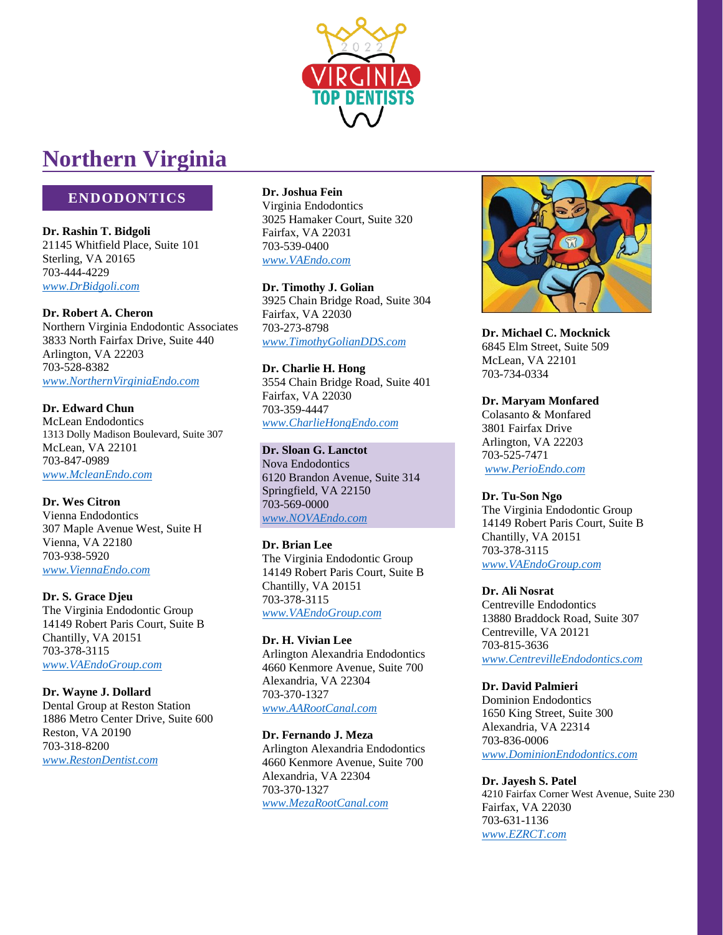

# **Northern Virginia**

# **ENDODONTICS**

**Dr. Rashin T. Bidgoli** 21145 Whitfield Place, Suite 101 Sterling, VA 20165 703-444-4229 *[www.DrBidgoli.com](http://www.drbidgoli.com/)*

## **Dr. Robert A. Cheron**

Northern Virginia Endodontic Associates 3833 North Fairfax Drive, Suite 440 Arlington, VA 22203 703-528-8382 *[www.NorthernVirginiaEndo.com](http://www.northernvirginiaendo.com/)*

# **Dr. Edward Chun**

McLean Endodontics 1313 Dolly Madison Boulevard, Suite 307 McLean, VA 22101 703-847-0989 *[www.McleanEndo.com](http://www.mcleanendo.com/)*

**Dr. Wes Citron** Vienna Endodontics 307 Maple Avenue West, Suite H Vienna, VA 22180 703-938-5920 *[www.ViennaEndo.com](http://www.viennaendo.com/)*

**Dr. S. Grace Djeu** The Virginia Endodontic Group 14149 Robert Paris Court, Suite B Chantilly, VA 20151 703-378-3115 *[www.VAEndoGroup.com](http://www.vaendogroup.com/)*

**Dr. Wayne J. Dollard** Dental Group at Reston Station 1886 Metro Center Drive, Suite 600 Reston, VA 20190 703-318-8200 *[www.RestonDentist.com](http://www.restondentist.com/)*

**Dr. Joshua Fein** Virginia Endodontics 3025 Hamaker Court, Suite 320 Fairfax, VA 22031 703-539-0400 *[www.VAEndo.com](http://www.vaendo.com/)*

**Dr. Timothy J. Golian** 3925 Chain Bridge Road, Suite 304 Fairfax, VA 22030 703-273-8798 *[www.TimothyGolianDDS.com](http://www.timothygoliandds.com/)*

**Dr. Charlie H. Hong** 3554 Chain Bridge Road, Suite 401 Fairfax, VA 22030 703-359-4447 *[www.CharlieHongEndo.com](http://www.charliehongendo.com/)*

**Dr. Sloan G. Lanctot** Nova Endodontics 6120 Brandon Avenue, Suite 314 Springfield, VA 22150 703-569-0000 *[www.NOVAEndo.com](http://www.novaendo.com/)*

### **Dr. Brian Lee** The Virginia Endodontic Group 14149 Robert Paris Court, Suite B Chantilly, VA 20151 703-378-3115

*[www.VAEndoGroup.com](http://www.vaendogroup.com/)*

# **Dr. H. Vivian Lee**

Arlington Alexandria Endodontics 4660 Kenmore Avenue, Suite 700 Alexandria, VA 22304 703-370-1327 *[www.AARootCanal.com](http://www.aarootcanal.com/)*

### **Dr. Fernando J. Meza**

Arlington Alexandria Endodontics 4660 Kenmore Avenue, Suite 700 Alexandria, VA 22304 703-370-1327 *[www.MezaRootCanal.com](http://www.mezarootcanal.com/)*



**Dr. Michael C. Mocknick** 6845 Elm Street, Suite 509 McLean, VA 22101 703-734-0334

## **Dr. Maryam Monfared**

Colasanto & Monfared 3801 Fairfax Drive Arlington, VA 22203 703-525-7471 *[www.PerioEndo.com](http://www.perioendo.com/)*

# **Dr. Tu-Son Ngo**

The Virginia Endodontic Group 14149 Robert Paris Court, Suite B Chantilly, VA 20151 703-378-3115 *[www.VAEndoGroup.com](http://www.vaendogroup.com/)*

# **Dr. Ali Nosrat**

Centreville Endodontics 13880 Braddock Road, Suite 307 Centreville, VA 20121 703-815-3636 *[www.CentrevilleEndodontics.com](http://www.centrevilleendodontics.com/)*

# **Dr. David Palmieri**

Dominion Endodontics 1650 King Street, Suite 300 Alexandria, VA 22314 703-836-0006 *[www.DominionEndodontics.com](http://www.dominionendodontics.com/)*

# **Dr. Jayesh S. Patel**

4210 Fairfax Corner West Avenue, Suite 230 Fairfax, VA 22030 703-631-1136 *[www.EZRCT.com](http://www.ezrct.com/)*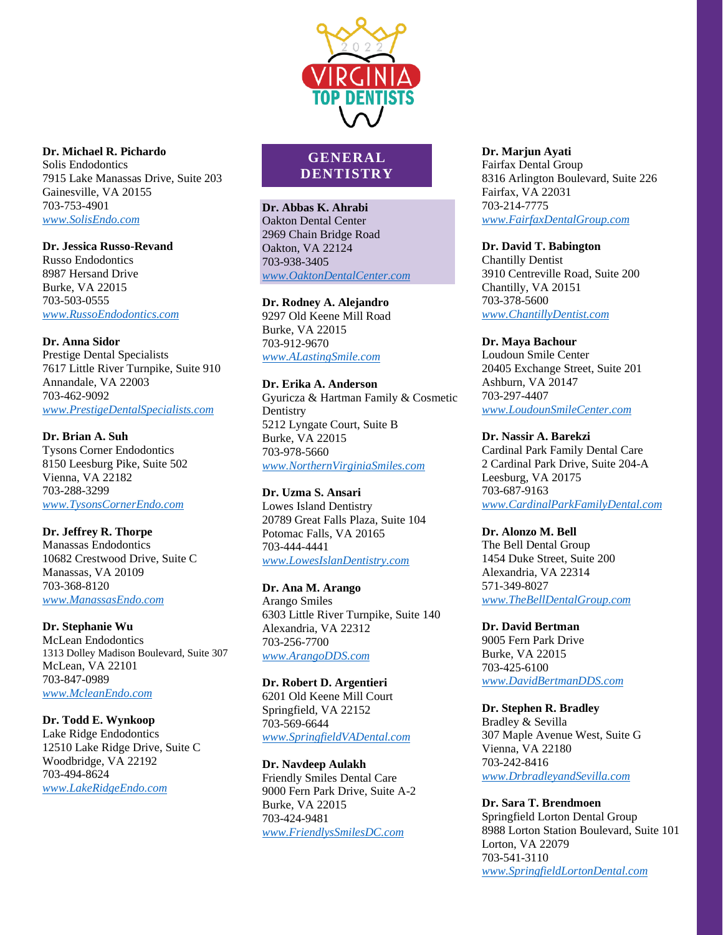

### **Dr. Michael R. Pichardo** Solis Endodontics 7915 Lake Manassas Drive, Suite 203 Gainesville, VA 20155 703-753-4901

*[www.SolisEndo.com](http://www.solisendo.com/)*

# **Dr. Jessica Russo-Revand**

Russo Endodontics 8987 Hersand Drive Burke, VA 22015 703-503-0555 *[www.RussoEndodontics.com](http://www.russoendodontics.com/)*

# **Dr. Anna Sidor**

Prestige Dental Specialists 7617 Little River Turnpike, Suite 910 Annandale, VA 22003 703-462-9092 *[www.PrestigeDentalSpecialists.com](http://www.prestigedentalspecialists.com/)*

# **Dr. Brian A. Suh**

Tysons Corner Endodontics 8150 Leesburg Pike, Suite 502 Vienna, VA 22182 703-288-3299 *[www.TysonsCornerEndo.com](http://www.tysonscornerendo.com/)*

# **Dr. Jeffrey R. Thorpe**

Manassas Endodontics 10682 Crestwood Drive, Suite C Manassas, VA 20109 703-368-8120 *[www.ManassasEndo.com](http://www.manassasendo.com/)*

# **Dr. Stephanie Wu**

McLean Endodontics 1313 Dolley Madison Boulevard, Suite 307 McLean, VA 22101 703-847-0989 *[www.McleanEndo.com](http://www.mcleanendo.com/)*

# **Dr. Todd E. Wynkoop**

Lake Ridge Endodontics 12510 Lake Ridge Drive, Suite C Woodbridge, VA 22192 703-494-8624 *[www.LakeRidgeEndo.com](http://www.lakeridgeendo.com/)*

# **GENERAL DENTISTRY**

### **Dr. Abbas K. Ahrabi** Oakton Dental Center 2969 Chain Bridge Road Oakton, VA 22124 703-938-3405 *[www.OaktonDentalCenter.com](http://www.oaktondentalcenter.com/)*

# **Dr. Rodney A. Alejandro**

9297 Old Keene Mill Road Burke, VA 22015 703-912-9670 *[www.ALastingSmile.com](http://www.alastingsmile.com/)*

# **Dr. Erika A. Anderson**

Gyuricza & Hartman Family & Cosmetic **Dentistry** 5212 Lyngate Court, Suite B Burke, VA 22015 703-978-5660 *[www.NorthernVirginiaSmiles.com](http://www.northernvirginiasmiles.com/)*

### **Dr. Uzma S. Ansari** Lowes Island Dentistry 20789 Great Falls Plaza, Suite 104 Potomac Falls, VA 20165 703-444-4441 *[www.LowesIslanDentistry.com](http://www.lowesislandentistry.com/)*

# **Dr. Ana M. Arango**

Arango Smiles 6303 Little River Turnpike, Suite 140 Alexandria, VA 22312 703-256-7700 *[www.ArangoDDS.com](http://www.arangodds.com/)*

# **Dr. Robert D. Argentieri**

6201 Old Keene Mill Court Springfield, VA 22152 703-569-6644 *[www.SpringfieldVADental.com](http://www.springfieldvadental.com/)*

# **Dr. Navdeep Aulakh**

Friendly Smiles Dental Care 9000 Fern Park Drive, Suite A-2 Burke, VA 22015 703-424-9481 *[www.FriendlysSmilesDC.com](http://www.friendlyssmilesdc.com/)*

# **Dr. Marjun Ayati**

Fairfax Dental Group 8316 Arlington Boulevard, Suite 226 Fairfax, VA 22031 703-214-7775 *[www.FairfaxDentalGroup.com](http://www.fairfaxdentalgroup.com/)*

# **Dr. David T. Babington**

Chantilly Dentist 3910 Centreville Road, Suite 200 Chantilly, VA 20151 703-378-5600 *[www.ChantillyDentist.com](http://www.chantillydentist.com/)*

# **Dr. Maya Bachour**

Loudoun Smile Center 20405 Exchange Street, Suite 201 Ashburn, VA 20147 703-297-4407 *[www.LoudounSmileCenter.com](http://www.loudounsmilecenter.com/)*

# **Dr. Nassir A. Barekzi**

Cardinal Park Family Dental Care 2 Cardinal Park Drive, Suite 204-A Leesburg, VA 20175 703-687-9163 *[www.CardinalParkFamilyDental.com](http://www.cardinalparkfamilydental.com/)*

# **Dr. Alonzo M. Bell**

The Bell Dental Group 1454 Duke Street, Suite 200 Alexandria, VA 22314 571-349-8027 *[www.TheBellDentalGroup.com](http://www.thebelldentalgroup.com/)*

# **Dr. David Bertman**

9005 Fern Park Drive Burke, VA 22015 703-425-6100 *[www.DavidBertmanDDS.com](http://www.davidbertmandds.com/)*

# **Dr. Stephen R. Bradley**

Bradley & Sevilla 307 Maple Avenue West, Suite G Vienna, VA 22180 703-242-8416 *[www.DrbradleyandSevilla.com](http://www.drbradleyandsevilla.com/)*

### **Dr. Sara T. Brendmoen** Springfield Lorton Dental Group

8988 Lorton Station Boulevard, Suite 101 Lorton, VA 22079 703-541-3110 *[www.SpringfieldLortonDental.com](http://www.springfieldlortondental.com/)*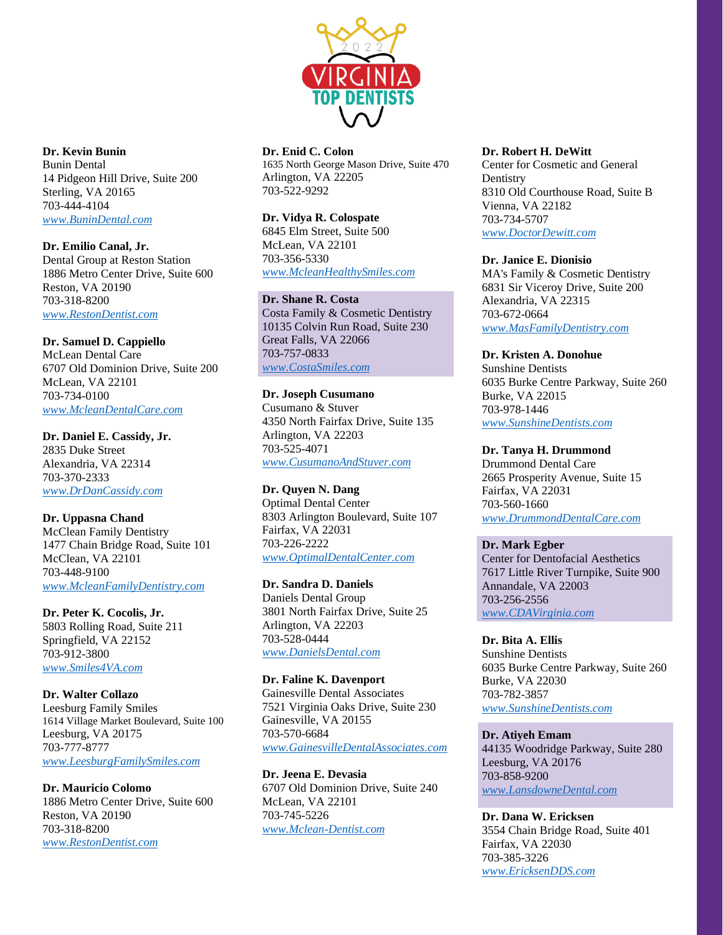

**Dr. Enid C. Colon** 1635 North George Mason Drive, Suite 470 Arlington, VA 22205 703-522-9292

## **Dr. Vidya R. Colospate**

6845 Elm Street, Suite 500 McLean, VA 22101 703-356-5330 *[www.McleanHealthySmiles.com](http://www.mcleanhealthysmiles.com/)*

## **Dr. Shane R. Costa**

Costa Family & Cosmetic Dentistry 10135 Colvin Run Road, Suite 230 Great Falls, VA 22066 703-757-0833 *[www.CostaSmiles.com](http://www.costasmiles.com/)*

# **Dr. Joseph Cusumano**

Cusumano & Stuver 4350 North Fairfax Drive, Suite 135 Arlington, VA 22203 703-525-4071 *[www.CusumanoAndStuver.com](http://www.cusumanoandstuver.com/)*

**Dr. Quyen N. Dang** Optimal Dental Center 8303 Arlington Boulevard, Suite 107 Fairfax, VA 22031 703-226-2222 *[www.OptimalDentalCenter.com](http://www.optimaldentalcenter.com/)*

**Dr. Sandra D. Daniels** Daniels Dental Group 3801 North Fairfax Drive, Suite 25 Arlington, VA 22203 703-528-0444 *[www.DanielsDental.com](http://www.danielsdental.com/)*

**Dr. Faline K. Davenport** Gainesville Dental Associates 7521 Virginia Oaks Drive, Suite 230 Gainesville, VA 20155 703-570-6684 *[www.GainesvilleDentalAssociates.com](http://www.gainesvilledentalassociates.com/)*

**Dr. Jeena E. Devasia** 6707 Old Dominion Drive, Suite 240 McLean, VA 22101 703-745-5226 *[www.Mclean-Dentist.com](http://www.mclean-dentist.com/)*

### **Dr. Robert H. DeWitt**

Center for Cosmetic and General **Dentistry** 8310 Old Courthouse Road, Suite B Vienna, VA 22182 703-734-5707 *[www.DoctorDewitt.com](http://www.doctordewitt.com/)*

#### **Dr. Janice E. Dionisio**

MA's Family & Cosmetic Dentistry 6831 Sir Viceroy Drive, Suite 200 Alexandria, VA 22315 703-672-0664 *[www.MasFamilyDentistry.com](http://www.masfamilydentistry.com/)*

**Dr. Kristen A. Donohue**

Sunshine Dentists 6035 Burke Centre Parkway, Suite 260 Burke, VA 22015 703-978-1446 *[www.SunshineDentists.com](http://www.sunshinedentists.com/)*

### **Dr. Tanya H. Drummond**

Drummond Dental Care 2665 Prosperity Avenue, Suite 15 Fairfax, VA 22031 703-560-1660 *[www.DrummondDentalCare.com](http://www.drummonddentalcare.com/)*

### **Dr. Mark Egber**

Center for Dentofacial Aesthetics 7617 Little River Turnpike, Suite 900 Annandale, VA 22003 703-256-2556 *[www.CDAVirginia.com](http://www.cdavirginia.com/)*

**Dr. Bita A. Ellis**

Sunshine Dentists 6035 Burke Centre Parkway, Suite 260 Burke, VA 22030 703-782-3857 *[www.SunshineDentists.com](http://www.sunshinedentists.com/)*

## **Dr. Atiyeh Emam**

44135 Woodridge Parkway, Suite 280 Leesburg, VA 20176 703-858-9200 *[www.LansdowneDental.com](http://www.lansdownedental.com/)*

**Dr. Dana W. Ericksen** 3554 Chain Bridge Road, Suite 401 Fairfax, VA 22030 703-385-3226 *[www.EricksenDDS.com](http://www.ericksendds.com/)*

**Dr. Kevin Bunin**

Bunin Dental 14 Pidgeon Hill Drive, Suite 200 Sterling, VA 20165 703-444-4104 *[www.BuninDental.com](http://www.bunindental.com/)*

**Dr. Emilio Canal, Jr.**

Dental Group at Reston Station 1886 Metro Center Drive, Suite 600 Reston, VA 20190 703-318-8200 *[www.RestonDentist.com](http://www.restondentist.com/)*

### **Dr. Samuel D. Cappiello**

McLean Dental Care 6707 Old Dominion Drive, Suite 200 McLean, VA 22101 703-734-0100 *[www.McleanDentalCare.com](http://www.mcleandentalcare.com/)*

**Dr. Daniel E. Cassidy, Jr.** 2835 Duke Street Alexandria, VA 22314 703-370-2333 *[www.DrDanCassidy.com](http://www.drdancassidy.com/)*

**Dr. Uppasna Chand**

McClean Family Dentistry 1477 Chain Bridge Road, Suite 101 McClean, VA 22101 703-448-9100 *[www.McleanFamilyDentistry.com](http://www.mcleanfamilydentistry.com/)*

**Dr. Peter K. Cocolis, Jr.** 5803 Rolling Road, Suite 211 Springfield, VA 22152 703-912-3800

*[www.Smiles4VA.com](http://www.smiles4va.com/)*

**Dr. Walter Collazo** Leesburg Family Smiles 1614 Village Market Boulevard, Suite 100 Leesburg, VA 20175 703-777-8777

*[www.LeesburgFamilySmiles.com](http://www.leesburgfamilysmiles.com/)*

**Dr. Mauricio Colomo**

1886 Metro Center Drive, Suite 600 Reston, VA 20190 703-318-8200 *[www.RestonDentist.com](http://www.restondentist.com/)*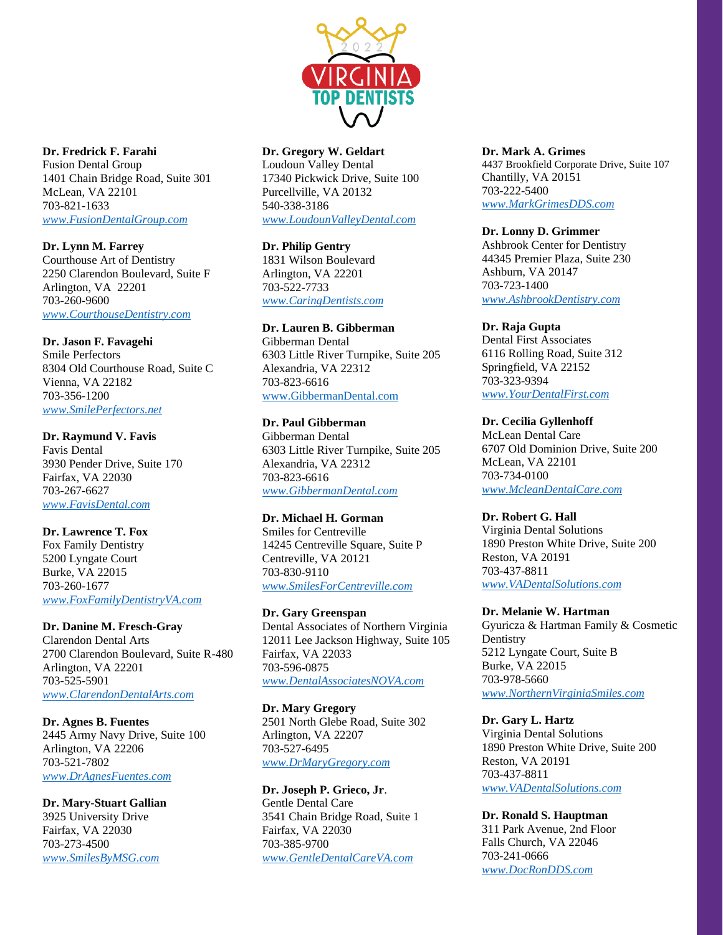

**Dr. Fredrick F. Farahi** Fusion Dental Group 1401 Chain Bridge Road, Suite 301 McLean, VA 22101 703-821-1633 *[www.FusionDentalGroup.com](http://www.fusiondentalgroup.com/)*

**Dr. Lynn M. Farrey** Courthouse Art of Dentistry 2250 Clarendon Boulevard, Suite F Arlington, VA 22201 703-260-9600 *[www.CourthouseDentistry.com](http://www.courthousedentistry.com/)*

### **Dr. Jason F. Favagehi** Smile Perfectors 8304 Old Courthouse Road, Suite C Vienna, VA 22182 703-356-1200 *[www.SmilePerfectors.net](http://www.smileperfectors.net/)*

**Dr. Raymund V. Favis** Favis Dental 3930 Pender Drive, Suite 170 Fairfax, VA 22030 703-267-6627 *[www.FavisDental.com](http://www.favisdental.com/)*

### **Dr. Lawrence T. Fox** Fox Family Dentistry 5200 Lyngate Court Burke, VA 22015 703-260-1677 *[www.FoxFamilyDentistryVA.com](http://www.foxfamilydentistryva.com/)*

### **Dr. Danine M. Fresch-Gray**

Clarendon Dental Arts 2700 Clarendon Boulevard, Suite R-480 Arlington, VA 22201 703-525-5901 *[www.ClarendonDentalArts.com](http://www.clarendondentalarts.com/)*

# **Dr. Agnes B. Fuentes**

2445 Army Navy Drive, Suite 100 Arlington, VA 22206 703-521-7802 *[www.DrAgnesFuentes.com](http://www.dragnesfuentes.com/)*

### **Dr. Mary-Stuart Gallian**

3925 University Drive Fairfax, VA 22030 703-273-4500 *[www.SmilesByMSG.com](http://www.smilesbymsg.com/)*

# **Dr. Gregory W. Geldart**

Loudoun Valley Dental 17340 Pickwick Drive, Suite 100 Purcellville, VA 20132 540-338-3186 *[www.LoudounValleyDental.com](http://www.loudounvalleydental.com/)*

## **Dr. Philip Gentry**

1831 Wilson Boulevard Arlington, VA 22201 703-522-7733 *[www.CaringDentists.com](http://www.caringdentists.com/)*

### **Dr. Lauren B. Gibberman**

Gibberman Dental 6303 Little River Turnpike, Suite 205 Alexandria, VA 22312 703-823-6616 [www.GibbermanDental.com](http://www.gibbermandental.com/)

## **Dr. Paul Gibberman**

Gibberman Dental 6303 Little River Turnpike, Suite 205 Alexandria, VA 22312 703-823-6616 *[www.GibbermanDental.com](http://www.gibbermandental.com/)*

### **Dr. Michael H. Gorman**

Smiles for Centreville 14245 Centreville Square, Suite P Centreville, VA 20121 703-830-9110 *[www.SmilesForCentreville.com](http://www.smilesforcentreville.com/)*

### **Dr. Gary Greenspan**

Dental Associates of Northern Virginia 12011 Lee Jackson Highway, Suite 105 Fairfax, VA 22033 703-596-0875 *[www.DentalAssociatesNOVA.com](http://www.dentalassociatesnova.com/)*

# **Dr. Mary Gregory**

2501 North Glebe Road, Suite 302 Arlington, VA 22207 703-527-6495 *[www.DrMaryGregory.com](http://www.drmarygregory.com/)*

# **Dr. Joseph P. Grieco, Jr**.

Gentle Dental Care 3541 Chain Bridge Road, Suite 1 Fairfax, VA 22030 703-385-9700 *[www.GentleDentalCareVA.com](http://www.gentledentalcareva.com/)*

#### **Dr. Mark A. Grimes** 4437 Brookfield Corporate Drive, Suite 107 Chantilly, VA 20151 703-222-5400

*[www.MarkGrimesDDS.com](http://www.markgrimesdds.com/)*

# **Dr. Lonny D. Grimmer**

Ashbrook Center for Dentistry 44345 Premier Plaza, Suite 230 Ashburn, VA 20147 703-723-1400 *[www.AshbrookDentistry.com](http://www.ashbrookdentistry.com/)*

## **Dr. Raja Gupta**

Dental First Associates 6116 Rolling Road, Suite 312 Springfield, VA 22152 703-323-9394 *[www.YourDentalFirst.com](http://www.yourdentalfirst.com/)*

### **Dr. Cecilia Gyllenhoff**

McLean Dental Care 6707 Old Dominion Drive, Suite 200 McLean, VA 22101 703-734-0100 *[www.McleanDentalCare.com](http://www.mcleandentalcare.com/)*

### **Dr. Robert G. Hall**

Virginia Dental Solutions 1890 Preston White Drive, Suite 200 Reston, VA 20191 703-437-8811 *[www.VADentalSolutions.com](http://www.vadentalsolutions.com/)*

### **Dr. Melanie W. Hartman**

Gyuricza & Hartman Family & Cosmetic **Dentistry** 5212 Lyngate Court, Suite B Burke, VA 22015 703-978-5660 *[www.NorthernVirginiaSmiles.com](http://www.northernvirginiasmiles.com/)*

# **Dr. Gary L. Hartz**

Virginia Dental Solutions 1890 Preston White Drive, Suite 200 Reston, VA 20191 703-437-8811 *[www.VADentalSolutions.com](http://www.vadentalsolutions.com/)*

# **Dr. Ronald S. Hauptman**

311 Park Avenue, 2nd Floor Falls Church, VA 22046 703-241-0666 *[www.DocRonDDS.com](http://www.docrondds.com/)*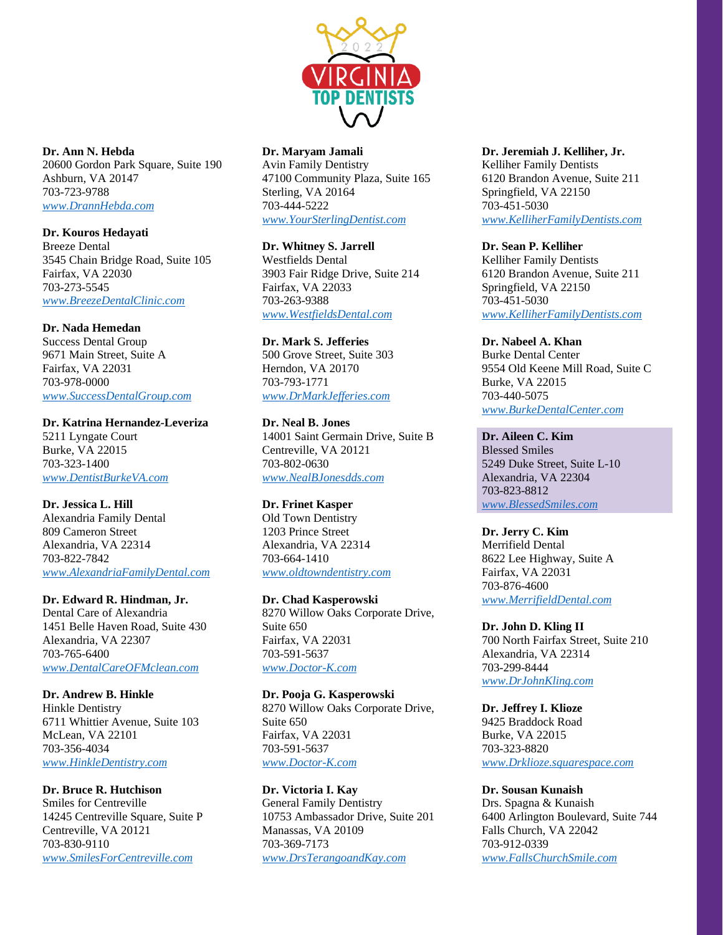

**Dr. Ann N. Hebda** 20600 Gordon Park Square, Suite 190 Ashburn, VA 20147 703-723-9788 *[www.DrannHebda.com](http://www.drannhebda.com/)*

**Dr. Kouros Hedayati** Breeze Dental 3545 Chain Bridge Road, Suite 105 Fairfax, VA 22030 703-273-5545 *[www.BreezeDentalClinic.com](http://www.breezedentalclinic.com/)*

### **Dr. Nada Hemedan**

Success Dental Group 9671 Main Street, Suite A Fairfax, VA 22031 703-978-0000 *[www.SuccessDentalGroup.com](http://www.successdentalgroup.com/)*

**Dr. Katrina Hernandez-Leveriza** 5211 Lyngate Court Burke, VA 22015 703-323-1400 *[www.DentistBurkeVA.com](http://www.dentistburkeva.com/)*

**Dr. Jessica L. Hill** Alexandria Family Dental 809 Cameron Street Alexandria, VA 22314 703-822-7842 *[www.AlexandriaFamilyDental.com](http://www.alexandriafamilydental.com/)*

**Dr. Edward R. Hindman, Jr.** Dental Care of Alexandria 1451 Belle Haven Road, Suite 430 Alexandria, VA 22307 703-765-6400 *[www.DentalCareOFMclean.com](http://www.dentalcareofmclean.com/)*

**Dr. Andrew B. Hinkle** Hinkle Dentistry 6711 Whittier Avenue, Suite 103 McLean, VA 22101 703-356-4034 *[www.HinkleDentistry.com](http://www.hinkledentistry.com/)*

**Dr. Bruce R. Hutchison**

Smiles for Centreville 14245 Centreville Square, Suite P Centreville, VA 20121 703-830-9110 *[www.SmilesForCentreville.com](http://www.smilesforcentreville.com/)*

# **Dr. Maryam Jamali**

Avin Family Dentistry 47100 Community Plaza, Suite 165 Sterling, VA 20164 703-444-5222 *[www.YourSterlingDentist.com](http://www.yoursterlingdentist.com/)*

**Dr. Whitney S. Jarrell** Westfields Dental 3903 Fair Ridge Drive, Suite 214 Fairfax, VA 22033 703-263-9388 *[www.WestfieldsDental.com](http://www.westfieldsdental.com/)*

**Dr. Mark S. Jefferies** 500 Grove Street, Suite 303 Herndon, VA 20170 703-793-1771 *[www.DrMarkJefferies.com](http://www.drmarkjefferies.com/)*

**Dr. Neal B. Jones** 14001 Saint Germain Drive, Suite B Centreville, VA 20121 703-802-0630 *[www.NealBJonesdds.com](http://www.nealbjonesdds.com/)*

**Dr. Frinet Kasper** Old Town Dentistry 1203 Prince Street Alexandria, VA 22314 703-664-1410 *[www.oldtowndentistry.com](http://www.oldtowndentistry.com/)*

**Dr. Chad Kasperowski** 8270 Willow Oaks Corporate Drive, Suite 650 Fairfax, VA 22031 703-591-5637 *[www.Doctor-K.com](http://www.doctor-k.com/)*

**Dr. Pooja G. Kasperowski** 8270 Willow Oaks Corporate Drive, Suite 650 Fairfax, VA 22031 703-591-5637 *[www.Doctor-K.com](http://www.doctor-k.com/)*

**Dr. Victoria I. Kay** General Family Dentistry 10753 Ambassador Drive, Suite 201 Manassas, VA 20109 703-369-7173 *[www.DrsTerangoandKay.com](http://www.drsterangoandkay.com/)*

**Dr. Jeremiah J. Kelliher, Jr.** Kelliher Family Dentists

6120 Brandon Avenue, Suite 211 Springfield, VA 22150 703-451-5030 *[www.KelliherFamilyDentists.com](http://www.kelliherfamilydentists.com/)*

**Dr. Sean P. Kelliher** Kelliher Family Dentists 6120 Brandon Avenue, Suite 211 Springfield, VA 22150 703-451-5030 *[www.KelliherFamilyDentists.com](http://www.kelliherfamilydentists.com/)*

**Dr. Nabeel A. Khan** Burke Dental Center 9554 Old Keene Mill Road, Suite C Burke, VA 22015 703-440-5075 *[www.BurkeDentalCenter.com](http://www.burkedentalcenter.com/)*

**Dr. Aileen C. Kim** Blessed Smiles 5249 Duke Street, Suite L-10 Alexandria, VA 22304 703-823-8812 *[www.BlessedSmiles.com](http://www.blessedsmiles.com/)*

**Dr. Jerry C. Kim** Merrifield Dental 8622 Lee Highway, Suite A Fairfax, VA 22031 703-876-4600 *[www.MerrifieldDental.com](http://www.merrifielddental.com/)*

**Dr. John D. Kling II** 700 North Fairfax Street, Suite 210 Alexandria, VA 22314 703-299-8444 *[www.DrJohnKling.com](http://www.drjohnkling.com/)*

**Dr. Jeffrey I. Klioze** 9425 Braddock Road Burke, VA 22015 703-323-8820 *[www.Drklioze.squarespace.com](http://www.drklioze.squarespace.com/)*

**Dr. Sousan Kunaish** Drs. Spagna & Kunaish 6400 Arlington Boulevard, Suite 744 Falls Church, VA 22042 703-912-0339

*[www.FallsChurchSmile.com](http://www.fallschurchsmile.com/)*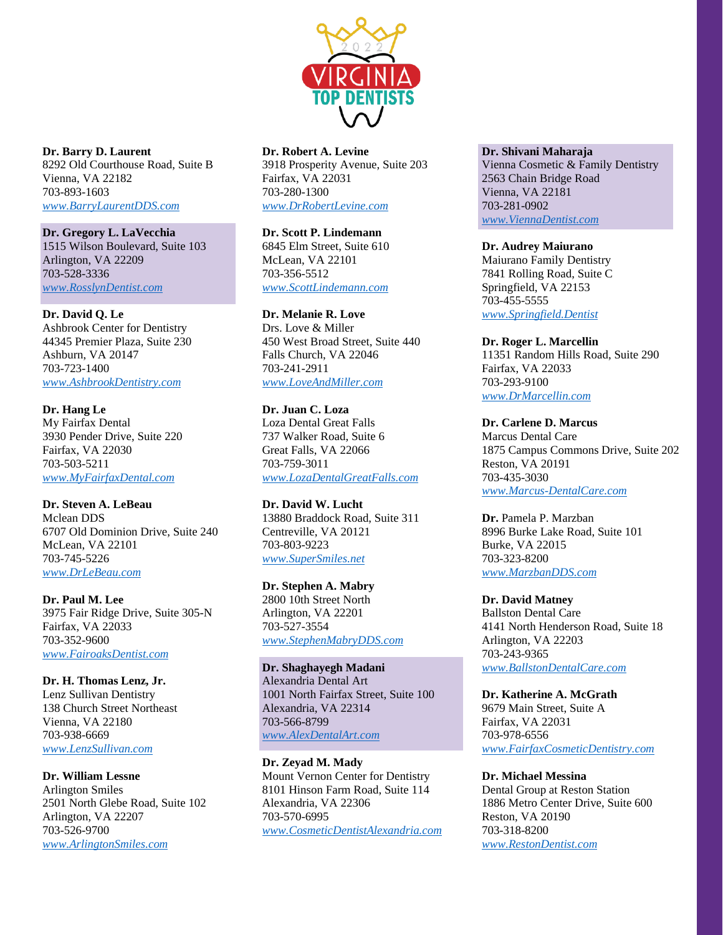

**Dr. Barry D. Laurent** 8292 Old Courthouse Road, Suite B Vienna, VA 22182 703-893-1603 *[www.BarryLaurentDDS.com](http://www.barrylaurentdds.com/)*

### **Dr. Gregory L. LaVecchia**

1515 Wilson Boulevard, Suite 103 Arlington, VA 22209 703-528-3336 *[www.RosslynDentist.com](http://www.rosslyndentist.com/)*

#### **Dr. David Q. Le**

Ashbrook Center for Dentistry 44345 Premier Plaza, Suite 230 Ashburn, VA 20147 703-723-1400 *[www.AshbrookDentistry.com](http://www.ashbrookdentistry.com/)*

**Dr. Hang Le** My Fairfax Dental 3930 Pender Drive, Suite 220 Fairfax, VA 22030 703-503-5211 *[www.MyFairfaxDental.com](http://www.myfairfaxdental.com/)*

#### **Dr. Steven A. LeBeau** Mclean DDS 6707 Old Dominion Drive, Suite 240 McLean, VA 22101

703-745-5226 *[www.DrLeBeau.com](http://www.drlebeau.com/)*

**Dr. Paul M. Lee** 3975 Fair Ridge Drive, Suite 305-N Fairfax, VA 22033 703-352-9600 *[www.FairoaksDentist.com](http://www.fairoaksdentist.com/)*

### **Dr. H. Thomas Lenz, Jr.**

Lenz Sullivan Dentistry 138 Church Street Northeast Vienna, VA 22180 703-938-6669 *[www.LenzSullivan.com](http://www.lenzsullivan.com/)*

**Dr. William Lessne** Arlington Smiles 2501 North Glebe Road, Suite 102 Arlington, VA 22207 703-526-9700 *[www.ArlingtonSmiles.com](http://www.arlingtonsmiles.com/)*

### **Dr. Robert A. Levine**

3918 Prosperity Avenue, Suite 203 Fairfax, VA 22031 703-280-1300 *[www.DrRobertLevine.com](http://www.drrobertlevine.com/)*

## **Dr. Scott P. Lindemann**

6845 Elm Street, Suite 610 McLean, VA 22101 703-356-5512 *[www.ScottLindemann.com](http://www.scottlindemann.com/)*

### **Dr. Melanie R. Love**

Drs. Love & Miller 450 West Broad Street, Suite 440 Falls Church, VA 22046 703-241-2911 *[www.LoveAndMiller.com](http://www.loveandmiller.com/)*

### **Dr. Juan C. Loza** Loza Dental Great Falls 737 Walker Road, Suite 6 Great Falls, VA 22066 703-759-3011 *[www.LozaDentalGreatFalls.com](http://www.lozadentalgreatfalls.com/)*

**Dr. David W. Lucht** 13880 Braddock Road, Suite 311 Centreville, VA 20121 703-803-9223 *[www.SuperSmiles.net](http://www.supersmiles.net/)*

# **Dr. Stephen A. Mabry**

2800 10th Street North Arlington, VA 22201 703-527-3554 *[www.StephenMabryDDS.com](http://www.stephenmabrydds.com/)*

### **Dr. Shaghayegh Madani** Alexandria Dental Art 1001 North Fairfax Street, Suite 100 Alexandria, VA 22314 703-566-8799 *[www.AlexDentalArt.com](http://www.alexdentalart.com/)*

**Dr. Zeyad M. Mady** Mount Vernon Center for Dentistry 8101 Hinson Farm Road, Suite 114 Alexandria, VA 22306 703-570-6995 *[www.CosmeticDentistAlexandria.com](http://www.cosmeticdentistalexandria.com/)*

#### **Dr. Shivani Maharaja**

Vienna Cosmetic & Family Dentistry 2563 Chain Bridge Road Vienna, VA 22181 703-281-0902 *[www.ViennaDentist.com](http://www.viennadentist.com/)*

#### **Dr. Audrey Maiurano**

Maiurano Family Dentistry 7841 Rolling Road, Suite C Springfield, VA 22153 703-455-5555 *[www.Springfield.Dentist](http://www.springfield.dentist/)*

### **Dr. Roger L. Marcellin**

11351 Random Hills Road, Suite 290 Fairfax, VA 22033 703-293-9100 *[www.DrMarcellin.com](http://www.drmarcellin.com/)*

#### **Dr. Carlene D. Marcus**

Marcus Dental Care 1875 Campus Commons Drive, Suite 202 Reston, VA 20191 703-435-3030 *[www.Marcus-DentalCare.com](http://www.marcus-dentalcare.com/)*

**Dr.** Pamela P. Marzban 8996 Burke Lake Road, Suite 101 Burke, VA 22015 703-323-8200 *[www.MarzbanDDS.com](http://www.marzbandds.com/)*

### **Dr. David Matney**

Ballston Dental Care 4141 North Henderson Road, Suite 18 Arlington, VA 22203 703-243-9365 *[www.BallstonDentalCare.com](http://www.ballstondentalcare.com/)*

# **Dr. Katherine A. McGrath**

9679 Main Street, Suite A Fairfax, VA 22031 703-978-6556 *[www.FairfaxCosmeticDentistry.com](http://www.fairfaxcosmeticdentistry.com/)*

#### **Dr. Michael Messina**

Dental Group at Reston Station 1886 Metro Center Drive, Suite 600 Reston, VA 20190 703-318-8200 *[www.RestonDentist.com](http://www.restondentist.com/)*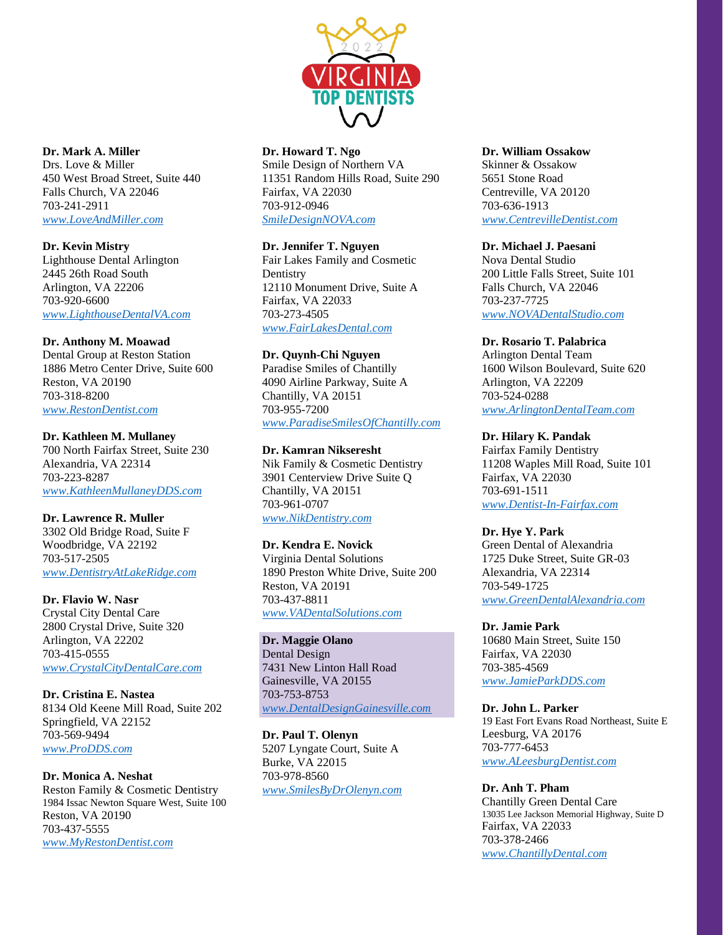

# **Dr. Mark A. Miller**

Drs. Love & Miller 450 West Broad Street, Suite 440 Falls Church, VA 22046 703-241-2911 *[www.LoveAndMiller.com](http://www.loveandmiller.com/)*

## **Dr. Kevin Mistry**

Lighthouse Dental Arlington 2445 26th Road South Arlington, VA 22206 703-920-6600 *[www.LighthouseDentalVA.com](http://www.lighthousedentalva.com/)*

### **Dr. Anthony M. Moawad**

Dental Group at Reston Station 1886 Metro Center Drive, Suite 600 Reston, VA 20190 703-318-8200 *[www.RestonDentist.com](http://www.restondentist.com/)*

### **Dr. Kathleen M. Mullaney**

700 North Fairfax Street, Suite 230 Alexandria, VA 22314 703-223-8287 *[www.KathleenMullaneyDDS.com](http://www.kathleenmullaneydds.com/)*

### **Dr. Lawrence R. Muller**

3302 Old Bridge Road, Suite F Woodbridge, VA 22192 703-517-2505 *[www.DentistryAtLakeRidge.com](http://www.dentistryatlakeridge.com/)*

# **Dr. Flavio W. Nasr**

Crystal City Dental Care 2800 Crystal Drive, Suite 320 Arlington, VA 22202 703-415-0555 *[www.CrystalCityDentalCare.com](http://www.crystalcitydentalcare.com/)*

**Dr. Cristina E. Nastea** 8134 Old Keene Mill Road, Suite 202 Springfield, VA 22152 703-569-9494 *[www.ProDDS.com](http://www.prodds.com/)*

### **Dr. Monica A. Neshat** Reston Family & Cosmetic Dentistry 1984 Issac Newton Square West, Suite 100 Reston, VA 20190 703-437-5555 *[www.MyRestonDentist.com](http://www.myrestondentist.com/)*

### **Dr. Howard T. Ngo**

Smile Design of Northern VA 11351 Random Hills Road, Suite 290 Fairfax, VA 22030 703-912-0946 *[SmileDesignNOVA.com](http://smiledesignnova.com/)*

## **Dr. Jennifer T. Nguyen**

Fair Lakes Family and Cosmetic **Dentistry** 12110 Monument Drive, Suite A Fairfax, VA 22033 703-273-4505 *[www.FairLakesDental.com](http://www.fairlakesdental.com/)*

### **Dr. Quynh-Chi Nguyen**

Paradise Smiles of Chantilly 4090 Airline Parkway, Suite A Chantilly, VA 20151 703-955-7200 *[www.ParadiseSmilesOfChantilly.com](http://www.paradisesmilesofchantilly.com/)*

## **Dr. Kamran Nikseresht**

Nik Family & Cosmetic Dentistry 3901 Centerview Drive Suite Q Chantilly, VA 20151 703-961-0707 *[www.NikDentistry.com](http://www.nikdentistry.com/)*

### **Dr. Kendra E. Novick**

Virginia Dental Solutions 1890 Preston White Drive, Suite 200 Reston, VA 20191 703-437-8811 *[www.VADentalSolutions.com](http://www.vadentalsolutions.com/)*

### **Dr. Maggie Olano** Dental Design 7431 New Linton Hall Road Gainesville, VA 20155 703-753-8753 *[www.DentalDesignGainesville.com](http://www.dentaldesigngainesville.com/)*

**Dr. Paul T. Olenyn** 5207 Lyngate Court, Suite A Burke, VA 22015 703-978-8560 *[www.SmilesByDrOlenyn.com](http://www.smilesbydrolenyn.com/)*

#### **Dr. William Ossakow**

Skinner & Ossakow 5651 Stone Road Centreville, VA 20120 703-636-1913 *[www.CentrevilleDentist.com](http://www.centrevilledentist.com/)*

### **Dr. Michael J. Paesani**

Nova Dental Studio 200 Little Falls Street, Suite 101 Falls Church, VA 22046 703-237-7725 *[www.NOVADentalStudio.com](http://www.novadentalstudio.com/)*

### **Dr. Rosario T. Palabrica**

Arlington Dental Team 1600 Wilson Boulevard, Suite 620 Arlington, VA 22209 703-524-0288 *[www.ArlingtonDentalTeam.com](http://www.arlingtondentalteam.com/)*

### **Dr. Hilary K. Pandak**

Fairfax Family Dentistry 11208 Waples Mill Road, Suite 101 Fairfax, VA 22030 703-691-1511 *[www.Dentist-In-Fairfax.com](http://www.dentist-in-fairfax.com/)*

### **Dr. Hye Y. Park**

Green Dental of Alexandria 1725 Duke Street, Suite GR-03 Alexandria, VA 22314 703-549-1725 *[www.GreenDentalAlexandria.com](http://www.greendentalalexandria.com/)*

#### **Dr. Jamie Park**

10680 Main Street, Suite 150 Fairfax, VA 22030 703-385-4569 *[www.JamieParkDDS.com](http://www.jamieparkdds.com/)*

### **Dr. John L. Parker** 19 East Fort Evans Road Northeast, Suite E Leesburg, VA 20176 703-777-6453 *[www.ALeesburgDentist.com](http://www.aleesburgdentist.com/)*

#### **Dr. Anh T. Pham**

Chantilly Green Dental Care 13035 Lee Jackson Memorial Highway, Suite D Fairfax, VA 22033 703-378-2466 *[www.ChantillyDental.com](http://www.chantillydental.com/)*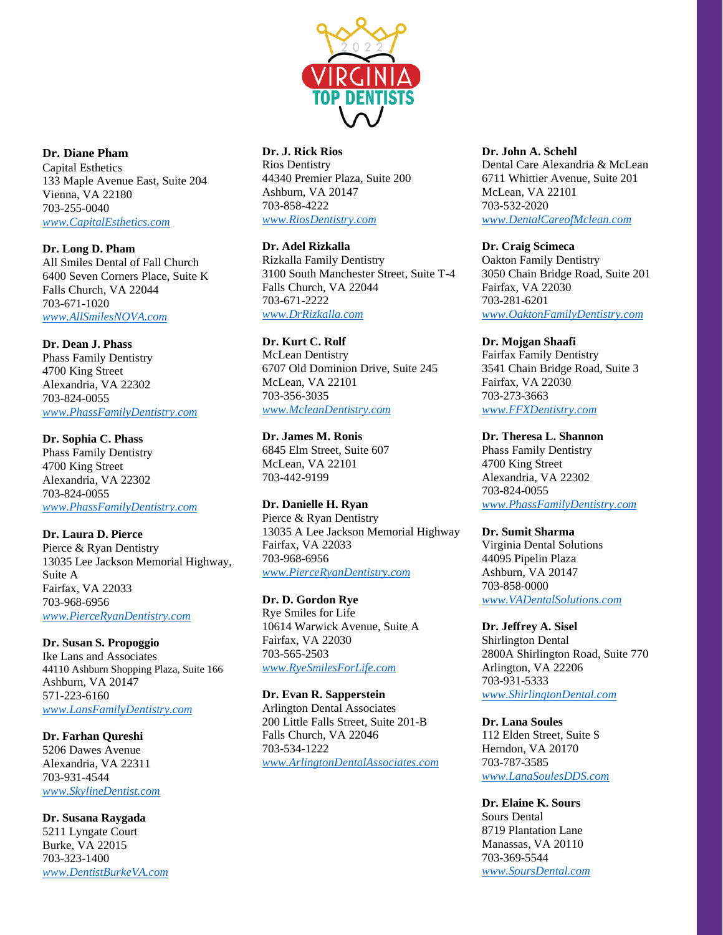

**Dr. Diane Pham** Capital Esthetics 133 Maple Avenue East, Suite 204 Vienna, VA 22180 703-255-0040 *[www.CapitalEsthetics.com](http://www.capitalesthetics.com/)*

**Dr. Long D. Pham** All Smiles Dental of Fall Church 6400 Seven Corners Place, Suite K Falls Church, VA 22044 703-671-1020 *[www.AllSmilesNOVA.com](http://www.allsmilesnova.com/)*

**Dr. Dean J. Phass** Phass Family Dentistry 4700 King Street Alexandria, VA 22302 703-824-0055 *[www.PhassFamilyDentistry.com](http://www.phassfamilydentistry.com/)*

**Dr. Sophia C. Phass** Phass Family Dentistry 4700 King Street Alexandria, VA 22302 703-824-0055 *[www.PhassFamilyDentistry.com](http://www.phassfamilydentistry.com/)*

**Dr. Laura D. Pierce** Pierce & Ryan Dentistry 13035 Lee Jackson Memorial Highway, Suite A Fairfax, VA 22033 703-968-6956 *[www.PierceRyanDentistry.com](http://www.pierceryandentistry.com/)*

**Dr. Susan S. Propoggio** Ike Lans and Associates 44110 Ashburn Shopping Plaza, Suite 166 Ashburn, VA 20147 571-223-6160 *[www.LansFamilyDentistry.com](http://www.lansfamilydentistry.com/)*

**Dr. Farhan Qureshi** 5206 Dawes Avenue Alexandria, VA 22311 703-931-4544 *[www.SkylineDentist.com](http://www.skylinedentist.com/)*

**Dr. Susana Raygada** 5211 Lyngate Court Burke, VA 22015 703-323-1400 *[www.DentistBurkeVA.com](http://www.dentistburkeva.com/)*

# **Dr. J. Rick Rios**

Rios Dentistry 44340 Premier Plaza, Suite 200 Ashburn, VA 20147 703-858-4222 *[www.RiosDentistry.com](http://www.riosdentistry.com/)*

**Dr. Adel Rizkalla** Rizkalla Family Dentistry 3100 South Manchester Street, Suite T-4 Falls Church, VA 22044 703-671-2222

*[www.DrRizkalla.com](http://www.drrizkalla.com/)*

**Dr. Kurt C. Rolf** McLean Dentistry 6707 Old Dominion Drive, Suite 245 McLean, VA 22101 703-356-3035 *[www.McleanDentistry.com](http://www.mcleandentistry.com/)*

**Dr. James M. Ronis** 6845 Elm Street, Suite 607 McLean, VA 22101 703-442-9199

**Dr. Danielle H. Ryan** Pierce & Ryan Dentistry 13035 A Lee Jackson Memorial Highway Fairfax, VA 22033 703-968-6956 *[www.PierceRyanDentistry.com](http://www.pierceryandentistry.com/)*

**Dr. D. Gordon Rye** Rye Smiles for Life 10614 Warwick Avenue, Suite A Fairfax, VA 22030 703-565-2503 *[www.RyeSmilesForLife.com](http://www.ryesmilesforlife.com/)*

**Dr. Evan R. Sapperstein** Arlington Dental Associates 200 Little Falls Street, Suite 201-B Falls Church, VA 22046 703-534-1222 *[www.ArlingtonDentalAssociates.com](http://www.arlingtondentalassociates.com/)*

### **Dr. John A. Schehl**

Dental Care Alexandria & McLean 6711 Whittier Avenue, Suite 201 McLean, VA 22101 703-532-2020 *[www.DentalCareofMclean.com](http://www.dentalcareofmclean.com/)*

**Dr. Craig Scimeca** Oakton Family Dentistry 3050 Chain Bridge Road, Suite 201 Fairfax, VA 22030 703-281-6201 *[www.OaktonFamilyDentistry.com](http://www.oaktonfamilydentistry.com/)*

**Dr. Mojgan Shaafi** Fairfax Family Dentistry 3541 Chain Bridge Road, Suite 3 Fairfax, VA 22030 703-273-3663 *[www.FFXDentistry.com](http://www.ffxdentistry.com/)*

**Dr. Theresa L. Shannon** Phass Family Dentistry 4700 King Street Alexandria, VA 22302 703-824-0055 *[www.PhassFamilyDentistry.com](http://www.phassfamilydentistry.com/)*

**Dr. Sumit Sharma** Virginia Dental Solutions 44095 Pipelin Plaza Ashburn, VA 20147 703-858-0000 *[www.VADentalSolutions.com](http://www.vadentalsolutions.com/)*

**Dr. Jeffrey A. Sisel** Shirlington Dental 2800A Shirlington Road, Suite 770 Arlington, VA 22206 703-931-5333 *[www.ShirlingtonDental.com](http://www.shirlingtondental.com/)*

**Dr. Lana Soules** 112 Elden Street, Suite S Herndon, VA 20170 703-787-3585 *[www.LanaSoulesDDS.com](http://www.lanasoulesdds.com/)*

**Dr. Elaine K. Sours** Sours Dental 8719 Plantation Lane Manassas, VA 20110 703-369-5544 *[www.SoursDental.com](http://www.soursdental.com/)*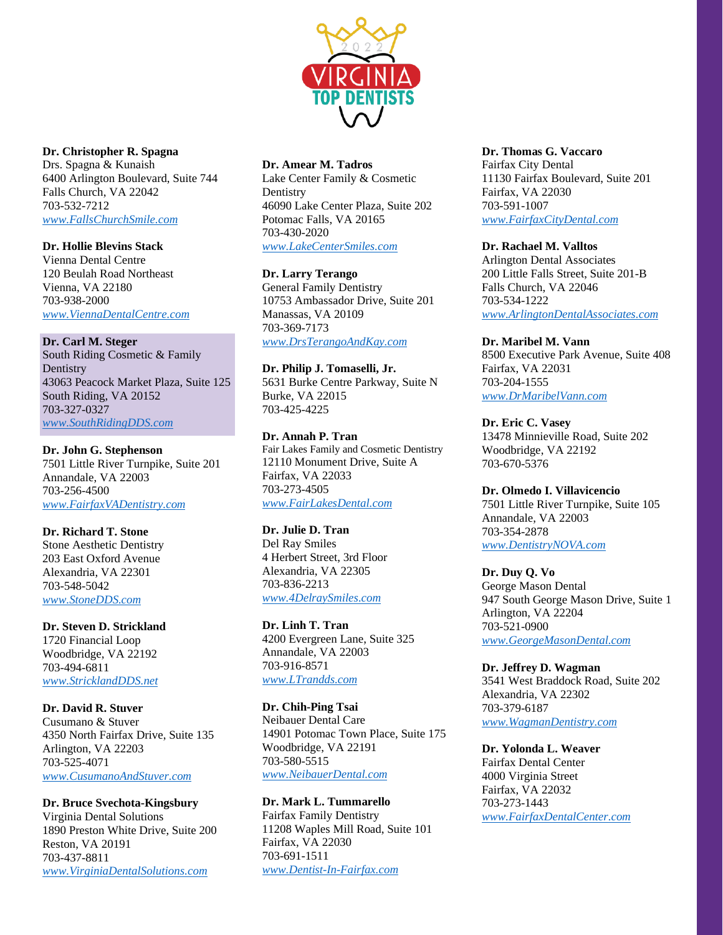

### **Dr. Christopher R. Spagna**

Drs. Spagna & Kunaish 6400 Arlington Boulevard, Suite 744 Falls Church, VA 22042 703-532-7212 *[www.FallsChurchSmile.com](http://www.fallschurchsmile.com/)*

## **Dr. Hollie Blevins Stack**

Vienna Dental Centre 120 Beulah Road Northeast Vienna, VA 22180 703-938-2000 *[www.ViennaDentalCentre.com](http://www.viennadentalcentre.com/)*

### **Dr. Carl M. Steger**

South Riding Cosmetic & Family Dentistry 43063 Peacock Market Plaza, Suite 125 South Riding, VA 20152 703-327-0327 *[www.SouthRidingDDS.com](http://www.southridingdds.com/)*

### **Dr. John G. Stephenson**

7501 Little River Turnpike, Suite 201 Annandale, VA 22003 703-256-4500 *[www.FairfaxVADentistry.com](http://www.fairfaxvadentistry.com/)*

## **Dr. Richard T. Stone**

Stone Aesthetic Dentistry 203 East Oxford Avenue Alexandria, VA 22301 703-548-5042 *[www.StoneDDS.com](http://www.stonedds.com/)*

### **Dr. Steven D. Strickland** 1720 Financial Loop Woodbridge, VA 22192 703-494-6811 *[www.StricklandDDS.net](http://www.stricklanddds.net/)*

**Dr. David R. Stuver** Cusumano & Stuver 4350 North Fairfax Drive, Suite 135 Arlington, VA 22203 703-525-4071 *[www.CusumanoAndStuver.com](http://www.cusumanoandstuver.com/)*

### **Dr. Bruce Svechota-Kingsbury**

Virginia Dental Solutions 1890 Preston White Drive, Suite 200 Reston, VA 20191 703-437-8811 *[www.VirginiaDentalSolutions.com](http://www.virginiadentalsolutions.com/)*

### **Dr. Amear M. Tadros**

Lake Center Family & Cosmetic **Dentistry** 46090 Lake Center Plaza, Suite 202 Potomac Falls, VA 20165 703-430-2020 *[www.LakeCenterSmiles.com](http://www.lakecentersmiles.com/)*

### **Dr. Larry Terango**

General Family Dentistry 10753 Ambassador Drive, Suite 201 Manassas, VA 20109 703-369-7173 *[www.DrsTerangoAndKay.com](http://www.drsterangoandkay.com/)*

# **Dr. Philip J. Tomaselli, Jr.**

5631 Burke Centre Parkway, Suite N Burke, VA 22015 703-425-4225

# **Dr. Annah P. Tran**

Fair Lakes Family and Cosmetic Dentistry 12110 Monument Drive, Suite A Fairfax, VA 22033 703-273-4505 *[www.FairLakesDental.com](http://www.fairlakesdental.com/)*

### **Dr. Julie D. Tran**

Del Ray Smiles 4 Herbert Street, 3rd Floor Alexandria, VA 22305 703-836-2213 *[www.4DelraySmiles.com](http://www.4delraysmiles.com/)*

#### **Dr. Linh T. Tran** 4200 Evergreen Lane, Suite 325 Annandale, VA 22003 703-916-8571 *[www.LTrandds.com](http://www.ltrandds.com/)*

**Dr. Chih-Ping Tsai** Neibauer Dental Care 14901 Potomac Town Place, Suite 175 Woodbridge, VA 22191 703-580-5515 *[www.NeibauerDental.com](http://www.neibauerdental.com/)*

### **Dr. Mark L. Tummarello** Fairfax Family Dentistry 11208 Waples Mill Road, Suite 101 Fairfax, VA 22030 703-691-1511 *[www.Dentist-In-Fairfax.com](http://www.dentist-in-fairfax.com/)*

### **Dr. Thomas G. Vaccaro**

Fairfax City Dental 11130 Fairfax Boulevard, Suite 201 Fairfax, VA 22030 703-591-1007 *[www.FairfaxCityDental.com](http://www.fairfaxcitydental.com/)*

### **Dr. Rachael M. Valltos**

Arlington Dental Associates 200 Little Falls Street, Suite 201-B Falls Church, VA 22046 703-534-1222 *[www.ArlingtonDentalAssociates.com](http://www.arlingtondentalassociates.com/)*

#### **Dr. Maribel M. Vann**

8500 Executive Park Avenue, Suite 408 Fairfax, VA 22031 703-204-1555 *[www.DrMaribelVann.com](http://www.drmaribelvann.com/)*

### **Dr. Eric C. Vasey**

13478 Minnieville Road, Suite 202 Woodbridge, VA 22192 703-670-5376

### **Dr. Olmedo I. Villavicencio**

7501 Little River Turnpike, Suite 105 Annandale, VA 22003 703-354-2878 *[www.DentistryNOVA.com](http://www.dentistrynova.com/)*

### **Dr. Duy Q. Vo**

George Mason Dental 947 South George Mason Drive, Suite 1 Arlington, VA 22204 703-521-0900 *[www.GeorgeMasonDental.com](http://www.georgemasondental.com/)*

### **Dr. Jeffrey D. Wagman** 3541 West Braddock Road, Suite 202 Alexandria, VA 22302 703-379-6187 *[www.WagmanDentistry.com](http://www.wagmandentistry.com/)*

**Dr. Yolonda L. Weaver** Fairfax Dental Center 4000 Virginia Street Fairfax, VA 22032 703-273-1443 *[www.FairfaxDentalCenter.com](http://www.fairfaxdentalcenter.com/)*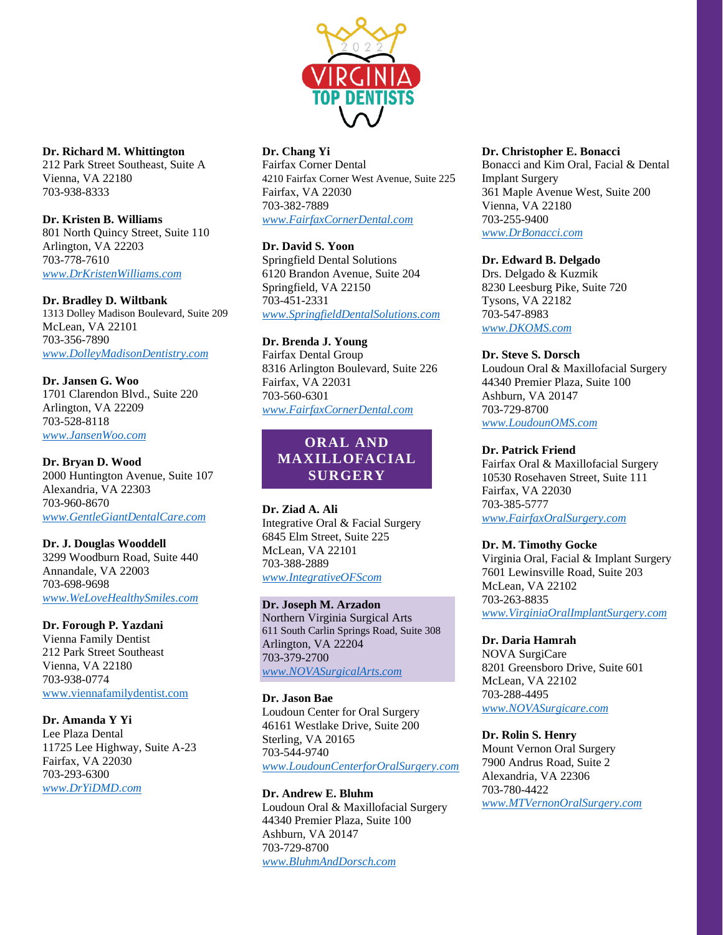

**Dr. Richard M. Whittington** 212 Park Street Southeast, Suite A Vienna, VA 22180 703-938-8333

### **Dr. Kristen B. Williams** 801 North Quincy Street, Suite 110 Arlington, VA 22203 703-778-7610 *[www.DrKristenWilliams.com](http://www.drkristenwilliams.com/)*

**Dr. Bradley D. Wiltbank** 1313 Dolley Madison Boulevard, Suite 209 McLean, VA 22101 703-356-7890 *[www.DolleyMadisonDentistry.com](http://www.dolleymadisondentistry.com/)*

**Dr. Jansen G. Woo** 1701 Clarendon Blvd., Suite 220 Arlington, VA 22209 703-528-8118 *[www.JansenWoo.com](http://www.jansenwoo.com/)*

**Dr. Bryan D. Wood** 2000 Huntington Avenue, Suite 107 Alexandria, VA 22303 703-960-8670 *[www.GentleGiantDentalCare.com](http://www.gentlegiantdentalcare.com/)*

#### **Dr. J. Douglas Wooddell** 3299 Woodburn Road, Suite 440 Annandale, VA 22003 703-698-9698

*[www.WeLoveHealthySmiles.com](http://www.welovehealthysmiles.com/)*

# **Dr. Forough P. Yazdani**

Vienna Family Dentist 212 Park Street Southeast Vienna, VA 22180 703-938-0774 [www.viennafamilydentist.com](http://www.viennafamilydentist.com/)

# **Dr. Amanda Y Yi**

Lee Plaza Dental 11725 Lee Highway, Suite A-23 Fairfax, VA 22030 703-293-6300 *[www.DrYiDMD.com](http://www.dryidmd.com/)*

# **Dr. Chang Yi**

Fairfax Corner Dental 4210 Fairfax Corner West Avenue, Suite 225 Fairfax, VA 22030 703-382-7889 *[www.FairfaxCornerDental.com](http://www.fairfaxcornerdental.com/)*

# **Dr. David S. Yoon**

Springfield Dental Solutions 6120 Brandon Avenue, Suite 204 Springfield, VA 22150 703-451-2331 *[www.SpringfieldDentalSolutions.com](http://www.springfielddentalsolutions.com/)*

# **Dr. Brenda J. Young**

Fairfax Dental Group 8316 Arlington Boulevard, Suite 226 Fairfax, VA 22031 703-560-6301 *[www.FairfaxCornerDental.com](http://www.fairfaxcornerdental.com/)*

# **ORAL AND MAXILLOFACIAL SURGERY**

### **Dr. Ziad A. Ali** Integrative Oral & Facial Surgery 6845 Elm Street, Suite 225 McLean, VA 22101 703-388-2889 *[www.IntegrativeOFScom](http://www.integrativeofscom/)*

# **Dr. Joseph M. Arzadon**

Northern Virginia Surgical Arts 611 South Carlin Springs Road, Suite 308 Arlington, VA 22204 703-379-2700 *[www.NOVASurgicalArts.com](http://www.novasurgicalarts.com/)*

# **Dr. Jason Bae**

Loudoun Center for Oral Surgery 46161 Westlake Drive, Suite 200 Sterling, VA 20165 703-544-9740 *[www.LoudounCenterforOralSurgery.com](http://www.loudouncenterfororalsurgery.com/)*

# **Dr. Andrew E. Bluhm**

Loudoun Oral & Maxillofacial Surgery 44340 Premier Plaza, Suite 100 Ashburn, VA 20147 703-729-8700 *[www.BluhmAndDorsch.com](http://www.bluhmanddorsch.com/)*

## **Dr. Christopher E. Bonacci**

Bonacci and Kim Oral, Facial & Dental Implant Surgery 361 Maple Avenue West, Suite 200 Vienna, VA 22180 703-255-9400 *[www.DrBonacci.com](http://www.drbonacci.com/)*

# **Dr. Edward B. Delgado**

Drs. Delgado & Kuzmik 8230 Leesburg Pike, Suite 720 Tysons, VA 22182 703-547-8983 *[www.DKOMS.com](http://www.dkoms.com/)*

## **Dr. Steve S. Dorsch**

Loudoun Oral & Maxillofacial Surgery 44340 Premier Plaza, Suite 100 Ashburn, VA 20147 703-729-8700 *[www.LoudounOMS.com](http://www.loudounoms.com/)*

# **Dr. Patrick Friend**

Fairfax Oral & Maxillofacial Surgery 10530 Rosehaven Street, Suite 111 Fairfax, VA 22030 703-385-5777 *[www.FairfaxOralSurgery.com](http://www.fairfaxoralsurgery.com/)*

# **Dr. M. Timothy Gocke**

Virginia Oral, Facial & Implant Surgery 7601 Lewinsville Road, Suite 203 McLean, VA 22102 703-263-8835 *[www.VirginiaOralImplantSurgery.com](http://www.virginiaoralimplantsurgery.com/)*

# **Dr. Daria Hamrah**

NOVA SurgiCare 8201 Greensboro Drive, Suite 601 McLean, VA 22102 703-288-4495 *[www.NOVASurgicare.com](http://www.novasurgicare.com/)*

# **Dr. Rolin S. Henry**

Mount Vernon Oral Surgery 7900 Andrus Road, Suite 2 Alexandria, VA 22306 703-780-4422 *[www.MTVernonOralSurgery.com](http://www.mtvernonoralsurgery.com/)*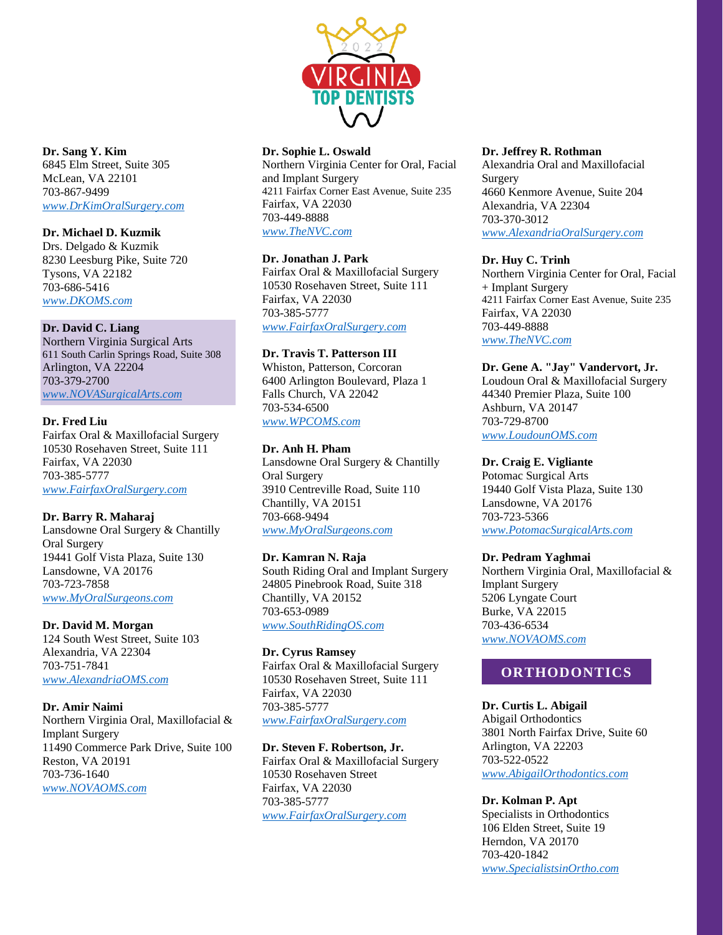

### **Dr. Sang Y. Kim** 6845 Elm Street, Suite 305 McLean, VA 22101 703-867-9499 *[www.DrKimOralSurgery.com](http://www.drkimoralsurgery.com/)*

# **Dr. Michael D. Kuzmik**

Drs. Delgado & Kuzmik 8230 Leesburg Pike, Suite 720 Tysons, VA 22182 703-686-5416 *[www.DKOMS.com](http://www.dkoms.com/)*

## **Dr. David C. Liang**

Northern Virginia Surgical Arts 611 South Carlin Springs Road, Suite 308 Arlington, VA 22204 703-379-2700 *[www.NOVASurgicalArts.com](http://www.novasurgicalarts.com/)*

## **Dr. Fred Liu**

Fairfax Oral & Maxillofacial Surgery 10530 Rosehaven Street, Suite 111 Fairfax, VA 22030 703-385-5777 *[www.FairfaxOralSurgery.com](http://www.fairfaxoralsurgery.com/)*

# **Dr. Barry R. Maharaj**

Lansdowne Oral Surgery & Chantilly Oral Surgery 19441 Golf Vista Plaza, Suite 130 Lansdowne, VA 20176 703-723-7858 *[www.MyOralSurgeons.com](http://www.myoralsurgeons.com/)*

### **Dr. David M. Morgan**

124 South West Street, Suite 103 Alexandria, VA 22304 703-751-7841 *[www.AlexandriaOMS.com](http://www.alexandriaoms.com/)*

### **Dr. Amir Naimi**

Northern Virginia Oral, Maxillofacial & Implant Surgery 11490 Commerce Park Drive, Suite 100 Reston, VA 20191 703-736-1640 *[www.NOVAOMS.com](http://www.novaoms.com/)*

## **Dr. Sophie L. Oswald**

Northern Virginia Center for Oral, Facial and Implant Surgery 4211 Fairfax Corner East Avenue, Suite 235 Fairfax, VA 22030 703-449-8888 *[www.TheNVC.com](http://www.thenvc.com/)*

### **Dr. Jonathan J. Park**

Fairfax Oral & Maxillofacial Surgery 10530 Rosehaven Street, Suite 111 Fairfax, VA 22030 703-385-5777 *[www.FairfaxOralSurgery.com](http://www.fairfaxoralsurgery.com/)*

## **Dr. Travis T. Patterson III**

Whiston, Patterson, Corcoran 6400 Arlington Boulevard, Plaza 1 Falls Church, VA 22042 703-534-6500 *[www.WPCOMS.com](http://www.wpcoms.com/)*

## **Dr. Anh H. Pham**

Lansdowne Oral Surgery & Chantilly Oral Surgery 3910 Centreville Road, Suite 110 Chantilly, VA 20151 703-668-9494 *[www.MyOralSurgeons.com](http://www.myoralsurgeons.com/)*

### **Dr. Kamran N. Raja**

South Riding Oral and Implant Surgery 24805 Pinebrook Road, Suite 318 Chantilly, VA 20152 703-653-0989 *[www.SouthRidingOS.com](http://www.southridingos.com/)*

### **Dr. Cyrus Ramsey**

Fairfax Oral & Maxillofacial Surgery 10530 Rosehaven Street, Suite 111 Fairfax, VA 22030 703-385-5777 *[www.FairfaxOralSurgery.com](http://www.fairfaxoralsurgery.com/)*

# **Dr. Steven F. Robertson, Jr.**

Fairfax Oral & Maxillofacial Surgery 10530 Rosehaven Street Fairfax, VA 22030 703-385-5777 *[www.FairfaxOralSurgery.com](http://www.fairfaxoralsurgery.com/)*

### **Dr. Jeffrey R. Rothman**

Alexandria Oral and Maxillofacial Surgery 4660 Kenmore Avenue, Suite 204 Alexandria, VA 22304 703-370-3012 *[www.AlexandriaOralSurgery.com](http://www.alexandriaoralsurgery.com/)*

## **Dr. Huy C. Trinh**

Northern Virginia Center for Oral, Facial + Implant Surgery 4211 Fairfax Corner East Avenue, Suite 235 Fairfax, VA 22030 703-449-8888 *[www.TheNVC.com](http://www.thenvc.com/)*

### **Dr. Gene A. "Jay" Vandervort, Jr.**

Loudoun Oral & Maxillofacial Surgery 44340 Premier Plaza, Suite 100 Ashburn, VA 20147 703-729-8700 *[www.LoudounOMS.com](http://www.loudounoms.com/)*

### **Dr. Craig E. Vigliante**

Potomac Surgical Arts 19440 Golf Vista Plaza, Suite 130 Lansdowne, VA 20176 703-723-5366 *[www.PotomacSurgicalArts.com](http://www.potomacsurgicalarts.com/)*

### **Dr. Pedram Yaghmai**

Northern Virginia Oral, Maxillofacial & Implant Surgery 5206 Lyngate Court Burke, VA 22015 703-436-6534 *[www.NOVAOMS.com](http://www.novaoms.com/)*

# **ORTHODONTICS**

### **Dr. Curtis L. Abigail**

Abigail Orthodontics 3801 North Fairfax Drive, Suite 60 Arlington, VA 22203 703-522-0522 *[www.AbigailOrthodontics.com](http://www.abigailorthodontics.com/)*

### **Dr. Kolman P. Apt**

Specialists in Orthodontics 106 Elden Street, Suite 19 Herndon, VA 20170 703-420-1842 *[www.SpecialistsinOrtho.com](http://www.specialistsinortho.com/)*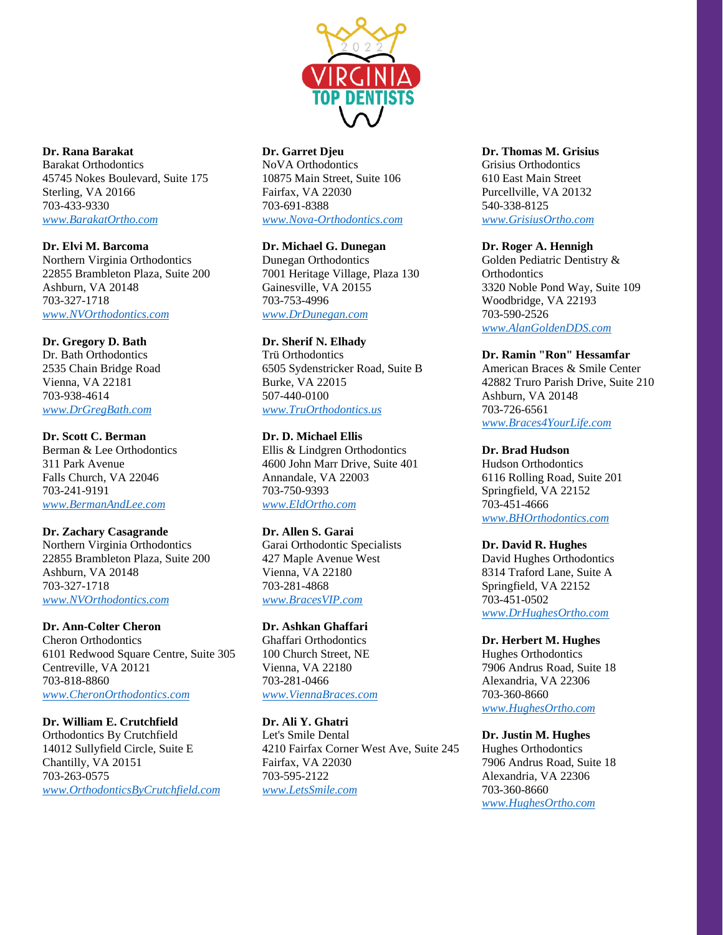

**Dr. Rana Barakat**

Barakat Orthodontics 45745 Nokes Boulevard, Suite 175 Sterling, VA 20166 703-433-9330 *[www.BarakatOrtho.com](http://www.barakatortho.com/)*

**Dr. Elvi M. Barcoma** Northern Virginia Orthodontics 22855 Brambleton Plaza, Suite 200 Ashburn, VA 20148 703-327-1718 *[www.NVOrthodontics.com](http://www.nvorthodontics.com/)*

**Dr. Gregory D. Bath** Dr. Bath Orthodontics 2535 Chain Bridge Road Vienna, VA 22181 703-938-4614 *[www.DrGregBath.com](http://www.drgregbath.com/)*

**Dr. Scott C. Berman** Berman & Lee Orthodontics 311 Park Avenue Falls Church, VA 22046 703-241-9191 *[www.BermanAndLee.com](http://www.bermanandlee.com/)*

**Dr. Zachary Casagrande** Northern Virginia Orthodontics 22855 Brambleton Plaza, Suite 200 Ashburn, VA 20148 703-327-1718 *[www.NVOrthodontics.com](http://www.nvorthodontics.com/)*

**Dr. Ann-Colter Cheron** Cheron Orthodontics

6101 Redwood Square Centre, Suite 305 Centreville, VA 20121 703-818-8860 *[www.CheronOrthodontics.com](http://www.cheronorthodontics.com/)*

**Dr. William E. Crutchfield** Orthodontics By Crutchfield 14012 Sullyfield Circle, Suite E Chantilly, VA 20151 703-263-0575 *[www.OrthodonticsByCrutchfield.com](http://www.orthodonticsbycrutchfield.com/)*

# **Dr. Garret Djeu**

NoVA Orthodontics 10875 Main Street, Suite 106 Fairfax, VA 22030 703-691-8388 *[www.Nova-Orthodontics.com](http://www.nova-orthodontics.com/)*

**Dr. Michael G. Dunegan**

Dunegan Orthodontics 7001 Heritage Village, Plaza 130 Gainesville, VA 20155 703-753-4996 *[www.DrDunegan.com](http://www.drdunegan.com/)*

**Dr. Sherif N. Elhady**

Trü Orthodontics 6505 Sydenstricker Road, Suite B Burke, VA 22015 507-440-0100 *[www.TruOrthodontics.us](http://www.truorthodontics.us/)*

**Dr. D. Michael Ellis** Ellis & Lindgren Orthodontics 4600 John Marr Drive, Suite 401 Annandale, VA 22003 703-750-9393 *[www.EldOrtho.com](http://www.eldortho.com/)*

**Dr. Allen S. Garai** Garai Orthodontic Specialists 427 Maple Avenue West Vienna, VA 22180 703-281-4868 *[www.BracesVIP.com](http://www.bracesvip.com/)*

**Dr. Ashkan Ghaffari** Ghaffari Orthodontics 100 Church Street, NE Vienna, VA 22180 703-281-0466 *[www.ViennaBraces.com](http://www.viennabraces.com/)*

**Dr. Ali Y. Ghatri** Let's Smile Dental 4210 Fairfax Corner West Ave, Suite 245 Fairfax, VA 22030 703-595-2122 *[www.LetsSmile.com](http://www.letssmile.com/)*

# **Dr. Thomas M. Grisius**

Grisius Orthodontics 610 East Main Street Purcellville, VA 20132 540-338-8125 *[www.GrisiusOrtho.com](http://www.grisiusortho.com/)*

## **Dr. Roger A. Hennigh**

Golden Pediatric Dentistry & **Orthodontics** 3320 Noble Pond Way, Suite 109 Woodbridge, VA 22193 703-590-2526 *[www.AlanGoldenDDS.com](http://www.alangoldendds.com/)*

**Dr. Ramin "Ron" Hessamfar**

American Braces & Smile Center 42882 Truro Parish Drive, Suite 210 Ashburn, VA 20148 703-726-6561 *[www.Braces4YourLife.com](http://www.braces4yourlife.com/)*

**Dr. Brad Hudson**

Hudson Orthodontics 6116 Rolling Road, Suite 201 Springfield, VA 22152 703-451-4666 *[www.BHOrthodontics.com](http://www.bhorthodontics.com/)*

**Dr. David R. Hughes**

David Hughes Orthodontics 8314 Traford Lane, Suite A Springfield, VA 22152 703-451-0502 *[www.DrHughesOrtho.com](http://www.drhughesortho.com/)*

**Dr. Herbert M. Hughes** Hughes Orthodontics 7906 Andrus Road, Suite 18 Alexandria, VA 22306 703-360-8660 *[www.HughesOrtho.com](http://www.hughesortho.com/)*

**Dr. Justin M. Hughes** Hughes Orthodontics 7906 Andrus Road, Suite 18 Alexandria, VA 22306 703-360-8660 *[www.HughesOrtho.com](http://www.hughesortho.com/)*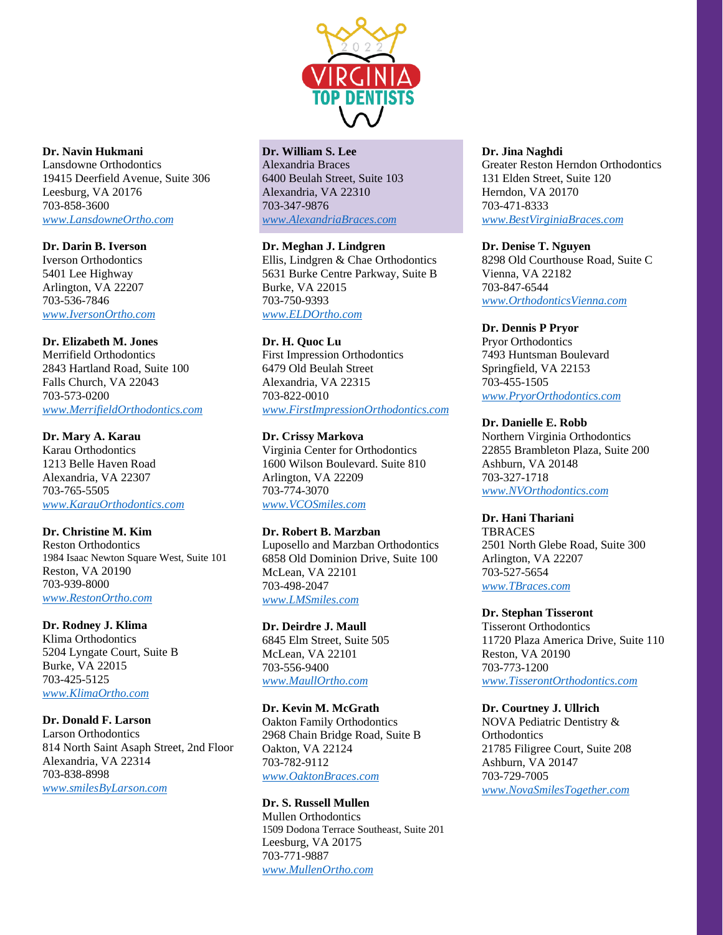

**Dr. Navin Hukmani**

Lansdowne Orthodontics 19415 Deerfield Avenue, Suite 306 Leesburg, VA 20176 703-858-3600 *[www.LansdowneOrtho.com](http://www.lansdowneortho.com/)*

**Dr. Darin B. Iverson** Iverson Orthodontics 5401 Lee Highway Arlington, VA 22207 703-536-7846 *[www.IversonOrtho.com](http://www.iversonortho.com/)*

# **Dr. Elizabeth M. Jones**

Merrifield Orthodontics 2843 Hartland Road, Suite 100 Falls Church, VA 22043 703-573-0200 *[www.MerrifieldOrthodontics.com](http://www.merrifieldorthodontics.com/)*

**Dr. Mary A. Karau**

Karau Orthodontics 1213 Belle Haven Road Alexandria, VA 22307 703-765-5505 *[www.KarauOrthodontics.com](http://www.karauorthodontics.com/)*

# **Dr. Christine M. Kim**

Reston Orthodontics 1984 Isaac Newton Square West, Suite 101 Reston, VA 20190 703-939-8000 *[www.RestonOrtho.com](http://www.restonortho.com/)*

### **Dr. Rodney J. Klima**

Klima Orthodontics 5204 Lyngate Court, Suite B Burke, VA 22015 703-425-5125 *[www.KlimaOrtho.com](http://www.klimaortho.com/)*

### **Dr. Donald F. Larson**

Larson Orthodontics 814 North Saint Asaph Street, 2nd Floor Alexandria, VA 22314 703-838-8998 *[www.smilesByLarson.com](http://www.smilesbylarson.com/)*

# **Dr. William S. Lee**

Alexandria Braces 6400 Beulah Street, Suite 103 Alexandria, VA 22310 703-347-9876 *[www.AlexandriaBraces.com](http://www.alexandriabraces.com/)*

**Dr. Meghan J. Lindgren**

Ellis, Lindgren & Chae Orthodontics 5631 Burke Centre Parkway, Suite B Burke, VA 22015 703-750-9393 *[www.ELDOrtho.com](http://www.eldortho.com/)*

## **Dr. H. Quoc Lu**

First Impression Orthodontics 6479 Old Beulah Street Alexandria, VA 22315 703-822-0010 *[www.FirstImpressionOrthodontics.com](http://www.firstimpressionorthodontics.com/)*

### **Dr. Crissy Markova**

Virginia Center for Orthodontics 1600 Wilson Boulevard. Suite 810 Arlington, VA 22209 703-774-3070 *[www.VCOSmiles.com](http://www.vcosmiles.com/)*

## **Dr. Robert B. Marzban**

Luposello and Marzban Orthodontics 6858 Old Dominion Drive, Suite 100 McLean, VA 22101 703-498-2047 *[www.LMSmiles.com](http://www.lmsmiles.com/)*

### **Dr. Deirdre J. Maull**

6845 Elm Street, Suite 505 McLean, VA 22101 703-556-9400 *[www.MaullOrtho.com](http://www.maullortho.com/)*

### **Dr. Kevin M. McGrath**

Oakton Family Orthodontics 2968 Chain Bridge Road, Suite B Oakton, VA 22124 703-782-9112 *[www.OaktonBraces.com](http://www.oaktonbraces.com/)*

### **Dr. S. Russell Mullen**

Mullen Orthodontics 1509 Dodona Terrace Southeast, Suite 201 Leesburg, VA 20175 703-771-9887 *[www.MullenOrtho.com](http://www.mullenortho.com/)*

#### **Dr. Jina Naghdi**

Greater Reston Herndon Orthodontics 131 Elden Street, Suite 120 Herndon, VA 20170 703-471-8333 *[www.BestVirginiaBraces.com](http://www.bestvirginiabraces.com/)*

### **Dr. Denise T. Nguyen**

8298 Old Courthouse Road, Suite C Vienna, VA 22182 703-847-6544 *[www.OrthodonticsVienna.com](http://www.orthodonticsvienna.com/)*

### **Dr. Dennis P Pryor**

Pryor Orthodontics 7493 Huntsman Boulevard Springfield, VA 22153 703-455-1505 *[www.PryorOrthodontics.com](http://www.pryororthodontics.com/)*

#### **Dr. Danielle E. Robb**

Northern Virginia Orthodontics 22855 Brambleton Plaza, Suite 200 Ashburn, VA 20148 703-327-1718 *[www.NVOrthodontics.com](http://www.nvorthodontics.com/)*

### **Dr. Hani Thariani**

**TBRACES** 2501 North Glebe Road, Suite 300 Arlington, VA 22207 703-527-5654 *[www.TBraces.com](http://www.tbraces.com/)*

#### **Dr. Stephan Tisseront**

Tisseront Orthodontics 11720 Plaza America Drive, Suite 110 Reston, VA 20190 703-773-1200 *[www.TisserontOrthodontics.com](http://www.tisserontorthodontics.com/)*

### **Dr. Courtney J. Ullrich**

NOVA Pediatric Dentistry & **Orthodontics** 21785 Filigree Court, Suite 208 Ashburn, VA 20147 703-729-7005 *[www.NovaSmilesTogether.com](http://www.novasmilestogether.com/)*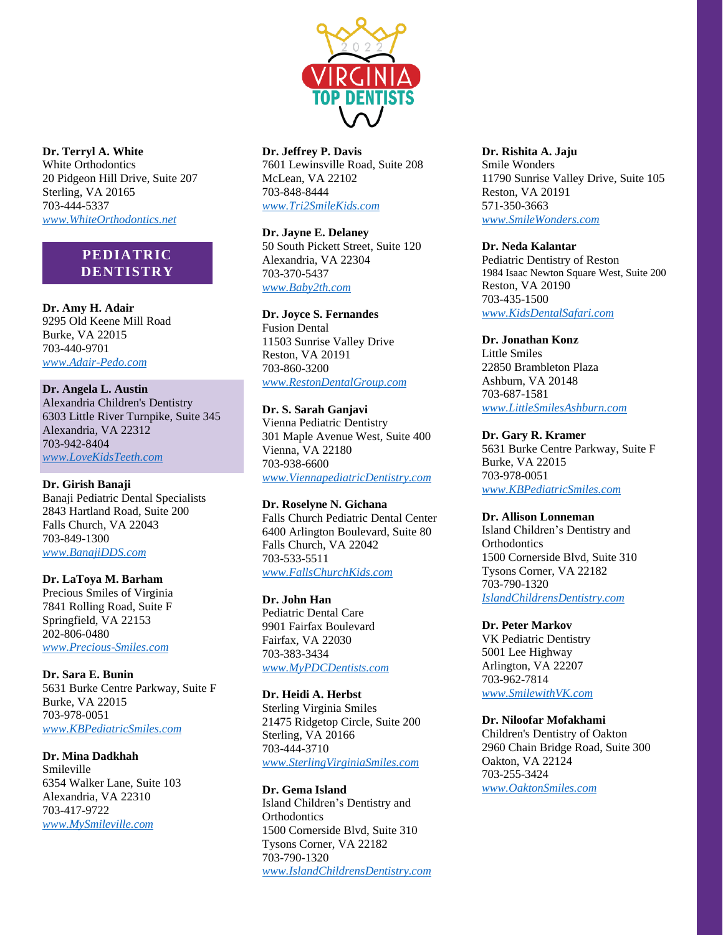

**Dr. Terryl A. White** White Orthodontics 20 Pidgeon Hill Drive, Suite 207 Sterling, VA 20165 703-444-5337 *[www.WhiteOrthodontics.net](http://www.whiteorthodontics.net/)*

# **PEDIATRIC DENTISTRY**

**Dr. Amy H. Adair** 9295 Old Keene Mill Road Burke, VA 22015 703-440-9701 *[www.Adair-Pedo.com](http://www.adair-pedo.com/)*

**Dr. Angela L. Austin** Alexandria Children's Dentistry 6303 Little River Turnpike, Suite 345 Alexandria, VA 22312 703-942-8404 *[www.LoveKidsTeeth.com](http://www.lovekidsteeth.com/)*

### **Dr. Girish Banaji**

Banaji Pediatric Dental Specialists 2843 Hartland Road, Suite 200 Falls Church, VA 22043 703-849-1300 *[www.BanajiDDS.com](http://www.banajidds.com/)*

#### **Dr. LaToya M. Barham**

Precious Smiles of Virginia 7841 Rolling Road, Suite F Springfield, VA 22153 202-806-0480 *[www.Precious-Smiles.com](http://www.precious-smiles.com/)*

**Dr. Sara E. Bunin** 5631 Burke Centre Parkway, Suite F Burke, VA 22015 703-978-0051 *[www.KBPediatricSmiles.com](http://www.kbpediatricsmiles.com/)*

**Dr. Mina Dadkhah** Smileville 6354 Walker Lane, Suite 103 Alexandria, VA 22310 703-417-9722 *[www.MySmileville.com](http://www.mysmileville.com/)*

**Dr. Jeffrey P. Davis** 7601 Lewinsville Road, Suite 208 McLean, VA 22102 703-848-8444

*[www.Tri2SmileKids.com](http://www.tri2smilekids.com/)*

**Dr. Jayne E. Delaney** 50 South Pickett Street, Suite 120 Alexandria, VA 22304 703-370-5437 *[www.Baby2th.com](http://www.baby2th.com/)*

#### **Dr. Joyce S. Fernandes**

Fusion Dental 11503 Sunrise Valley Drive Reston, VA 20191 703-860-3200 *[www.RestonDentalGroup.com](http://www.restondentalgroup.com/)*

**Dr. S. Sarah Ganjavi**

Vienna Pediatric Dentistry 301 Maple Avenue West, Suite 400 Vienna, VA 22180 703-938-6600 *[www.ViennapediatricDentistry.com](http://www.viennapediatricdentistry.com/)*

**Dr. Roselyne N. Gichana**

Falls Church Pediatric Dental Center 6400 Arlington Boulevard, Suite 80 Falls Church, VA 22042 703-533-5511 *[www.FallsChurchKids.com](http://www.fallschurchkids.com/)*

### **Dr. John Han**

Pediatric Dental Care 9901 Fairfax Boulevard Fairfax, VA 22030 703-383-3434 *[www.MyPDCDentists.com](http://www.mypdcdentists.com/)*

**Dr. Heidi A. Herbst** Sterling Virginia Smiles 21475 Ridgetop Circle, Suite 200 Sterling, VA 20166 703-444-3710 *[www.SterlingVirginiaSmiles.com](http://www.sterlingvirginiasmiles.com/)*

**Dr. Gema Island** Island Children's Dentistry and **Orthodontics** 1500 Cornerside Blvd, Suite 310 Tysons Corner, VA 22182 703-790-1320 *[www.IslandChildrensDentistry.com](http://www.islandchildrensdentistry.com/)* **Dr. Rishita A. Jaju**

Smile Wonders 11790 Sunrise Valley Drive, Suite 105 Reston, VA 20191 571-350-3663 *[www.SmileWonders.com](http://www.smilewonders.com/)*

#### **Dr. Neda Kalantar**

Pediatric Dentistry of Reston 1984 Isaac Newton Square West, Suite 200 Reston, VA 20190 703-435-1500 *[www.KidsDentalSafari.com](http://www.kidsdentalsafari.com/)*

#### **Dr. Jonathan Konz**

Little Smiles 22850 Brambleton Plaza Ashburn, VA 20148 703-687-1581 *[www.LittleSmilesAshburn.com](http://www.littlesmilesashburn.com/)*

#### **Dr. Gary R. Kramer**

5631 Burke Centre Parkway, Suite F Burke, VA 22015 703-978-0051 *[www.KBPediatricSmiles.com](http://www.kbpediatricsmiles.com/)*

#### **Dr. Allison Lonneman**

Island Children's Dentistry and **Orthodontics** 1500 Cornerside Blvd, Suite 310 Tysons Corner, VA 22182 703-790-1320 *[IslandChildrensDentistry.com](http://islandchildrensdentistry.com/)*

#### **Dr. Peter Markov**

VK Pediatric Dentistry 5001 Lee Highway Arlington, VA 22207 703-962-7814 *[www.SmilewithVK.com](http://www.smilewithvk.com/)*

#### **Dr. Niloofar Mofakhami**

Children's Dentistry of Oakton 2960 Chain Bridge Road, Suite 300 Oakton, VA 22124 703-255-3424 *[www.OaktonSmiles.com](http://www.oaktonsmiles.com/)*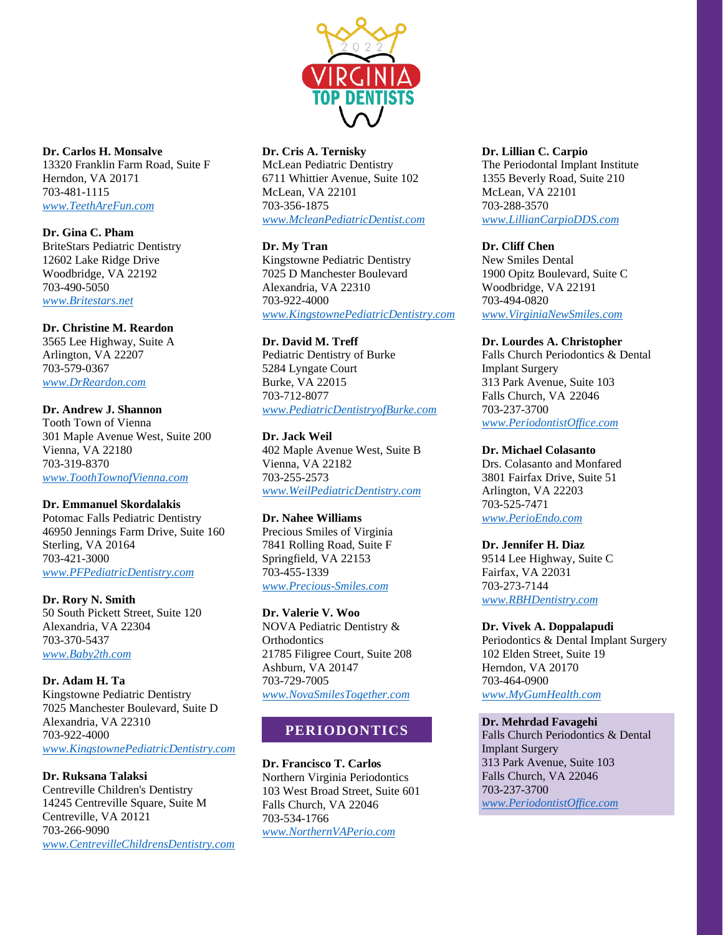

**Dr. Carlos H. Monsalve** 13320 Franklin Farm Road, Suite F Herndon, VA 20171 703-481-1115 *[www.TeethAreFun.com](http://www.teetharefun.com/)*

**Dr. Gina C. Pham** BriteStars Pediatric Dentistry 12602 Lake Ridge Drive Woodbridge, VA 22192 703-490-5050 *[www.Britestars.net](http://www.britestars.net/)*

### **Dr. Christine M. Reardon**

3565 Lee Highway, Suite A Arlington, VA 22207 703-579-0367 *[www.DrReardon.com](http://www.drreardon.com/)*

# **Dr. Andrew J. Shannon**

Tooth Town of Vienna 301 Maple Avenue West, Suite 200 Vienna, VA 22180 703-319-8370 *[www.ToothTownofVienna.com](http://www.toothtownofvienna.com/)*

### **Dr. Emmanuel Skordalakis**

Potomac Falls Pediatric Dentistry 46950 Jennings Farm Drive, Suite 160 Sterling, VA 20164 703-421-3000 *[www.PFPediatricDentistry.com](http://www.pfpediatricdentistry.com/)*

**Dr. Rory N. Smith** 50 South Pickett Street, Suite 120 Alexandria, VA 22304 703-370-5437 *[www.Baby2th.com](http://www.baby2th.com/)*

# **Dr. Adam H. Ta**

Kingstowne Pediatric Dentistry 7025 Manchester Boulevard, Suite D Alexandria, VA 22310 703-922-4000 *[www.KingstownePediatricDentistry.com](http://www.kingstownepediatricdentistry.com/)*

### **Dr. Ruksana Talaksi**

Centreville Children's Dentistry 14245 Centreville Square, Suite M Centreville, VA 20121 703-266-9090 *[www.CentrevilleChildrensDentistry.com](http://www.centrevillechildrensdentistry.com/)*

### **Dr. Cris A. Ternisky**

McLean Pediatric Dentistry 6711 Whittier Avenue, Suite 102 McLean, VA 22101 703-356-1875 *[www.McleanPediatricDentist.com](http://www.mcleanpediatricdentist.com/)*

### **Dr. My Tran**

Kingstowne Pediatric Dentistry 7025 D Manchester Boulevard Alexandria, VA 22310 703-922-4000 *[www.KingstownePediatricDentistry.com](http://www.kingstownepediatricdentistry.com/)*

## **Dr. David M. Treff**

Pediatric Dentistry of Burke 5284 Lyngate Court Burke, VA 22015 703-712-8077 *[www.PediatricDentistryofBurke.com](http://www.pediatricdentistryofburke.com/)*

## **Dr. Jack Weil**

402 Maple Avenue West, Suite B Vienna, VA 22182 703-255-2573 *[www.WeilPediatricDentistry.com](http://www.weilpediatricdentistry.com/)*

### **Dr. Nahee Williams**

Precious Smiles of Virginia 7841 Rolling Road, Suite F Springfield, VA 22153 703-455-1339 *[www.Precious-Smiles.com](http://www.precious-smiles.com/)*

### **Dr. Valerie V. Woo**

NOVA Pediatric Dentistry & **Orthodontics** 21785 Filigree Court, Suite 208 Ashburn, VA 20147 703-729-7005 *[www.NovaSmilesTogether.com](http://www.novasmilestogether.com/)*

# **PERIODONTICS**

**Dr. Francisco T. Carlos** Northern Virginia Periodontics 103 West Broad Street, Suite 601 Falls Church, VA 22046 703-534-1766 *[www.NorthernVAPerio.com](http://www.northernvaperio.com/)*

### **Dr. Lillian C. Carpio**

The Periodontal Implant Institute 1355 Beverly Road, Suite 210 McLean, VA 22101 703-288-3570 *[www.LillianCarpioDDS.com](http://www.lilliancarpiodds.com/)*

### **Dr. Cliff Chen**

New Smiles Dental 1900 Opitz Boulevard, Suite C Woodbridge, VA 22191 703-494-0820 *[www.VirginiaNewSmiles.com](http://www.virginianewsmiles.com/)*

### **Dr. Lourdes A. Christopher**

Falls Church Periodontics & Dental Implant Surgery 313 Park Avenue, Suite 103 Falls Church, VA 22046 703-237-3700 *[www.PeriodontistOffice.com](http://www.periodontistoffice.com/)*

### **Dr. Michael Colasanto**

Drs. Colasanto and Monfared 3801 Fairfax Drive, Suite 51 Arlington, VA 22203 703-525-7471 *[www.PerioEndo.com](http://www.perioendo.com/)*

### **Dr. Jennifer H. Diaz**

9514 Lee Highway, Suite C Fairfax, VA 22031 703-273-7144 *[www.RBHDentistry.com](http://www.rbhdentistry.com/)*

### **Dr. Vivek A. Doppalapudi**

Periodontics & Dental Implant Surgery 102 Elden Street, Suite 19 Herndon, VA 20170 703-464-0900 *[www.MyGumHealth.com](http://www.mygumhealth.com/)*

### **Dr. Mehrdad Favagehi**

Falls Church Periodontics & Dental Implant Surgery 313 Park Avenue, Suite 103 Falls Church, VA 22046 703-237-3700 *[www.PeriodontistOffice.com](http://www.periodontistoffice.com/)*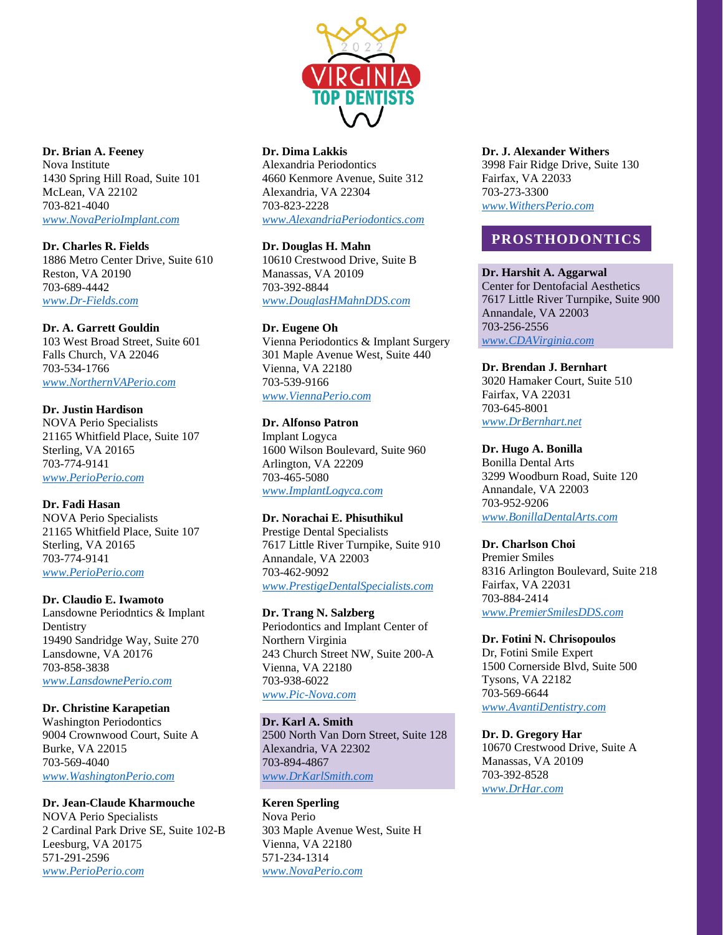

**Dr. Brian A. Feeney** Nova Institute 1430 Spring Hill Road, Suite 101 McLean, VA 22102 703-821-4040 *[www.NovaPerioImplant.com](http://www.novaperioimplant.com/)*

**Dr. Charles R. Fields** 1886 Metro Center Drive, Suite 610 Reston, VA 20190 703-689-4442 *[www.Dr-Fields.com](http://www.dr-fields.com/)*

# **Dr. A. Garrett Gouldin**

103 West Broad Street, Suite 601 Falls Church, VA 22046 703-534-1766 *[www.NorthernVAPerio.com](http://www.northernvaperio.com/)*

#### **Dr. Justin Hardison** NOVA Perio Specialists

21165 Whitfield Place, Suite 107 Sterling, VA 20165 703-774-9141 *[www.PerioPerio.com](http://www.perioperio.com/)*

### **Dr. Fadi Hasan**

NOVA Perio Specialists 21165 Whitfield Place, Suite 107 Sterling, VA 20165 703-774-9141 *[www.PerioPerio.com](http://www.perioperio.com/)*

### **Dr. Claudio E. Iwamoto**

Lansdowne Periodntics & Implant Dentistry 19490 Sandridge Way, Suite 270 Lansdowne, VA 20176 703-858-3838 *[www.LansdownePerio.com](http://www.lansdowneperio.com/)*

### **Dr. Christine Karapetian**

Washington Periodontics 9004 Crownwood Court, Suite A Burke, VA 22015 703-569-4040 *[www.WashingtonPerio.com](http://www.washingtonperio.com/)*

# **Dr. Jean-Claude Kharmouche**

NOVA Perio Specialists 2 Cardinal Park Drive SE, Suite 102-B Leesburg, VA 20175 571-291-2596 *[www.PerioPerio.com](http://www.perioperio.com/)*

# **Dr. Dima Lakkis**

Alexandria Periodontics 4660 Kenmore Avenue, Suite 312 Alexandria, VA 22304 703-823-2228 *[www.AlexandriaPeriodontics.com](http://www.alexandriaperiodontics.com/)*

## **Dr. Douglas H. Mahn**

10610 Crestwood Drive, Suite B Manassas, VA 20109 703-392-8844 *[www.DouglasHMahnDDS.com](http://www.douglashmahndds.com/)*

### **Dr. Eugene Oh**

Vienna Periodontics & Implant Surgery 301 Maple Avenue West, Suite 440 Vienna, VA 22180 703-539-9166 *[www.ViennaPerio.com](http://www.viennaperio.com/)*

### **Dr. Alfonso Patron**

Implant Logyca 1600 Wilson Boulevard, Suite 960 Arlington, VA 22209 703-465-5080 *[www.ImplantLogyca.com](http://www.implantlogyca.com/)*

### **Dr. Norachai E. Phisuthikul**

Prestige Dental Specialists 7617 Little River Turnpike, Suite 910 Annandale, VA 22003 703-462-9092 *[www.PrestigeDentalSpecialists.com](http://www.prestigedentalspecialists.com/)*

### **Dr. Trang N. Salzberg**

Periodontics and Implant Center of Northern Virginia 243 Church Street NW, Suite 200-A Vienna, VA 22180 703-938-6022 *[www.Pic-Nova.com](http://www.pic-nova.com/)*

# **Dr. Karl A. Smith**

2500 North Van Dorn Street, Suite 128 Alexandria, VA 22302 703-894-4867 *[www.DrKarlSmith.com](http://www.drkarlsmith.com/)*

# **Keren Sperling**

Nova Perio 303 Maple Avenue West, Suite H Vienna, VA 22180 571-234-1314 *[www.NovaPerio.com](http://www.novaperio.com/)*

# **Dr. J. Alexander Withers**

3998 Fair Ridge Drive, Suite 130 Fairfax, VA 22033 703-273-3300 *[www.WithersPerio.com](http://www.withersperio.com/)*

# **PROSTHODONTICS**

### **Dr. Harshit A. Aggarwal**

Center for Dentofacial Aesthetics 7617 Little River Turnpike, Suite 900 Annandale, VA 22003 703-256-2556 *[www.CDAVirginia.com](http://www.cdavirginia.com/)*

### **Dr. Brendan J. Bernhart**

3020 Hamaker Court, Suite 510 Fairfax, VA 22031 703-645-8001 *[www.DrBernhart.net](http://www.drbernhart.net/)*

### **Dr. Hugo A. Bonilla**

Bonilla Dental Arts 3299 Woodburn Road, Suite 120 Annandale, VA 22003 703-952-9206 *[www.BonillaDentalArts.com](http://www.bonilladentalarts.com/)*

# **Dr. Charlson Choi**

Premier Smiles 8316 Arlington Boulevard, Suite 218 Fairfax, VA 22031 703-884-2414 *[www.PremierSmilesDDS.com](http://www.premiersmilesdds.com/)*

#### **Dr. Fotini N. Chrisopoulos**

Dr, Fotini Smile Expert 1500 Cornerside Blvd, Suite 500 Tysons, VA 22182 703-569-6644 *[www.AvantiDentistry.com](http://www.avantidentistry.com/)*

### **Dr. D. Gregory Har**

10670 Crestwood Drive, Suite A Manassas, VA 20109 703-392-8528 *[www.DrHar.com](http://www.drhar.com/)*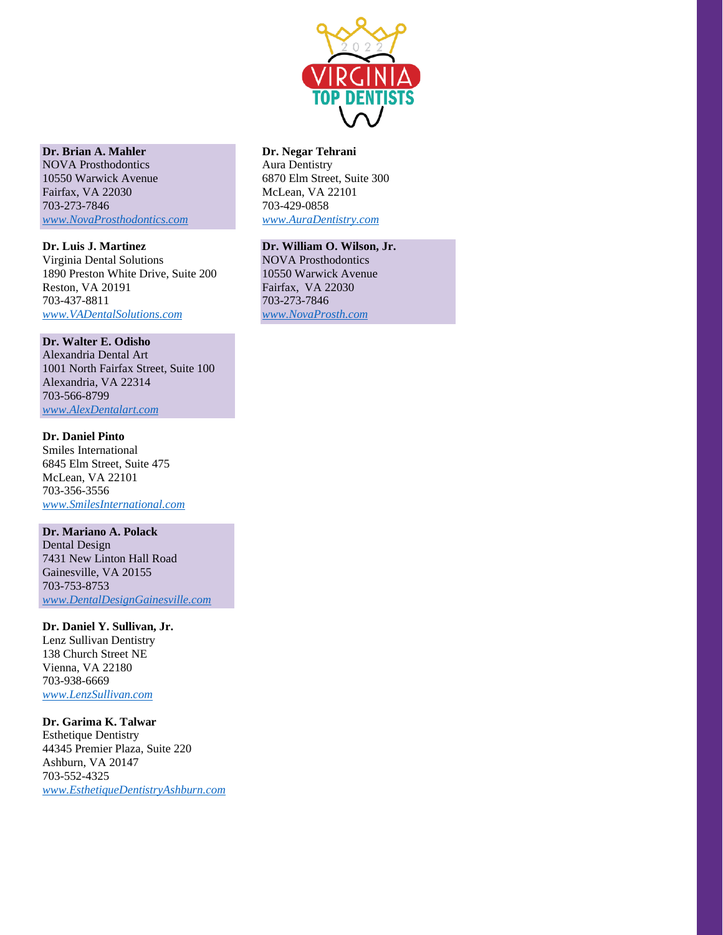

# **Dr. Brian A. Mahler**

NOVA Prosthodontics 10550 Warwick Avenue Fairfax, VA 22030 703-273-7846 *[www.NovaProsthodontics.com](http://www.novaprosthodontics.com/)*

### **Dr. Luis J. Martinez**

Virginia Dental Solutions 1890 Preston White Drive, Suite 200 Reston, VA 20191 703-437-8811 *[www.VADentalSolutions.com](http://www.vadentalsolutions.com/)*

### **Dr. Walter E. Odisho**

Alexandria Dental Art 1001 North Fairfax Street, Suite 100 Alexandria, VA 22314 703-566-8799 *[www.AlexDentalart.com](http://www.alexdentalart.com/)*

### **Dr. Daniel Pinto**

Smiles International 6845 Elm Street, Suite 475 McLean, VA 22101 703-356-3556 *[www.SmilesInternational.com](http://www.smilesinternational.com/)*

# **Dr. Mariano A. Polack**

Dental Design 7431 New Linton Hall Road Gainesville, VA 20155 703-753-8753 *[www.DentalDesignGainesville.com](http://www.dentaldesigngainesville.com/)*

### **Dr. Daniel Y. Sullivan, Jr.**

Lenz Sullivan Dentistry 138 Church Street NE Vienna, VA 22180 703-938-6669 *[www.LenzSullivan.com](http://www.lenzsullivan.com/)*

# **Dr. Garima K. Talwar**

Esthetique Dentistry 44345 Premier Plaza, Suite 220 Ashburn, VA 20147 703-552-4325 *[www.EsthetiqueDentistryAshburn.com](http://www.esthetiquedentistryashburn.com/)*

# **Dr. Negar Tehrani**

Aura Dentistry 6870 Elm Street, Suite 300 McLean, VA 22101 703-429-0858 *[www.AuraDentistry.com](http://www.auradentistry.com/)*

# **Dr. William O. Wilson, Jr.**

NOVA Prosthodontics 10550 Warwick Avenue Fairfax, VA 22030 703-273-7846 *[www.NovaProsth.com](http://www.novaprosth.com/)*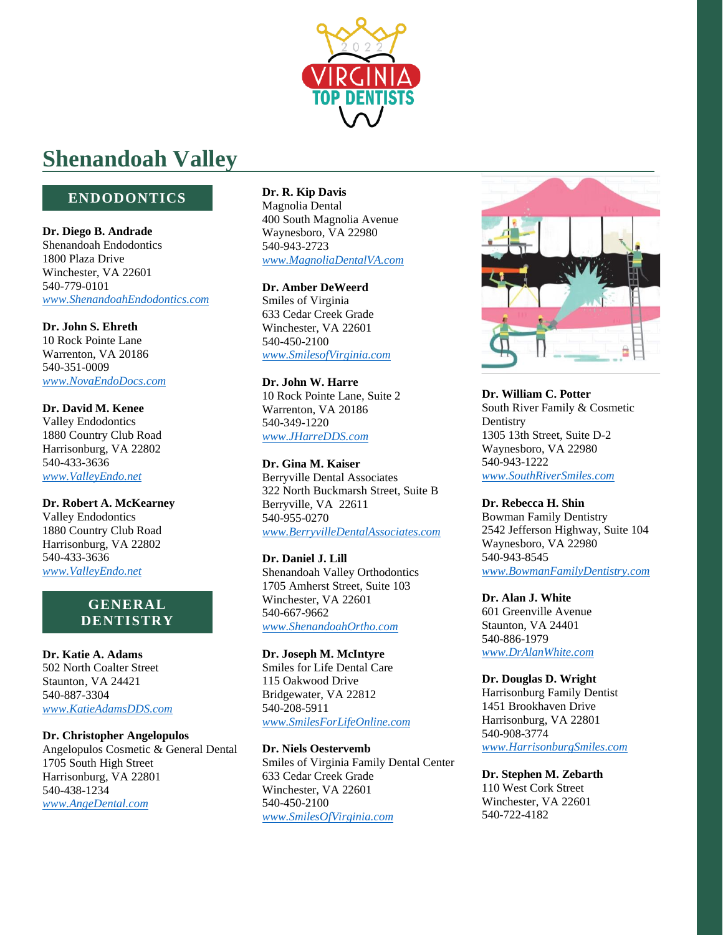

# **Shenandoah Valley**

# **ENDODONTICS**

**Dr. Diego B. Andrade** Shenandoah Endodontics 1800 Plaza Drive Winchester, VA 22601 540-779-0101 *[www.ShenandoahEndodontics.com](http://www.shenandoahendodontics.com/)*

**Dr. John S. Ehreth** 10 Rock Pointe Lane Warrenton, VA 20186 540-351-0009 *[www.NovaEndoDocs.com](http://www.novaendodocs.com/)*

**Dr. David M. Kenee** Valley Endodontics 1880 Country Club Road Harrisonburg, VA 22802 540-433-3636 *[www.ValleyEndo.net](http://www.valleyendo.net/)*

**Dr. Robert A. McKearney** Valley Endodontics 1880 Country Club Road Harrisonburg, VA 22802 540-433-3636 *[www.ValleyEndo.net](http://www.valleyendo.net/)*

# **GENERAL DENTISTRY**

**Dr. Katie A. Adams** 502 North Coalter Street Staunton, VA 24421 540-887-3304 *[www.KatieAdamsDDS.com](http://www.katieadamsdds.com/)*

**Dr. Christopher Angelopulos** Angelopulos Cosmetic & General Dental 1705 South High Street Harrisonburg, VA 22801 540-438-1234

*[www.AngeDental.com](http://www.angedental.com/)*

**Dr. R. Kip Davis** Magnolia Dental 400 South Magnolia Avenue Waynesboro, VA 22980 540-943-2723 *[www.MagnoliaDentalVA.com](http://www.magnoliadentalva.com/)*

**Dr. Amber DeWeerd** Smiles of Virginia 633 Cedar Creek Grade Winchester, VA 22601 540-450-2100 *[www.SmilesofVirginia.com](http://www.smilesofvirginia.com/)*

**Dr. John W. Harre** 10 Rock Pointe Lane, Suite 2 Warrenton, VA 20186 540-349-1220 *[www.JHarreDDS.com](http://www.jharredds.com/)*

**Dr. Gina M. Kaiser** Berryville Dental Associates 322 North Buckmarsh Street, Suite B Berryville, VA 22611 540-955-0270 *[www.BerryvilleDentalAssociates.com](http://www.berryvilledentalassociates.com/)*

**Dr. Daniel J. Lill** Shenandoah Valley Orthodontics 1705 Amherst Street, Suite 103 Winchester, VA 22601 540-667-9662 *[www.ShenandoahOrtho.com](http://www.shenandoahortho.com/)*

**Dr. Joseph M. McIntyre** Smiles for Life Dental Care 115 Oakwood Drive Bridgewater, VA 22812 540-208-5911 *[www.SmilesForLifeOnline.com](http://www.smilesforlifeonline.com/)*

**Dr. Niels Oestervemb** Smiles of Virginia Family Dental Center 633 Cedar Creek Grade Winchester, VA 22601 540-450-2100 *[www.SmilesOfVirginia.com](http://www.smilesofvirginia.com/)*



**Dr. William C. Potter** South River Family & Cosmetic **Dentistry** 1305 13th Street, Suite D-2 Waynesboro, VA 22980 540-943-1222 *[www.SouthRiverSmiles.com](http://www.southriversmiles.com/)*

**Dr. Rebecca H. Shin** Bowman Family Dentistry 2542 Jefferson Highway, Suite 104 Waynesboro, VA 22980 540-943-8545 *[www.BowmanFamilyDentistry.com](http://www.bowmanfamilydentistry.com/)*

**Dr. Alan J. White** 601 Greenville Avenue Staunton, VA 24401 540-886-1979 *[www.DrAlanWhite.com](http://www.dralanwhite.com/)*

**Dr. Douglas D. Wright** Harrisonburg Family Dentist 1451 Brookhaven Drive Harrisonburg, VA 22801 540-908-3774 *[www.HarrisonburgSmiles.com](http://www.harrisonburgsmiles.com/)*

**Dr. Stephen M. Zebarth** 110 West Cork Street Winchester, VA 22601 540-722-4182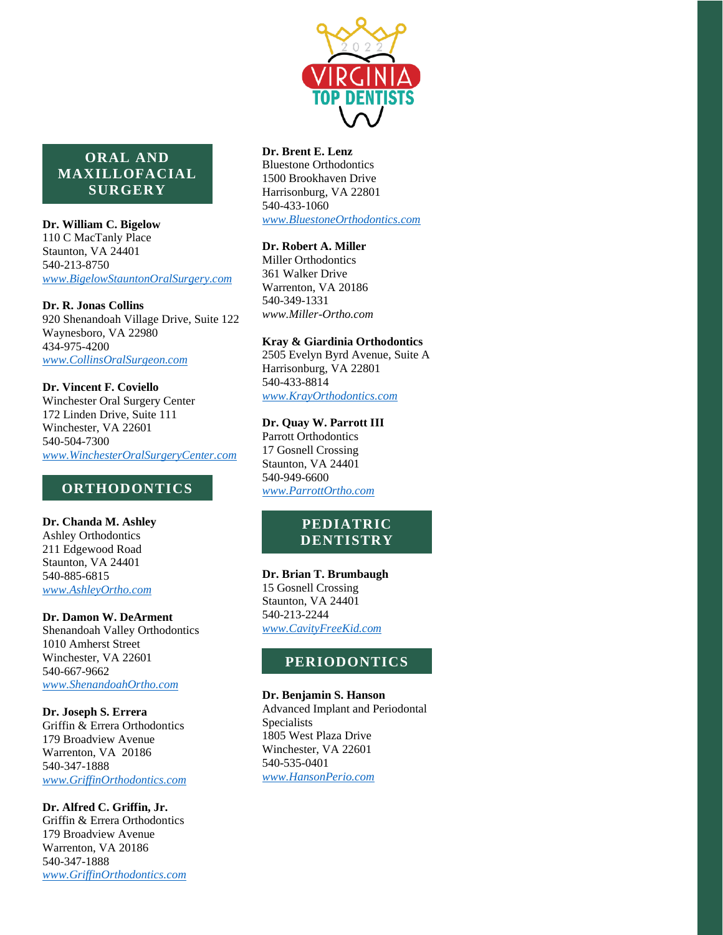

# **ORAL AND MAXILLOFACIAL SURGERY**

**Dr. William C. Bigelow**

110 C MacTanly Place Staunton, VA 24401 540-213-8750 *[www.BigelowStauntonOralSurgery.com](http://www.bigelowstauntonoralsurgery.com/)*

**Dr. R. Jonas Collins** 920 Shenandoah Village Drive, Suite 122 Waynesboro, VA 22980 434-975-4200 *[www.CollinsOralSurgeon.com](http://www.collinsoralsurgeon.com/)*

**Dr. Vincent F. Coviello** Winchester Oral Surgery Center 172 Linden Drive, Suite 111 Winchester, VA 22601 540-504-7300 *[www.WinchesterOralSurgeryCenter.com](http://www.winchesteroralsurgerycenter.com/)*

# **ORTHODONTICS**

**Dr. Chanda M. Ashley** Ashley Orthodontics 211 Edgewood Road Staunton, VA 24401 540-885-6815 *[www.AshleyOrtho.com](http://www.ashleyortho.com/)*

**Dr. Damon W. DeArment** Shenandoah Valley Orthodontics 1010 Amherst Street Winchester, VA 22601 540-667-9662

*[www.ShenandoahOrtho.com](http://www.shenandoahortho.com/)*

### **Dr. Joseph S. Errera**

Griffin & Errera Orthodontics 179 Broadview Avenue Warrenton, VA 20186 540-347-1888 *[www.GriffinOrthodontics.com](http://www.griffinorthodontics.com/)*

**Dr. Alfred C. Griffin, Jr.** Griffin & Errera Orthodontics 179 Broadview Avenue Warrenton, VA 20186 540-347-1888 *[www.GriffinOrthodontics.com](http://www.griffinorthodontics.com/)*

### **Dr. Brent E. Lenz**

Bluestone Orthodontics 1500 Brookhaven Drive Harrisonburg, VA 22801 540-433-1060 *[www.BluestoneOrthodontics.com](http://www.bluestoneorthodontics.com/)*

# **Dr. Robert A. Miller**

Miller Orthodontics 361 Walker Drive Warrenton, VA 20186 540-349-1331 *[www.Miller-Ortho.com](http://www.miller-ortho.com/)*

# **Kray & Giardinia Orthodontics**

2505 Evelyn Byrd Avenue, Suite A Harrisonburg, VA 22801 540-433-8814 *[www.KrayOrthodontics.com](http://www.krayorthodontics.com/)*

## **Dr. Quay W. Parrott III**

Parrott Orthodontics 17 Gosnell Crossing Staunton, VA 24401 540-949-6600 *[www.ParrottOrtho.com](http://www.parrottortho.com/)*

# **PEDIATRIC DENTISTRY**

### **Dr. Brian T. Brumbaugh**

15 Gosnell Crossing Staunton, VA 24401 540-213-2244 *[www.CavityFreeKid.com](http://www.cavityfreekid.com/)*

# **PERIODONTICS**

# **Dr. Benjamin S. Hanson**

Advanced Implant and Periodontal Specialists 1805 West Plaza Drive Winchester, VA 22601 540-535-0401 *[www.HansonPerio.com](http://www.hansonperio.com/)*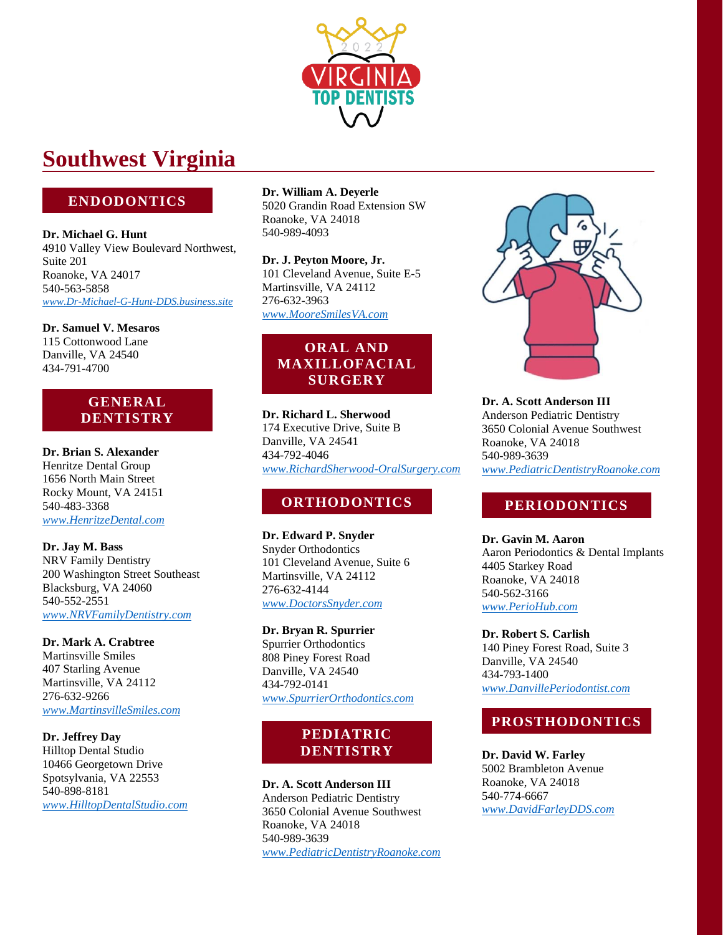

# **Southwest Virginia**

# **ENDODONTICS**

**Dr. Michael G. Hunt** 4910 Valley View Boulevard Northwest, Suite 201 Roanoke, VA 24017 540-563-5858 *[www.Dr-Michael-G-Hunt-DDS.business.site](http://www.dr-michael-g-hunt-dds.business.site/)*

**Dr. Samuel V. Mesaros** 115 Cottonwood Lane Danville, VA 24540 434-791-4700

# **GENERAL DENTISTRY**

**Dr. Brian S. Alexander** Henritze Dental Group 1656 North Main Street Rocky Mount, VA 24151 540-483-3368 *[www.HenritzeDental.com](http://www.henritzedental.com/)*

**Dr. Jay M. Bass** NRV Family Dentistry 200 Washington Street Southeast Blacksburg, VA 24060 540-552-2551 *[www.NRVFamilyDentistry.com](http://www.nrvfamilydentistry.com/)*

**Dr. Mark A. Crabtree** Martinsville Smiles 407 Starling Avenue Martinsville, VA 24112 276-632-9266 *[www.MartinsvilleSmiles.com](http://www.martinsvillesmiles.com/)*

**Dr. Jeffrey Day** Hilltop Dental Studio 10466 Georgetown Drive Spotsylvania, VA 22553 540-898-8181 *[www.HilltopDentalStudio.com](http://www.hilltopdentalstudio.com/)* **Dr. William A. Deyerle** 5020 Grandin Road Extension SW Roanoke, VA 24018 540-989-4093

**Dr. J. Peyton Moore, Jr.** 101 Cleveland Avenue, Suite E-5 Martinsville, VA 24112 276-632-3963 *[www.MooreSmilesVA.com](http://www.mooresmilesva.com/)*

# **ORAL AND MAXILLOFACIAL SURGERY**

**Dr. Richard L. Sherwood** 174 Executive Drive, Suite B Danville, VA 24541 434-792-4046 *[www.RichardSherwood-OralSurgery.com](http://www.richardsherwood-oralsurgery.com/)*

# **ORTHODONTICS**

**Dr. Edward P. Snyder** Snyder Orthodontics 101 Cleveland Avenue, Suite 6 Martinsville, VA 24112 276-632-4144 *[www.DoctorsSnyder.com](http://www.doctorssnyder.com/)*

**Dr. Bryan R. Spurrier** Spurrier Orthodontics 808 Piney Forest Road Danville, VA 24540 434-792-0141 *[www.SpurrierOrthodontics.com](http://www.spurrierorthodontics.com/)*

# **PEDIATRIC DENTISTRY**

**Dr. A. Scott Anderson III** Anderson Pediatric Dentistry 3650 Colonial Avenue Southwest Roanoke, VA 24018 540-989-3639 *[www.PediatricDentistryRoanoke.com](http://www.pediatricdentistryroanoke.com/)*



**Dr. A. Scott Anderson III** Anderson Pediatric Dentistry 3650 Colonial Avenue Southwest Roanoke, VA 24018 540-989-3639 *[www.PediatricDentistryRoanoke.com](http://www.pediatricdentistryroanoke.com/)*

# **PERIODONTICS**

**Dr. Gavin M. Aaron** Aaron Periodontics & Dental Implants 4405 Starkey Road Roanoke, VA 24018 540-562-3166 *[www.PerioHub.com](http://www.periohub.com/)*

**Dr. Robert S. Carlish** 140 Piney Forest Road, Suite 3 Danville, VA 24540 434-793-1400 *[www.DanvillePeriodontist.com](http://www.danvilleperiodontist.com/)*

# **PROSTHODONTICS**

**Dr. David W. Farley** 5002 Brambleton Avenue Roanoke, VA 24018 540-774-6667 *[www.DavidFarleyDDS.com](http://www.davidfarleydds.com/)*